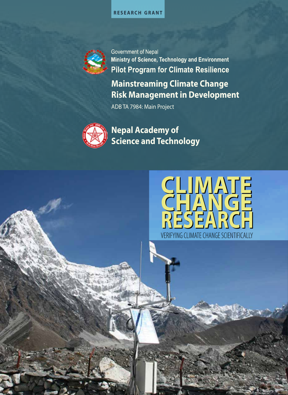



**Government of Nepal** Ministry of Science, Technology and Environment **Pilot Program for Climate Resilience Mainstreaming Climate Change**

**Risk Management in Development**

ADB TA 7984: Main Project



**Nepal Academy of Science and Technology**

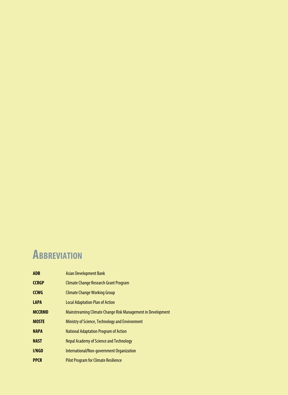#### **Abbreviation**

| <b>ADB</b>    | <b>Asian Development Bank</b>                               |
|---------------|-------------------------------------------------------------|
| <b>CCRGP</b>  | <b>Climate Change Research Grant Program</b>                |
| <b>CCWG</b>   | <b>Climate Change Working Group</b>                         |
| <b>LAPA</b>   | <b>Local Adaptation Plan of Action</b>                      |
| <b>MCCRMD</b> | Mainstreaming Climate Change Risk Management in Development |
| <b>MOSTE</b>  | Ministry of Science, Technology and Environment             |
| <b>NAPA</b>   | <b>National Adaptation Program of Action</b>                |
| <b>NAST</b>   | Nepal Academy of Science and Technology                     |
| I/NGO         | International/Non-government Organization                   |
| <b>PPCR</b>   | <b>Pilot Program for Climate Resilience</b>                 |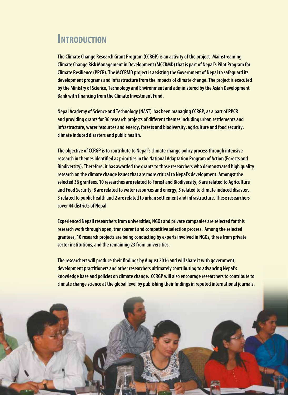#### **INTRODUCTION**

**The Climate Change Research Grant Program (CCRGP) is an activity of the project- Mainstreaming Climate Change Risk Management in Development (MCCRMD) that is part of Nepal's Pilot Program for Climate Resilience (PPCR). The MCCRMD project is assisting the Government of Nepal to safeguard its development programs and infrastructure from the impacts of climate change. The project is executed by the Ministry of Science, Technology and Environment and administered by the Asian Development Bank with financing from the Climate Investment Fund.** 

**Nepal Academy of Science and Technology (NAST) has been managing CCRGP, as a part of PPCR and providing grants for 36 research projects of different themes including urban settlements and infrastructure, water resources and energy, forests and biodiversity, agriculture and food security, climate induced disasters and public health.** 

**The objective of CCRGP is to contribute to Nepal's climate change policy process through intensive research in themes identified as priorities in the National Adaptation Program of Action (Forests and Biodiversity). Therefore, it has awarded the grants to those researchers who demonstrated high quality research on the climate change issues that are more critical to Nepal's development. Amongst the selected 36 grantees, 10 researches are related to Forest and Biodiversity, 8 are related to Agriculture and Food Security, 8 are related to water resources and energy, 5 related to climate induced disaster, 3 related to public health and 2 are related to urban settlement and infrastructure. These researchers cover 44 districts of Nepal.** 

**Experienced Nepali researchers from universities, NGOs and private companies are selected for this research work through open, transparent and competitive selection process. Among the selected grantees, 10 research projects are being conducting by experts involved in NGOs, three from private sector institutions, and the remaining 23 from universities.** 

**The researchers will produce their findings by August 2016 and will share it with government, development practitioners and other researchers ultimately contributing to advancing Nepal's knowledge base and policies on climate change. CCRGP will also encourage researchers to contribute to climate change science at the global level by publishing their findings in reputed international journals.** 

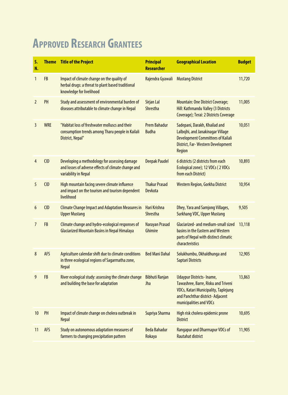#### **Approved Research Grantees**

| S.<br>N.       | <b>Theme</b> | <b>Title of the Project</b>                                                                                                  | <b>Principal</b><br><b>Researcher</b> | <b>Geographical Location</b>                                                                                                                                                  | <b>Budget</b> |
|----------------|--------------|------------------------------------------------------------------------------------------------------------------------------|---------------------------------------|-------------------------------------------------------------------------------------------------------------------------------------------------------------------------------|---------------|
| $\mathbf{1}$   | <b>FB</b>    | Impact of climate change on the quality of<br>herbal drugs: a threat to plant based traditional<br>knowledge for livelihood  | Rajendra Gyawali                      | <b>Mustang District</b>                                                                                                                                                       | 11,720        |
| $\overline{2}$ | PH           | Study and assessment of environmental burden of<br>diseases attributable to climate change in Nepal                          | Sirjan Lal<br><b>Shrestha</b>         | <b>Mountain: One District Coverage;</b><br>Hill: Kathmandu Valley (3 Districts<br>Coverage); Terai: 2 Districts Coverage                                                      | 11,005        |
| $\overline{3}$ | <b>WRE</b>   | "Habitat loss of freshwater molluscs and their<br>consumption trends among Tharu people in Kailali<br>District, Nepal"       | <b>Prem Bahadur</b><br><b>Budha</b>   | Sadepani, Darakh, Khailad and<br>Lalbojhi, and Janakinagar Village<br><b>Development Committees of Kailali</b><br>District, Far-Western Development<br>Region                 | 10,051        |
| $\overline{4}$ | <b>CID</b>   | Developing a methodology for assessing damage<br>and losses of adverse effects of climate change and<br>variability in Nepal | <b>Deepak Paudel</b>                  | 6 districts (2 districts from each<br>Ecological zone); 12 VDCs (2 VDCs<br>from each District)                                                                                | 10,893        |
| 5              | <b>CID</b>   | High mountain facing severe climate influence<br>and impact on the tourism and tourism dependent<br>livelihood               | <b>Thakur Prasad</b><br>Devkota       | Western Region, Gorkha District                                                                                                                                               | 10,954        |
| 6              | <b>CID</b>   | <b>Climate Change Impact and Adaptation Measures in</b><br><b>Upper Mustang</b>                                              | Hari Krishna<br><b>Shrestha</b>       | Dhey, Yara and Samjong Villages,<br><b>Surkhang VDC, Upper Mustang</b>                                                                                                        | 9,505         |
| $\overline{7}$ | <b>FB</b>    | Climate change and hydro-ecological responses of<br><b>Glaciarized Mountain Basins in Nepal Himalaya</b>                     | Narayan Prasad<br>Ghimire             | Glaciarized- and medium-small sized<br>basins in the Eastern and Western<br>parts of Nepal with distinct climatic<br>characteristics                                          | 13,118        |
| 8              | <b>AFS</b>   | Agriculture calendar shift due to climate conditions<br>in three ecological regions of Sagarmatha zone,<br><b>Nepal</b>      | <b>Bed Mani Dahal</b>                 | Solukhumbu, Okhaldhunga and<br>Saptari Districts                                                                                                                              | 12,905        |
| 9              | <b>FB</b>    | River ecological study: assessing the climate change<br>and building the base for adaptation                                 | <b>Bibhuti Ranjan</b><br>Jha          | <b>Udaypur Districts-Iname,</b><br>Tawashree, Barre, Risku and Triveni<br>VDCs, Katari Municipality, Taplejung<br>and Panchthar district- Adjacent<br>municipalities and VDCs | 13,863        |
| 10             | PH           | Impact of climate change on cholera outbreak in<br><b>Nepal</b>                                                              | Supriya Sharma                        | High risk cholera epidemic prone<br><b>District</b>                                                                                                                           | 10,695        |
| 11             | <b>AFS</b>   | Study on autonomous adaptation measures of<br>farmers to changing precipitation pattern                                      | <b>Beda Bahadur</b><br>Rokaya         | <b>Rangapur and Dharmapur VDCs of</b><br><b>Rautahat district</b>                                                                                                             | 11,905        |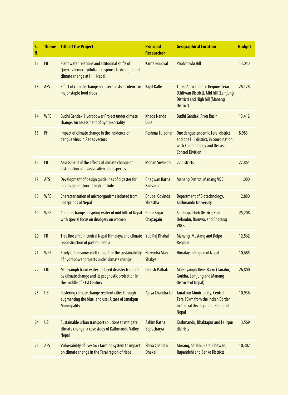| S.<br>N. |            | <b>Theme</b> Title of the Project                                                                                                      | <b>Principal</b><br><b>Researcher</b>    | <b>Geographical Location</b>                                                                                                            | <b>Budget</b> |
|----------|------------|----------------------------------------------------------------------------------------------------------------------------------------|------------------------------------------|-----------------------------------------------------------------------------------------------------------------------------------------|---------------|
| 12       | <b>FB</b>  | Plant water relations and altitudinal shifts of<br>Quercus semecarpifolia in response to drought and<br>climate change at Hill, Nepal. | <b>Kanta Poudyal</b>                     | <b>Phulchowki Hill</b>                                                                                                                  | 13,040        |
| 13       | <b>AFS</b> | Effect of climate change on insect pests incidence in<br>major staple food crops                                                       | <b>Kapil Kafle</b>                       | <b>Three Agro Climatic Regions Terai</b><br>(Chitwan District), Mid hill (Lamjung<br>District) and High hill (Manang<br>District)       | 26,128        |
| 14       | <b>WRE</b> | Budhi Gandaki Hydropower Project under climate<br>change: An assessment of hydro-sociality                                             | Khada Nanda<br><b>Dulal</b>              | <b>Budhi Gandaki River Basin</b>                                                                                                        | 13,412        |
| 15       | PH         | Impact of climate change in the incidence of<br>dengue virus in Aedes vectors                                                          | Reshma Tuladhar                          | One dengue endemic Terai district<br>and one Hill district, in coordination<br>with Epidemiology and Disease<br><b>Control Division</b> | 8,983         |
| 16       | <b>FB</b>  | Assessment of the effects of climate change on<br>distribution of invasive alien plant species                                         | <b>Mohan Siwakoti</b>                    | 22 districts                                                                                                                            | 27,864        |
| 17       | <b>AFS</b> | Development of design guidelines of digester for<br>biogas generation at high altitude                                                 | <b>Bhagwan Ratna</b><br>Kansakar         | <b>Manang District, Manang VDC</b>                                                                                                      | 11,000        |
| 18       | <b>WRE</b> | Characterization of microorganisms isolated from<br>hot springs of Nepal                                                               | <b>Bhupal Govinda</b><br><b>Shrestha</b> | <b>Department of Biotechnology,</b><br><b>Kathmandu University</b>                                                                      | 12,880        |
| 19       | <b>WRE</b> | Climate change on spring water of mid hills of Nepal<br>with special focus on drudgery on women                                        | <b>Prem Sagar</b><br>Chapagain           | Sindhupalchok District; Kiul,<br>Helambu, Baruwa, and Bhotang<br><b>VDCs</b>                                                            | 25,208        |
| 20       | <b>FB</b>  | Tree line shift in central Nepal Himalaya and climate Yub Raj Dhakal<br>reconstruction of past millennia                               |                                          | Manang, Mustang and Dolpo<br><b>Regions</b>                                                                                             | 12,562        |
| 21       | <b>WRE</b> | Study of the snow-melt run off for the sustainability<br>of hydropower projects under climate change                                   | Narendra Man<br>Shakya                   | <b>Himalayan Region of Nepal</b>                                                                                                        | 10,685        |
| 22       | <b>CID</b> | Marsyangdi basin water-induced disaster triggered<br>by climate change and its prognostic projection in<br>the middle of 21st Century  | <b>Dinesh Pathak</b>                     | Marshyangdi River Basin (Tanahu,<br><b>Gorkha, Lamjung and Manang</b><br><b>Districts of Nepal)</b>                                     | 26,800        |
| 23       | <b>USI</b> | Fostering climate change resilient cities through<br>augmenting the blue land use: A case of Janakpur<br><b>Municipality</b>           | Ajaya Chandra Lal                        | Janakpur Municipality, Central<br><b>Terai15km from the Indian Border</b><br>in Central Development Region of<br><b>Nepal</b>           | 10,936        |
| 24       | <b>USI</b> | Sustainable urban transport solutions to mitigate<br>climate change, a case study of Kathmandu Valley,<br><b>Nepal</b>                 | <b>Ashim Ratna</b><br>Bajracharya        | Kathmandu, Bhaktapur and Lalitpur<br>districts                                                                                          | 13,569        |
| 25       | <b>AFS</b> | Vulnerability of livestock farming system to impact<br>on climate change in the Terai region of Nepal                                  | <b>Shiva Chandra</b><br><b>Dhakal</b>    | Morang, Sarlahi, Bara, Chitwan,<br><b>Rupandehi and Banke Districts</b>                                                                 | 10,302        |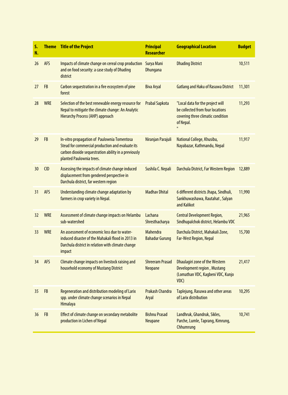| S.<br>N. | <b>Theme</b> | <b>Title of the Project</b>                                                                                                                                                         | <b>Principal</b><br><b>Researcher</b>    | <b>Geographical Location</b>                                                                                            | <b>Budget</b> |
|----------|--------------|-------------------------------------------------------------------------------------------------------------------------------------------------------------------------------------|------------------------------------------|-------------------------------------------------------------------------------------------------------------------------|---------------|
| 26       | <b>AFS</b>   | Impacts of climate change on cereal crop production<br>and on food security: a case study of Dhading<br>district                                                                    | Surya Mani<br><b>Dhungana</b>            | <b>Dhading District</b>                                                                                                 | 10,511        |
| 27       | <b>FB</b>    | Carbon sequestration in a fire ecosystem of pine<br>forest                                                                                                                          | <b>Biva Aryal</b>                        | <b>Gatlang and Haku of Rasuwa District</b>                                                                              | 11,301        |
| 28       | <b>WRE</b>   | Selection of the best renewable energy resource for<br>Nepal to mitigate the climate change: An Analytic<br><b>Hierarchy Process (AHP) approach</b>                                 | <b>Prabal Sapkota</b>                    | "Local data for the project will<br>be collected from four locations<br>covering three climatic condition<br>of Nepal.  | 11,293        |
| 29       | <b>FB</b>    | In-vitro propagation of Paulownia Tomentosa<br>Steud for commercial production and evaluate its<br>carbon dioxide sequestration ability in a previously<br>planted Paulownia trees. | Niranjan Parajuli                        | National College, Khusibu,<br>Nayabazar, Kathmandu, Nepal                                                               | 11,917        |
| 30       | <b>CID</b>   | Assessing the impacts of climate change induced<br>displacement from gendered perspective in<br>Darchula district, far western region                                               | Sushila C. Nepali                        | Darchula District, Far Western Region                                                                                   | 12,889        |
| 31       | <b>AFS</b>   | Understanding climate change adaptation by<br>farmers in crop variety in Nepal.                                                                                                     | <b>Madhav Dhital</b>                     | 6 different districts Jhapa, Sindhuli,<br>Sankhuwashawa, Rautahat, Salyan<br>and Kalikot                                | 11,990        |
| 32       | <b>WRE</b>   | Assessment of climate change impacts on Helambu<br>sub-watershed                                                                                                                    | Lachana<br>Shresthacharya                | <b>Central Development Region,</b><br>Sindhupalchok district, Helambu VDC                                               | 21,965        |
| 33       | <b>WRE</b>   | An assessment of economic loss due to water-<br>induced disaster of the Mahakali flood in 2013 in<br>Darchula district in relation with climate change<br>impact                    | <b>Mahendra</b><br><b>Bahadur Gurung</b> | Darchula District, Mahakali Zone,<br><b>Far-West Region, Nepal</b>                                                      | 15,700        |
| 34       | <b>AFS</b>   | Climate change impacts on livestock raising and<br>household economy of Mustang District                                                                                            | <b>Shreeram Prasad</b><br>Neopane        | <b>Dhaulagiri zone of the Western</b><br><b>Development region, Mustang</b><br>(Lomathan VDC, Kagbeni VDC, Kunjo<br>VDC | 21,417        |
| 35       | <b>FB</b>    | Regeneration and distribution modeling of Larix<br>spp. under climate change scenarios in Nepal<br>Himalaya                                                                         | <b>Prakash Chandra</b><br>Aryal          | Taplejung, Rasuwa and other areas<br>of Larix distribution                                                              | 10,295        |
| 36       | <b>FB</b>    | Effect of climate change on secondary metabolite<br>production in Lichen of Nepal                                                                                                   | <b>Bishnu Prasad</b><br>Neupane          | Landhruk, Ghandruk, Sikles,<br>Parche, Lumle, Taprang, Kimrung,<br>Chhumrung                                            | 10,741        |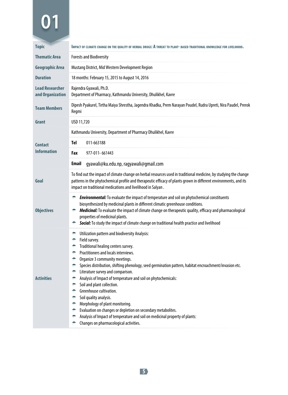| <b>Topic</b>                               | IMPACT OF CLIMATE CHANGE ON THE QUALITY OF HERBAL DRUGS: A THREAT TO PLANT- BASED TRADITIONAL KNOWLEDGE FOR LIVELIHOOD.                                                                                                                                                                                                                                                                                                                                                                                                                                                                                                                                                                                                                                                                     |
|--------------------------------------------|---------------------------------------------------------------------------------------------------------------------------------------------------------------------------------------------------------------------------------------------------------------------------------------------------------------------------------------------------------------------------------------------------------------------------------------------------------------------------------------------------------------------------------------------------------------------------------------------------------------------------------------------------------------------------------------------------------------------------------------------------------------------------------------------|
| <b>Thematic Area</b>                       | <b>Forests and Biodiversity</b>                                                                                                                                                                                                                                                                                                                                                                                                                                                                                                                                                                                                                                                                                                                                                             |
| Geographic Area                            | Mustang District, Mid Western Development Region                                                                                                                                                                                                                                                                                                                                                                                                                                                                                                                                                                                                                                                                                                                                            |
| <b>Duration</b>                            | 18 months: February 15, 2015 to August 14, 2016                                                                                                                                                                                                                                                                                                                                                                                                                                                                                                                                                                                                                                                                                                                                             |
| <b>Lead Researcher</b><br>and Organization | Rajendra Gyawali, Ph.D.<br>Department of Pharmacy, Kathmandu University, Dhulikhel, Kavre                                                                                                                                                                                                                                                                                                                                                                                                                                                                                                                                                                                                                                                                                                   |
| <b>Team Members</b>                        | Dipesh Pyakurel, Tirtha Maiya Shrestha, Jagendra Khadka, Prem Narayan Poudel, Rudra Upreti, Nira Paudel, Prerok<br>Regmi                                                                                                                                                                                                                                                                                                                                                                                                                                                                                                                                                                                                                                                                    |
| Grant                                      | USD 11,720                                                                                                                                                                                                                                                                                                                                                                                                                                                                                                                                                                                                                                                                                                                                                                                  |
|                                            | Kathmandu University, Department of Pharmacy Dhulikhel, Kavre                                                                                                                                                                                                                                                                                                                                                                                                                                                                                                                                                                                                                                                                                                                               |
| <b>Contact</b>                             | Tel<br>011-663188                                                                                                                                                                                                                                                                                                                                                                                                                                                                                                                                                                                                                                                                                                                                                                           |
| <b>Information</b>                         | Fax<br>977-011-661443                                                                                                                                                                                                                                                                                                                                                                                                                                                                                                                                                                                                                                                                                                                                                                       |
|                                            | <b>Email</b><br>gyawali@ku.edu.np, ragyawali@gmail.com                                                                                                                                                                                                                                                                                                                                                                                                                                                                                                                                                                                                                                                                                                                                      |
| Goal                                       | To find out the impact of climate change on herbal resources used in traditional medicine, by studying the change<br>patterns in the phytochemical profile and therapeutic efficacy of plants grown in different environments, and its<br>impact on traditional medications and livelihood in Salyan.                                                                                                                                                                                                                                                                                                                                                                                                                                                                                       |
| <b>Objectives</b>                          | <b>Environmental:</b> To evaluate the impact of temperature and soil on phytochemical constituents<br>۰<br>biosynthesized by medicinal plants in different climatic greenhouse conditions.<br>Medicinal: To evaluate the impact of climate change on therapeutic quality, efficacy and pharmacological<br>properties of medicinal plants.<br>Social: To study the impact of climate change on traditional health practice and livelihood<br>۰                                                                                                                                                                                                                                                                                                                                               |
| <b>Activities</b>                          | Utilization pattern and biodiversity Analysis:<br>÷<br>Field survey.<br>۰<br>Traditional healing centers survey.<br>۰<br>Practitioners and locals interviews.<br>۰<br>۰<br>Organize 3 community meetings.<br>۰<br>Species distribution, shifting phenology, seed germination pattern, habitat encroachment/invasion etc.<br>Literature survey and comparison.<br>÷.<br>Analysis of Impact of temperature and soil on phytochemicals:<br>۰<br>۰<br>Soil and plant collection.<br>Greenhouse cultivation.<br>۰<br>Soil quality analysis.<br>۰<br>Morphology of plant monitoring.<br>۰<br>Evaluation on changes or depletion on secondary metabolites.<br>۰<br>Analysis of Impact of temperature and soil on medicinal property of plants:<br>÷<br>Changes on pharmacological activities.<br>۰ |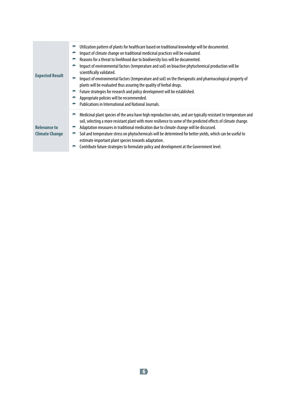| <b>Expected Result</b>                       | Utilization pattern of plants for healthcare based on traditional knowledge will be documented.<br>÷<br>Impact of climate change on traditional medicinal practices will be evaluated.<br>÷<br>Reasons for a threat to livelihood due to biodiversity loss will be documented.<br>÷<br>Impact of environmental factors (temperature and soil) on bioactive phytochemical production will be<br>÷<br>scientifically validated.<br>Impact of environmental factors (temperature and soil) on the therapeutic and pharmacological property of<br>÷.<br>plants will be evaluated thus assuring the quality of herbal drugs.<br>Future strategies for research and policy development will be established.<br>÷<br>Appropriate policies will be recommended.<br>Publications in International and National Journals. |
|----------------------------------------------|-----------------------------------------------------------------------------------------------------------------------------------------------------------------------------------------------------------------------------------------------------------------------------------------------------------------------------------------------------------------------------------------------------------------------------------------------------------------------------------------------------------------------------------------------------------------------------------------------------------------------------------------------------------------------------------------------------------------------------------------------------------------------------------------------------------------|
| <b>Relevance to</b><br><b>Climate Change</b> | Medicinal plant species of the area have high reproduction rates, and are typically resistant to temperature and<br>÷<br>soil, selecting a more resistant plant with more resilience to some of the predicted effects of climate change.<br>Adaptation measures in traditional medication due to climate change will be discussed.<br>÷<br>Soil and temperature stress on phytochemicals will be determined for better yields, which can be useful to<br>÷<br>estimate important plant species towards adaptation.<br>Contribute future strategies to formulate policy and development at the Government level.<br>÷                                                                                                                                                                                            |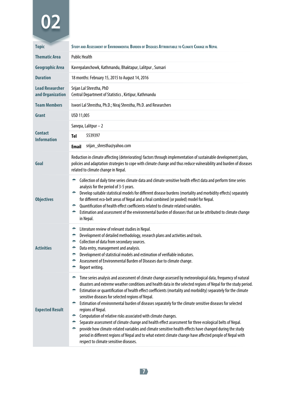| <b>Topic</b>                               | STUDY AND ASSESSMENT OF ENVIRONMENTAL BURDEN OF DISEASES ATTRIBUTABLE TO CLIMATE CHANGE IN NEPAL                                                                                                                                                                                                                                                                                                                                                                                                                                                                                                                                                                                                                                                                                                                                                                                                                                                                                                                |
|--------------------------------------------|-----------------------------------------------------------------------------------------------------------------------------------------------------------------------------------------------------------------------------------------------------------------------------------------------------------------------------------------------------------------------------------------------------------------------------------------------------------------------------------------------------------------------------------------------------------------------------------------------------------------------------------------------------------------------------------------------------------------------------------------------------------------------------------------------------------------------------------------------------------------------------------------------------------------------------------------------------------------------------------------------------------------|
| <b>Thematic Area</b>                       | <b>Public Health</b>                                                                                                                                                                                                                                                                                                                                                                                                                                                                                                                                                                                                                                                                                                                                                                                                                                                                                                                                                                                            |
| Geographic Area                            | Kavrepalanchowk, Kathmandu, Bhaktapur, Lalitpur, Sunsari                                                                                                                                                                                                                                                                                                                                                                                                                                                                                                                                                                                                                                                                                                                                                                                                                                                                                                                                                        |
| <b>Duration</b>                            | 18 months: February 15, 2015 to August 14, 2016                                                                                                                                                                                                                                                                                                                                                                                                                                                                                                                                                                                                                                                                                                                                                                                                                                                                                                                                                                 |
| <b>Lead Researcher</b><br>and Organization | Srijan Lal Shrestha, PhD<br>Central Department of Statistics, Kirtipur, Kathmandu                                                                                                                                                                                                                                                                                                                                                                                                                                                                                                                                                                                                                                                                                                                                                                                                                                                                                                                               |
| <b>Team Members</b>                        | Iswori Lal Shrestha, Ph.D.; Niraj Shrestha, Ph.D. and Researchers                                                                                                                                                                                                                                                                                                                                                                                                                                                                                                                                                                                                                                                                                                                                                                                                                                                                                                                                               |
| Grant                                      | USD 11,005                                                                                                                                                                                                                                                                                                                                                                                                                                                                                                                                                                                                                                                                                                                                                                                                                                                                                                                                                                                                      |
|                                            | Sanepa, Lalitpur - 2                                                                                                                                                                                                                                                                                                                                                                                                                                                                                                                                                                                                                                                                                                                                                                                                                                                                                                                                                                                            |
| <b>Contact</b><br><b>Information</b>       | 5539397<br><b>Tel</b>                                                                                                                                                                                                                                                                                                                                                                                                                                                                                                                                                                                                                                                                                                                                                                                                                                                                                                                                                                                           |
|                                            | srijan_shrestha@yahoo.com<br><b>Email</b>                                                                                                                                                                                                                                                                                                                                                                                                                                                                                                                                                                                                                                                                                                                                                                                                                                                                                                                                                                       |
| Goal                                       | Reduction in climate affecting (deteriorating) factors through implementation of sustainable development plans,<br>policies and adaptation strategies to cope with climate change and thus reduce vulnerability and burden of diseases<br>related to climate change in Nepal.                                                                                                                                                                                                                                                                                                                                                                                                                                                                                                                                                                                                                                                                                                                                   |
| <b>Objectives</b>                          | ۰<br>Collection of daily time series climate data and climate sensitive health effect data and perform time series<br>analysis for the period of 3-5 years.<br>Develop suitable statistical models for different disease burdens (mortality and morbidity effects) separately<br>÷<br>for different eco-belt areas of Nepal and a final combined (or pooled) model for Nepal.<br>← Ouantification of health effect coefficients related to climate related variables.<br>÷.<br>Estimation and assessment of the environmental burden of diseases that can be attributed to climate change<br>in Nepal.                                                                                                                                                                                                                                                                                                                                                                                                          |
| <b>Activities</b>                          | ۰<br>Literature review of relevant studies in Nepal.<br>÷.<br>Development of detailed methodology, research plans and activities and tools.<br>Collection of data from secondary sources.<br>÷.<br>Data entry, management and analysis.<br>÷.<br>Development of statistical models and estimation of verifiable indicators.<br>÷.<br>۰<br>Assessment of Environmental Burden of Diseases due to climate change.<br>۰<br>Report writing.                                                                                                                                                                                                                                                                                                                                                                                                                                                                                                                                                                         |
| <b>Expected Result</b>                     | Time series analysis and assessment of climate change assessed by meteorological data, frequency of natural<br>disasters and extreme weather conditions and health data in the selected regions of Nepal for the study period.<br>Estimation or quantification of health effect coefficients (mortality and morbidity) separately for the climate<br>sensitive diseases for selected regions of Nepal.<br>Estimation of environmental burden of diseases separately for the climate sensitive diseases for selected<br>÷.<br>regions of Nepal.<br>Computation of relative risks associated with climate changes.<br>÷.<br>÷.<br>Separate assessment of climate change and health effect assessment for three ecological belts of Nepal.<br>provide how climate-related variables and climate sensitive health effects have changed during the study<br>÷<br>period in different regions of Nepal and to what extent climate change have affected people of Nepal with<br>respect to climate sensitive diseases. |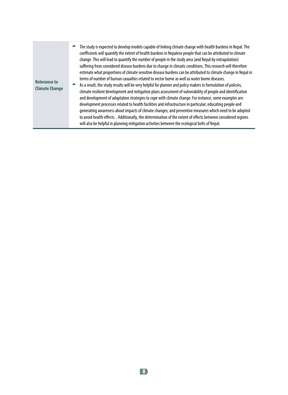| <b>Relevance to</b><br><b>Climate Change</b> | The study is expected to develop models capable of linking climate change with health burdens in Nepal. The<br>÷<br>coefficients will quantify the extent of health burdens in Nepalese people that can be attributed to climate<br>change. This will lead to quantify the number of people in the study area (and Nepal by extrapolation)<br>suffering from considered disease burdens due to change in climatic conditions. This research will therefore<br>estimate what proportions of climate sensitive disease burdens can be attributed to climate change in Nepal in<br>terms of number of human casualties related to vector borne as well as water borne diseases.<br>As a result, the study results will be very helpful for planner and policy makers in formulation of policies,<br>₩.<br>climate resilient development and mitigation plans assessment of vulnerability of people and identification<br>and development of adaptation strategies to cope with climate change. For instance, some examples are:<br>development processes related to health facilities and infrastructure in particular; educating people and<br>generating awareness about impacts of climate changes; and preventive measures which need to be adopted<br>to avoid health effects. . Additionally, the determination of the extent of effects between considered regions<br>will also be helpful in planning mitigation activities between the ecological belts of Nepal. |
|----------------------------------------------|-------------------------------------------------------------------------------------------------------------------------------------------------------------------------------------------------------------------------------------------------------------------------------------------------------------------------------------------------------------------------------------------------------------------------------------------------------------------------------------------------------------------------------------------------------------------------------------------------------------------------------------------------------------------------------------------------------------------------------------------------------------------------------------------------------------------------------------------------------------------------------------------------------------------------------------------------------------------------------------------------------------------------------------------------------------------------------------------------------------------------------------------------------------------------------------------------------------------------------------------------------------------------------------------------------------------------------------------------------------------------------------------------------------------------------------------------------------------------|
|----------------------------------------------|-------------------------------------------------------------------------------------------------------------------------------------------------------------------------------------------------------------------------------------------------------------------------------------------------------------------------------------------------------------------------------------------------------------------------------------------------------------------------------------------------------------------------------------------------------------------------------------------------------------------------------------------------------------------------------------------------------------------------------------------------------------------------------------------------------------------------------------------------------------------------------------------------------------------------------------------------------------------------------------------------------------------------------------------------------------------------------------------------------------------------------------------------------------------------------------------------------------------------------------------------------------------------------------------------------------------------------------------------------------------------------------------------------------------------------------------------------------------------|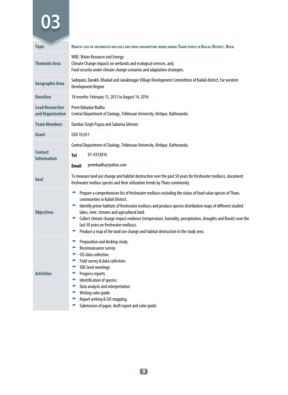| <b>Topic</b>                               | HABITAT LOSS OF FRESHWATER MOLLUSCS AND THEIR CONSUMPTION TRENDS AMONG THARU PEOPLE IN KAILALI DISTRICT, NEPAL                                                                                                                                                                                                                                                                                                                                                                                                                                                            |
|--------------------------------------------|---------------------------------------------------------------------------------------------------------------------------------------------------------------------------------------------------------------------------------------------------------------------------------------------------------------------------------------------------------------------------------------------------------------------------------------------------------------------------------------------------------------------------------------------------------------------------|
| <b>Thematic Area</b>                       | <b>WRE: Water Resource and Energy:</b><br>Climate Change impacts on wetlands and ecological services, and;<br>Food security under climate change scenarios and adaptation strategies.                                                                                                                                                                                                                                                                                                                                                                                     |
| <b>Geographic Area</b>                     | Sadepani, Darakh, Khailad and Janakinagar Village Development Committees of Kailali district, Far western<br><b>Development Region</b>                                                                                                                                                                                                                                                                                                                                                                                                                                    |
| <b>Duration</b>                            | 18 months: February 15, 2015 to August 14, 2016                                                                                                                                                                                                                                                                                                                                                                                                                                                                                                                           |
| <b>Lead Researcher</b><br>and Organization | Prem Bahadur Budha<br>Central Department of Zoology, Tribhuvan University, Kirtipur, Kathmandu.                                                                                                                                                                                                                                                                                                                                                                                                                                                                           |
| <b>Team Members</b>                        | Dambar Singh Pujara and Subarna Ghimire                                                                                                                                                                                                                                                                                                                                                                                                                                                                                                                                   |
| Grant                                      | USD 10,051                                                                                                                                                                                                                                                                                                                                                                                                                                                                                                                                                                |
|                                            | Central Department of Zoology, Tribhuvan University, Kirtipur, Kathmandu.                                                                                                                                                                                                                                                                                                                                                                                                                                                                                                 |
| <b>Contact</b><br><b>Information</b>       | 01-4333816<br>Tel                                                                                                                                                                                                                                                                                                                                                                                                                                                                                                                                                         |
|                                            | prembudha@yahoo.com<br><b>Email</b>                                                                                                                                                                                                                                                                                                                                                                                                                                                                                                                                       |
| Goal                                       | To measure land use change and habitat destruction over the past 50 years for freshwater molluscs, document<br>freshwater mollusc species and their utilization trends by Tharu community.                                                                                                                                                                                                                                                                                                                                                                                |
| <b>Objectives</b>                          | Prepare a comprehensive list of freshwater molluscs including the status of food value species of Tharu<br>۰<br>communities in Kailali District.<br>Identify prime habitats of freshwater molluscs and produce species distribution maps of different studied<br>÷.<br>lakes, river, streams and agricultural land.<br>Collect climate change impact evidence (temperature, humidity, precipitation, droughts and floods) over the<br>₩.<br>last 50 years on freshwater molluscs.<br>Produce a map of the land use change and habitat destruction in the study area.<br>÷ |
| <b>Activities</b>                          | Preparation and desktop study.<br>÷<br>Reconnaissance survey.<br>÷.<br>GIS data collection.<br>÷<br>Field survey & data collection.<br>۰<br>VDC level meetings.<br>÷<br>Progress reports.<br>÷<br>Identification of species.<br>÷.<br>Data analysis and interpretation.<br>÷<br>Writing color guide.<br>۰<br>Report writing & GIS mapping.<br>÷<br>Submission of paper, draft report and color guide.<br>۰                                                                                                                                                                |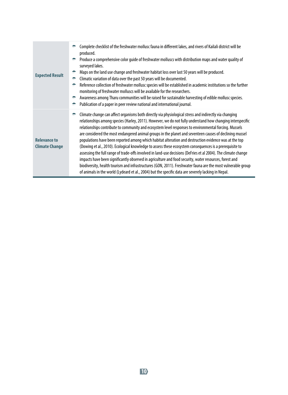| <b>Expected Result</b>                       | Complete checklist of the freshwater mollusc fauna in different lakes, and rivers of Kailali district will be<br>produced.<br>Produce a comprehensive color quide of freshwater molluscs with distribution maps and water quality of<br>÷<br>surveyed lakes.<br>Maps on the land use change and freshwater habitat loss over last 50 years will be produced.<br>Climatic variation of data over the past 50 years will be documented.<br>÷<br>Reference collection of freshwater mollusc species will be established in academic institutions so the further<br>÷<br>monitoring of freshwater molluscs will be available for the researchers.<br>Awareness among Tharu communities will be raised for sustainable harvesting of edible mollusc species.<br>÷<br>Publication of a paper in peer review national and international journal.                                                                                                                                                                                                                                                                       |
|----------------------------------------------|-----------------------------------------------------------------------------------------------------------------------------------------------------------------------------------------------------------------------------------------------------------------------------------------------------------------------------------------------------------------------------------------------------------------------------------------------------------------------------------------------------------------------------------------------------------------------------------------------------------------------------------------------------------------------------------------------------------------------------------------------------------------------------------------------------------------------------------------------------------------------------------------------------------------------------------------------------------------------------------------------------------------------------------------------------------------------------------------------------------------|
| <b>Relevance to</b><br><b>Climate Change</b> | Climate change can affect organisms both directly via physiological stress and indirectly via changing<br>relationships among species (Harley, 2011). However, we do not fully understand how changing interspecific<br>relationships contribute to community and ecosystem level responses to environmental forcing. Mussels<br>are considered the most endangered animal groups in the planet and seventeen causes of declining mussel<br>populations have been reported among which habitat alteration and destruction evidence was at the top<br>(Dowing et al., 2010). Ecological knowledge to assess these ecosystem consequences is a prerequisite to<br>assessing the full range of trade-offs involved in land-use decisions (DeFries et al 2004). The climate change<br>impacts have been significantly observed in agriculture and food security, water resources, forest and<br>biodiversity, health tourism and infrastructures (GON, 2011). Freshwater fauna are the most vulnerable group<br>of animals in the world (Lydeard et al., 2004) but the specific data are severely lacking in Nepal. |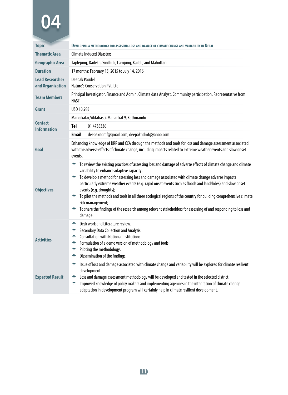| <b>Topic</b>                               | DEVELOPING A METHODOLOGY FOR ASSESSING LOSS AND DAMAGE OF CLIMATE CHANGE AND VARIABILITY IN NEPAL                                                                                                                                                                                                                                                                                                                                                                                                                                                                                                                                                                                            |
|--------------------------------------------|----------------------------------------------------------------------------------------------------------------------------------------------------------------------------------------------------------------------------------------------------------------------------------------------------------------------------------------------------------------------------------------------------------------------------------------------------------------------------------------------------------------------------------------------------------------------------------------------------------------------------------------------------------------------------------------------|
| <b>Thematic Area</b>                       | <b>Climate Induced Disasters</b>                                                                                                                                                                                                                                                                                                                                                                                                                                                                                                                                                                                                                                                             |
| <b>Geographic Area</b>                     | Taplejung, Dailekh, Sindhuli, Lamjung, Kailali, and Mahottari.                                                                                                                                                                                                                                                                                                                                                                                                                                                                                                                                                                                                                               |
| <b>Duration</b>                            | 17 months: February 15, 2015 to July 14, 2016                                                                                                                                                                                                                                                                                                                                                                                                                                                                                                                                                                                                                                                |
| <b>Lead Researcher</b><br>and Organization | <b>Deepak Paudel</b><br><b>Nature's Conservation Pvt. Ltd</b>                                                                                                                                                                                                                                                                                                                                                                                                                                                                                                                                                                                                                                |
| <b>Team Members</b>                        | Principal Investigator, Finance and Admin, Climate data Analyst, Community participation, Representative from<br><b>NAST</b>                                                                                                                                                                                                                                                                                                                                                                                                                                                                                                                                                                 |
| Grant                                      | USD 10,983                                                                                                                                                                                                                                                                                                                                                                                                                                                                                                                                                                                                                                                                                   |
|                                            | Mandikatar/Aktabasti, Mahankal 9, Kathmandu                                                                                                                                                                                                                                                                                                                                                                                                                                                                                                                                                                                                                                                  |
| <b>Contact</b><br><b>Information</b>       | Tel<br>01 4738336                                                                                                                                                                                                                                                                                                                                                                                                                                                                                                                                                                                                                                                                            |
|                                            | <b>Email</b><br>deepakndmf@gmail.com, deepakndmf@yahoo.com                                                                                                                                                                                                                                                                                                                                                                                                                                                                                                                                                                                                                                   |
| Goal                                       | Enhancing knowledge of DRR and CCA through the methods and tools for loss and damage assessment associated<br>with the adverse effects of climate change, including impacts related to extreme weather events and slow onset<br>events.                                                                                                                                                                                                                                                                                                                                                                                                                                                      |
| <b>Objectives</b>                          | To review the existing practices of assessing loss and damage of adverse effects of climate change and climate<br>÷<br>variability to enhance adaptive capacity;<br>To develop a method for assessing loss and damage associated with climate change adverse impacts<br>particularly extreme weather events (e.g. rapid onset events such as floods and landslides) and slow onset<br>events (e.g. droughts);<br>To pilot the methods and tools in all three ecological regions of the country for building comprehensive climate<br>÷.<br>risk management;<br>To share the findings of the research among relevant stakeholders for assessing of and responding to loss and<br>÷<br>damage. |
| <b>Activities</b>                          | Desk work and Literature review.<br>÷<br>Secondary Data Collection and Analysis.<br>۰<br><b>Consultation with National Institutions.</b><br>۰<br>Formulation of a demo version of methodology and tools.<br>۰<br>Piloting the methodology.<br>۰<br>Dissemination of the findings.<br>۰                                                                                                                                                                                                                                                                                                                                                                                                       |
| <b>Expected Result</b>                     | Issue of loss and damage associated with climate change and variability will be explored for climate resilient<br>÷<br>development.<br>Loss and damage assessment methodology will be developed and tested in the selected district.<br>۰<br>Improved knowledge of policy makers and implementing agencies in the integration of climate change<br>۰<br>adaptation in development program will certainly help in climate resilient development.                                                                                                                                                                                                                                              |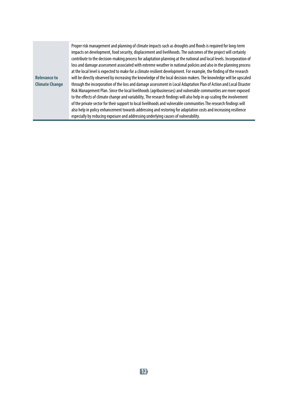Proper risk management and planning of climate impacts such as droughts and floods is required for long-term impacts on development, food security, displacement and livelihoods. The outcomes of the project will certainly contribute to the decision-making process for adaptation planning at the national and local levels. Incorporation of loss and damage assessment associated with extreme weather in national policies and also in the planning process at the local level is expected to make for a climate resilient development. For example, the finding of the research will be directly observed by increasing the knowledge of the local decision makers. The knowledge will be upscaled through the incorporation of the loss and damage assessment in Local Adaptation Plan of Action and Local Disaster Risk Management Plan. Since the local livelihoods (agribusinesses) and vulnerable communities are more exposed to the effects of climate change and variability, The research findings will also help in up-scaling the involvement of the private sector for their support to local livelihoods and vulnerable communities The research findings will also help in policy enhancement towards addressing and restoring for adaptation costs and increasing resilience especially by reducing exposure and addressing underlying causes of vulnerability.

#### **Relevance to Climate Change**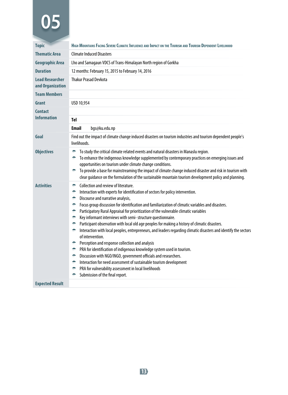| <b>Topic</b>                               | HIGH MOUNTAINS FACING SEVERE CLIMATIC INFLUENCE AND IMPACT ON THE TOURISM AND TOURISM DEPENDENT LIVELIHOOD                                                                                                                                                                                                                                                                                                                                                                                                                                                                                                                                                                                                                                                                                                                                                                                                                                                                                                                                                                                                      |
|--------------------------------------------|-----------------------------------------------------------------------------------------------------------------------------------------------------------------------------------------------------------------------------------------------------------------------------------------------------------------------------------------------------------------------------------------------------------------------------------------------------------------------------------------------------------------------------------------------------------------------------------------------------------------------------------------------------------------------------------------------------------------------------------------------------------------------------------------------------------------------------------------------------------------------------------------------------------------------------------------------------------------------------------------------------------------------------------------------------------------------------------------------------------------|
| <b>Thematic Area</b>                       | <b>Climate Induced Disasters</b>                                                                                                                                                                                                                                                                                                                                                                                                                                                                                                                                                                                                                                                                                                                                                                                                                                                                                                                                                                                                                                                                                |
| <b>Geographic Area</b>                     | Lho and Samagaun VDCS of Trans-Himalayan North region of Gorkha                                                                                                                                                                                                                                                                                                                                                                                                                                                                                                                                                                                                                                                                                                                                                                                                                                                                                                                                                                                                                                                 |
| <b>Duration</b>                            | 12 months: February 15, 2015 to February 14, 2016                                                                                                                                                                                                                                                                                                                                                                                                                                                                                                                                                                                                                                                                                                                                                                                                                                                                                                                                                                                                                                                               |
| <b>Lead Researcher</b><br>and Organization | <b>Thakur Prasad Devkota</b>                                                                                                                                                                                                                                                                                                                                                                                                                                                                                                                                                                                                                                                                                                                                                                                                                                                                                                                                                                                                                                                                                    |
| <b>Team Members</b>                        |                                                                                                                                                                                                                                                                                                                                                                                                                                                                                                                                                                                                                                                                                                                                                                                                                                                                                                                                                                                                                                                                                                                 |
| Grant                                      | USD 10,954                                                                                                                                                                                                                                                                                                                                                                                                                                                                                                                                                                                                                                                                                                                                                                                                                                                                                                                                                                                                                                                                                                      |
| <b>Contact</b><br><b>Information</b>       | Tel                                                                                                                                                                                                                                                                                                                                                                                                                                                                                                                                                                                                                                                                                                                                                                                                                                                                                                                                                                                                                                                                                                             |
|                                            | <b>Email</b><br>bgs@ku.edu.np                                                                                                                                                                                                                                                                                                                                                                                                                                                                                                                                                                                                                                                                                                                                                                                                                                                                                                                                                                                                                                                                                   |
| Goal                                       | Find out the impact of climate change induced disasters on tourism industries and tourism dependent people's<br>livelihoods.                                                                                                                                                                                                                                                                                                                                                                                                                                                                                                                                                                                                                                                                                                                                                                                                                                                                                                                                                                                    |
| <b>Objectives</b>                          | To study the critical climate related events and natural disasters in Manaslu region.<br>۰<br>To enhance the indigenous knowledge supplemented by contemporary practices on emerging issues and<br>۰<br>opportunities on tourism under climate change conditions.<br>To provide a base for mainstreaming the impact of climate change induced disaster and risk in tourism with<br>÷<br>clear guidance on the formulation of the sustainable mountain tourism development policy and planning.                                                                                                                                                                                                                                                                                                                                                                                                                                                                                                                                                                                                                  |
| <b>Activities</b>                          | Collection and review of literature.<br>÷<br>۰<br>Interaction with experts for identification of sectors for policy intervention.<br>Discourse and narrative analysis,<br>۰<br>Focus group discussion for identification and familiarization of climatic variables and disasters.<br>÷<br>Participatory Rural Appraisal for prioritization of the vulnerable climatic variables<br>۰<br>Key informant interviews with semi- structure questionnaire.<br>۰<br>Participant observation with local old age peoples for making a history of climatic disasters.<br>÷<br>Interaction with local peoples, entrepreneurs, and leaders regarding climatic disasters and identify the sectors<br>÷<br>of intervention.<br>Perception and response collection and analysis<br>÷.<br>PRA for identification of indigenous knowledge system used in tourism.<br>÷.<br>Discussion with NGO/INGO, government officials and researchers.<br>÷<br>Interaction for need assessment of sustainable tourism development<br>÷<br>PRA for vulnerability assessment in local livelihoods<br>۰<br>Submission of the final report.<br>÷ |

#### **Expected Result**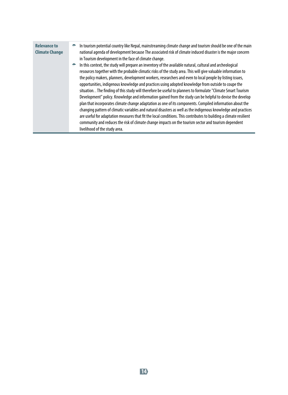| <b>Relevance to</b><br><b>Climate Change</b> | ÷ | In tourism potential country like Nepal, mainstreaming climate change and tourism should be one of the main<br>national agenda of development because The associated risk of climate induced disaster is the major concern<br>in Tourism development in the face of climate change.                                                                                                                                                                                                                                                                                                                                                                                                                                                                                                                                                                                                                                                                                                                                                                                                                                                                                          |
|----------------------------------------------|---|------------------------------------------------------------------------------------------------------------------------------------------------------------------------------------------------------------------------------------------------------------------------------------------------------------------------------------------------------------------------------------------------------------------------------------------------------------------------------------------------------------------------------------------------------------------------------------------------------------------------------------------------------------------------------------------------------------------------------------------------------------------------------------------------------------------------------------------------------------------------------------------------------------------------------------------------------------------------------------------------------------------------------------------------------------------------------------------------------------------------------------------------------------------------------|
|                                              | ÷ | In this context, the study will prepare an inventory of the available natural, cultural and archeological<br>resources together with the probable climatic risks of the study area. This will give valuable information to<br>the policy makers, planners, development workers, researchers and even to local people by listing issues,<br>opportunities, indigenous knowledge and practices using adopted knowledge from outside to coupe the<br>situation. . The finding of this study will therefore be useful to planners to formulate "Climate Smart Tourism<br>Development" policy. Knowledge and information gained from the study can be helpful to devise the develop<br>plan that incorporates climate change adaptation as one of its components. Compiled information about the<br>changing pattern of climatic variables and natural disasters as well as the indigenous knowledge and practices<br>are useful for adaptation measures that fit the local conditions. This contributes to building a climate resilient<br>community and reduces the risk of climate change impacts on the tourism sector and tourism dependent<br>livelihood of the study area. |
|                                              |   |                                                                                                                                                                                                                                                                                                                                                                                                                                                                                                                                                                                                                                                                                                                                                                                                                                                                                                                                                                                                                                                                                                                                                                              |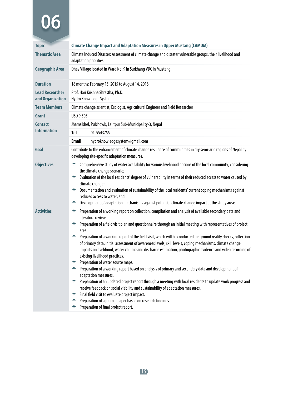| <b>Topic</b>                               | <b>Climate Change Impact and Adaptation Measures in Upper Mustang (CAMUM)</b>                                                                                                                                                                                                                                                                                                                                                                                                                                                                                                                                                                                                                                                                                                                                                                                                                                                                                                                                                                                                                                                                                                                                         |
|--------------------------------------------|-----------------------------------------------------------------------------------------------------------------------------------------------------------------------------------------------------------------------------------------------------------------------------------------------------------------------------------------------------------------------------------------------------------------------------------------------------------------------------------------------------------------------------------------------------------------------------------------------------------------------------------------------------------------------------------------------------------------------------------------------------------------------------------------------------------------------------------------------------------------------------------------------------------------------------------------------------------------------------------------------------------------------------------------------------------------------------------------------------------------------------------------------------------------------------------------------------------------------|
| <b>Thematic Area</b>                       | Climate Induced Disaster: Assessment of climate change and disaster vulnerable groups, their livelihood and<br>adaptation priorities                                                                                                                                                                                                                                                                                                                                                                                                                                                                                                                                                                                                                                                                                                                                                                                                                                                                                                                                                                                                                                                                                  |
| <b>Geographic Area</b>                     | Dhey Village located in Ward No. 9 in Surkhang VDC in Mustang.                                                                                                                                                                                                                                                                                                                                                                                                                                                                                                                                                                                                                                                                                                                                                                                                                                                                                                                                                                                                                                                                                                                                                        |
| <b>Duration</b>                            | 18 months: February 15, 2015 to August 14, 2016                                                                                                                                                                                                                                                                                                                                                                                                                                                                                                                                                                                                                                                                                                                                                                                                                                                                                                                                                                                                                                                                                                                                                                       |
| <b>Lead Researcher</b><br>and Organization | Prof. Hari Krishna Shrestha, Ph.D.<br>Hydro Knowledge System                                                                                                                                                                                                                                                                                                                                                                                                                                                                                                                                                                                                                                                                                                                                                                                                                                                                                                                                                                                                                                                                                                                                                          |
| <b>Team Members</b>                        | Climate change scientist, Ecologist, Agricultural Engineer and Field Researcher                                                                                                                                                                                                                                                                                                                                                                                                                                                                                                                                                                                                                                                                                                                                                                                                                                                                                                                                                                                                                                                                                                                                       |
| <b>Grant</b>                               | USD 9,505                                                                                                                                                                                                                                                                                                                                                                                                                                                                                                                                                                                                                                                                                                                                                                                                                                                                                                                                                                                                                                                                                                                                                                                                             |
| <b>Contact</b>                             | Jhamsikhel, Pulchowk, Lalitpur Sub-Municipality-3, Nepal                                                                                                                                                                                                                                                                                                                                                                                                                                                                                                                                                                                                                                                                                                                                                                                                                                                                                                                                                                                                                                                                                                                                                              |
| <b>Information</b>                         | Tel<br>01-5543755                                                                                                                                                                                                                                                                                                                                                                                                                                                                                                                                                                                                                                                                                                                                                                                                                                                                                                                                                                                                                                                                                                                                                                                                     |
|                                            | <b>Email</b><br>hydroknowledgesystem@gmail.com                                                                                                                                                                                                                                                                                                                                                                                                                                                                                                                                                                                                                                                                                                                                                                                                                                                                                                                                                                                                                                                                                                                                                                        |
| Goal                                       | Contribute to the enhancement of climate change resilience of communities in dry semi-arid regions of Nepal by<br>developing site-specific adaptation measures.                                                                                                                                                                                                                                                                                                                                                                                                                                                                                                                                                                                                                                                                                                                                                                                                                                                                                                                                                                                                                                                       |
| <b>Objectives</b>                          | Comprehensive study of water availability for various livelihood options of the local community, considering<br>the climate change scenario;<br>Evaluation of the local residents' degree of vulnerability in terms of their reduced access to water caused by<br>÷<br>climate change;<br>Documentation and evaluation of sustainability of the local residents' current coping mechanisms against<br>÷<br>reduced access to water; and<br>Development of adaptation mechanisms against potential climate change impact at the study areas.<br>÷                                                                                                                                                                                                                                                                                                                                                                                                                                                                                                                                                                                                                                                                      |
| <b>Activities</b>                          | Preparation of a working report on collection, compilation and analysis of available secondary data and<br>÷<br>literature review.<br>Preparation of a field visit plan and questionnaire through an initial meeting with representatives of project<br>÷<br>area.<br>Preparation of a working report of the field visit, which will be conducted for ground reality checks, collection<br>÷.<br>of primary data, initial assessment of awareness levels, skill levels, coping mechanisms, climate change<br>impacts on livelihood, water volume and discharge estimation, photographic evidence and video recording of<br>existing livelihood practices.<br>Preparation of water source maps.<br>÷.<br>Preparation of a working report based on analysis of primary and secondary data and development of<br>÷<br>adaptation measures.<br>Preparation of an updated project report through a meeting with local residents to update work progress and<br>÷<br>receive feedback on social viability and sustainability of adaptation measures.<br>Final field visit to evaluate project impact.<br>÷.<br>Preparation of a journal paper based on research findings.<br>÷<br>Preparation of final project report.<br>۰ |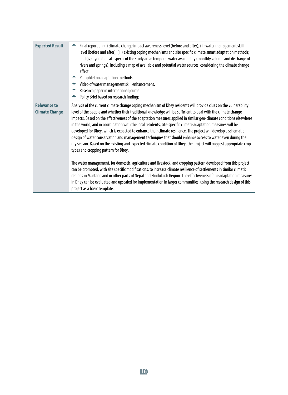| <b>Expected Result</b>                       | Final report on: (i) climate change impact awareness level (before and after); (ii) water management skill<br>level (before and after); (iii) existing coping mechanisms and site specific climate smart adaptation methods;<br>and (iv) hydrological aspects of the study area: temporal water availability (monthly volume and discharge of<br>rivers and springs), including a map of available and potential water sources, considering the climate change<br>effect.<br>Pamphlet on adaptation methods.<br>Video of water management skill enhancement.<br>Research paper in international journal.<br>Policy Brief based on research findings.<br>۰                                                                                                                                                                                                                  |
|----------------------------------------------|----------------------------------------------------------------------------------------------------------------------------------------------------------------------------------------------------------------------------------------------------------------------------------------------------------------------------------------------------------------------------------------------------------------------------------------------------------------------------------------------------------------------------------------------------------------------------------------------------------------------------------------------------------------------------------------------------------------------------------------------------------------------------------------------------------------------------------------------------------------------------|
| <b>Relevance to</b><br><b>Climate Change</b> | Analysis of the current climate change coping mechanism of Dhey residents will provide clues on the vulnerability<br>level of the people and whether their traditional knowledge will be sufficient to deal with the climate change<br>impacts. Based on the effectiveness of the adaptation measures applied in similar geo-climate conditions elsewhere<br>in the world, and in coordination with the local residents, site-specific climate adaptation measures will be<br>developed for Dhey, which is expected to enhance their climate resilience. The project will develop a schematic<br>design of water conservation and management techniques that should enhance access to water even during the<br>dry season. Based on the existing and expected climate condition of Dhey, the project will suggest appropriate crop<br>types and cropping pattern for Dhey. |
|                                              | The water management, for domestic, agriculture and livestock, and cropping pattern developed from this project<br>can be promoted, with site specific modifications, to increase climate resilience of settlements in similar climatic<br>regions in Mustang and in other parts of Nepal and Hindukush Region. The effectiveness of the adaptation measures<br>in Dhey can be evaluated and upscaled for implementation in larger communities, using the research design of this<br>project as a basic template.                                                                                                                                                                                                                                                                                                                                                          |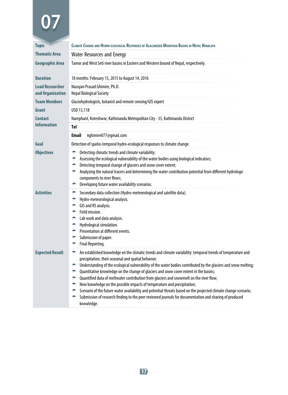| <b>Topic</b>                               | CLIMATE CHANGE AND HYDRO-ECOLOGICAL RESPONSES OF GLACIARIZED MOUNTAIN BASINS IN NEPAL HIMALAYA                                                                                                                                                                                                                                                                                                                                                                                                                                                                                                                                                                                                                                                                                                                                 |  |
|--------------------------------------------|--------------------------------------------------------------------------------------------------------------------------------------------------------------------------------------------------------------------------------------------------------------------------------------------------------------------------------------------------------------------------------------------------------------------------------------------------------------------------------------------------------------------------------------------------------------------------------------------------------------------------------------------------------------------------------------------------------------------------------------------------------------------------------------------------------------------------------|--|
| <b>Thematic Area</b>                       | <b>Water Resources and Energy</b>                                                                                                                                                                                                                                                                                                                                                                                                                                                                                                                                                                                                                                                                                                                                                                                              |  |
| <b>Geographic Area</b>                     | Tamor and West Seti river basins in Eastern and Western bound of Nepal, respectively.                                                                                                                                                                                                                                                                                                                                                                                                                                                                                                                                                                                                                                                                                                                                          |  |
| <b>Duration</b>                            | 18 months: February 15, 2015 to August 14, 2016                                                                                                                                                                                                                                                                                                                                                                                                                                                                                                                                                                                                                                                                                                                                                                                |  |
| <b>Lead Researcher</b><br>and Organization | Narayan Prasad Ghimire, Ph.D.<br><b>Nepal Biological Society</b>                                                                                                                                                                                                                                                                                                                                                                                                                                                                                                                                                                                                                                                                                                                                                               |  |
| <b>Team Members</b>                        | Glaciohydrologists, botanist and remote sensing/GIS expert                                                                                                                                                                                                                                                                                                                                                                                                                                                                                                                                                                                                                                                                                                                                                                     |  |
| Grant                                      | USD 13,118                                                                                                                                                                                                                                                                                                                                                                                                                                                                                                                                                                                                                                                                                                                                                                                                                     |  |
| <b>Contact</b>                             | Narephant, Koteshwor, Kathmandu Metropolitan City - 35, Kathmandu District                                                                                                                                                                                                                                                                                                                                                                                                                                                                                                                                                                                                                                                                                                                                                     |  |
| <b>Information</b>                         | <b>Tel</b>                                                                                                                                                                                                                                                                                                                                                                                                                                                                                                                                                                                                                                                                                                                                                                                                                     |  |
|                                            | Email<br>nghimire077@gmail.com                                                                                                                                                                                                                                                                                                                                                                                                                                                                                                                                                                                                                                                                                                                                                                                                 |  |
| Goal                                       | Detection of spatio-temporal hydro-ecological responses to climate change.                                                                                                                                                                                                                                                                                                                                                                                                                                                                                                                                                                                                                                                                                                                                                     |  |
| <b>Objectives</b>                          | Detecting climatic trends and climate variability;<br>۰<br>Assessing the ecological vulnerability of the water bodies using biological indicators;<br>۰<br>Detecting temporal change of glaciers and snow cover extent;<br>۰<br>Analyzing the natural tracers and determining the water contribution potential from different hydrologic<br>۰<br>components to river flows;<br>Developing future water availability scenarios.<br>۰                                                                                                                                                                                                                                                                                                                                                                                            |  |
| <b>Activities</b>                          | Secondary data collection (Hydro-meteorological and satellite data).<br>۰<br>Hydro-meteorological analysis.<br>۰<br>GIS and RS analysis.<br>÷.<br>Field mission.<br>÷.<br>Lab work and data analysis.<br>۰<br>Hydrological simulation.<br>÷.<br><b>• Presentation at different events.</b><br>Submission of paper.<br>÷.<br>Final Reporting.<br>÷                                                                                                                                                                                                                                                                                                                                                                                                                                                                              |  |
| <b>Expected Result</b>                     | An established knowledge on the climatic trends and climate variability: temporal trends of temperature and<br>۰<br>precipitation, their seasonal and spatial behavior;<br>Understanding of the ecological vulnerability of the water bodies contributed by the glaciers and snow melting;<br>۰<br>Quantitative knowledge on the change of glaciers and snow cover extent in the basins;<br>÷<br>Quantified data of meltwater contribution from glaciers and snowmelt on the river flow;<br>÷.<br>New knowledge on the possible impacts of temperature and precipitation;<br>÷<br>Scenario of the future water availability and potential threats based on the projected climate change scenario;<br>÷<br>Submission of research finding to the peer reviewed journals for documentation and sharing of produced<br>knowledge. |  |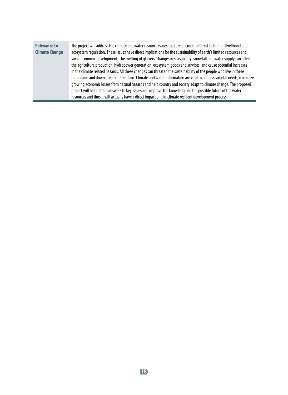| <b>Relevance to</b><br><b>Climate Change</b> | The project will address the climate and water resource issues that are of crucial interest to human livelihood and<br>ecosystem regulation. These issues have direct implications for the sustainability of earth's limited resources and<br>socio-economic development. The melting of glaciers, changes in seasonality, snowfall and water supply can affect<br>the agriculture production, hydropower generation, ecosystem goods and services, and cause potential increases<br>in the climate related hazards. All these changes can threaten the sustainability of the people who live in these<br>mountains and downstream in the plain. Climate and water information are vital to address societal needs, minimize<br>growing economic losses from natural hazards and help country and society adapt to climate change. The proposed<br>project will help obtain answers to key issues and improve the knowledge on the possible future of the water<br>resources and thus it will actually have a direct impact on the climate resilient development process. |
|----------------------------------------------|---------------------------------------------------------------------------------------------------------------------------------------------------------------------------------------------------------------------------------------------------------------------------------------------------------------------------------------------------------------------------------------------------------------------------------------------------------------------------------------------------------------------------------------------------------------------------------------------------------------------------------------------------------------------------------------------------------------------------------------------------------------------------------------------------------------------------------------------------------------------------------------------------------------------------------------------------------------------------------------------------------------------------------------------------------------------------|
|----------------------------------------------|---------------------------------------------------------------------------------------------------------------------------------------------------------------------------------------------------------------------------------------------------------------------------------------------------------------------------------------------------------------------------------------------------------------------------------------------------------------------------------------------------------------------------------------------------------------------------------------------------------------------------------------------------------------------------------------------------------------------------------------------------------------------------------------------------------------------------------------------------------------------------------------------------------------------------------------------------------------------------------------------------------------------------------------------------------------------------|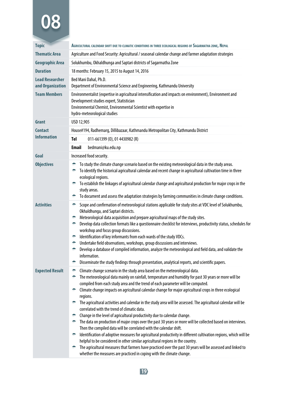| <b>Topic</b>                               | AGRICULTURAL CALENDAR SHIFT DUE TO CLIMATIC CONDITIONS IN THREE ECOLOGICAL REGIONS OF SAGARMATHA ZONE, NEPAL                                                                                                                                                                                                                                                                                                                                                                                                                                                                                                                                                                                                                                                                                                                                                                                                                                                                                                                                                                                                                                                                                                                                                                            |
|--------------------------------------------|-----------------------------------------------------------------------------------------------------------------------------------------------------------------------------------------------------------------------------------------------------------------------------------------------------------------------------------------------------------------------------------------------------------------------------------------------------------------------------------------------------------------------------------------------------------------------------------------------------------------------------------------------------------------------------------------------------------------------------------------------------------------------------------------------------------------------------------------------------------------------------------------------------------------------------------------------------------------------------------------------------------------------------------------------------------------------------------------------------------------------------------------------------------------------------------------------------------------------------------------------------------------------------------------|
| <b>Thematic Area</b>                       | Agriculture and Food Security: Agricultural / seasonal calendar change and farmer adaptation strategies                                                                                                                                                                                                                                                                                                                                                                                                                                                                                                                                                                                                                                                                                                                                                                                                                                                                                                                                                                                                                                                                                                                                                                                 |
| <b>Geographic Area</b>                     | Solukhumbu, Okhaldhunga and Saptari districts of Sagarmatha Zone                                                                                                                                                                                                                                                                                                                                                                                                                                                                                                                                                                                                                                                                                                                                                                                                                                                                                                                                                                                                                                                                                                                                                                                                                        |
| <b>Duration</b>                            | 18 months: February 15, 2015 to August 14, 2016                                                                                                                                                                                                                                                                                                                                                                                                                                                                                                                                                                                                                                                                                                                                                                                                                                                                                                                                                                                                                                                                                                                                                                                                                                         |
| <b>Lead Researcher</b><br>and Organization | Bed Mani Dahal, Ph.D.<br>Department of Environmental Science and Engineering, Kathmandu University                                                                                                                                                                                                                                                                                                                                                                                                                                                                                                                                                                                                                                                                                                                                                                                                                                                                                                                                                                                                                                                                                                                                                                                      |
| <b>Team Members</b>                        | Environmentalist (expertise in agricultural intensification and impacts on environment), Environment and<br>Development studies expert, Statistician<br>Environmental Chemist, Environmental Scientist with expertise in<br>hydro-meteorological studies                                                                                                                                                                                                                                                                                                                                                                                                                                                                                                                                                                                                                                                                                                                                                                                                                                                                                                                                                                                                                                |
| Grant                                      | USD 12,905                                                                                                                                                                                                                                                                                                                                                                                                                                                                                                                                                                                                                                                                                                                                                                                                                                                                                                                                                                                                                                                                                                                                                                                                                                                                              |
| <b>Contact</b>                             | House#194, Radhemarg, Dillibazaar, Kathmandu Metropolitan City, Kathmandu District                                                                                                                                                                                                                                                                                                                                                                                                                                                                                                                                                                                                                                                                                                                                                                                                                                                                                                                                                                                                                                                                                                                                                                                                      |
| <b>Information</b>                         | Tel<br>011-661399 (0), 01 4430982 (R)                                                                                                                                                                                                                                                                                                                                                                                                                                                                                                                                                                                                                                                                                                                                                                                                                                                                                                                                                                                                                                                                                                                                                                                                                                                   |
|                                            | Email<br>bedmani@ku.edu.np                                                                                                                                                                                                                                                                                                                                                                                                                                                                                                                                                                                                                                                                                                                                                                                                                                                                                                                                                                                                                                                                                                                                                                                                                                                              |
| Goal                                       | Increased food security.                                                                                                                                                                                                                                                                                                                                                                                                                                                                                                                                                                                                                                                                                                                                                                                                                                                                                                                                                                                                                                                                                                                                                                                                                                                                |
| <b>Objectives</b>                          | To study the climate change scenario based on the existing meteorological data in the study areas.<br>۰<br>To identify the historical agricultural calendar and recent change in agricultural cultivation time in three<br>÷.<br>ecological regions.<br>To establish the linkages of agricultural calendar change and agricultural production for major crops in the<br>study areas.<br>← To document and assess the adaptation strategies by farming communities in climate change conditions.                                                                                                                                                                                                                                                                                                                                                                                                                                                                                                                                                                                                                                                                                                                                                                                         |
| <b>Activities</b>                          | Scope and confirmation of meteorological stations applicable for study sites at VDC level of Solukhumbu,<br>÷.<br>Okhaldhunga, and Saptari districts.<br>Meteorological data acquisition and prepare agricultural maps of the study sites.<br>÷.<br>Develop data collection formats like a questionnaire checklist for interviews, productivity status, schedules for<br>÷.<br>workshop and focus group discussions.<br>Identification of key informants from each wards of the study VDCs.<br>÷.<br>Undertake field observations, workshops, group discussions and interviews.<br>÷.<br>Develop a database of compiled information, analyze the meteorological and field data, and validate the<br>÷.<br>information.<br>Disseminate the study findings through presentation, analytical reports, and scientific papers.<br>÷                                                                                                                                                                                                                                                                                                                                                                                                                                                          |
| <b>Expected Result</b>                     | Climate change scenario in the study area based on the meteorological data.<br>۰<br>The meteorological data mainly on rainfall, temperature and humidity for past 30 years or more will be<br>÷.<br>compiled from each study area and the trend of each parameter will be computed.<br>Climate change impacts on agricultural calendar change for major agricultural crops in three ecological<br>÷.<br>regions.<br>The agricultural activities and calendar in the study area will be assessed. The agricultural calendar will be<br>correlated with the trend of climatic data.<br>Change in the level of agricultural productivity due to calendar change.<br>÷.<br>The data on production of major crops over the past 30 years or more will be collected based on interviews.<br>÷.<br>Then the compiled data will be correlated with the calendar shift.<br>Identification of adoptive measures for agricultural productivity in different cultivation regions, which will be<br>$\bullet$<br>helpful to be considered in other similar agricultural regions in the country.<br>The agricultural measures that farmers have practiced over the past 30 years will be assessed and linked to<br>$\bullet$<br>whether the measures are practiced in coping with the climate change. |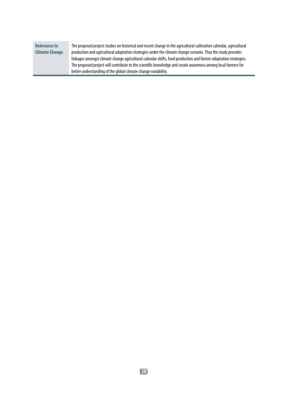| <b>Relevance to</b>   | The proposed project studies on historical and recent change in the agricultural cultivation calendar, agricultural |
|-----------------------|---------------------------------------------------------------------------------------------------------------------|
| <b>Climate Change</b> | production and agricultural adaptation strategies under the climate change scenario. Thus the study provides        |
|                       | linkages amongst climate change agricultural calendar shifts, food production and farmer adaptation strategies.     |
|                       | The proposed project will contribute to the scientific knowledge and create awareness among local farmers for       |
|                       | better understanding of the global climate change variability.                                                      |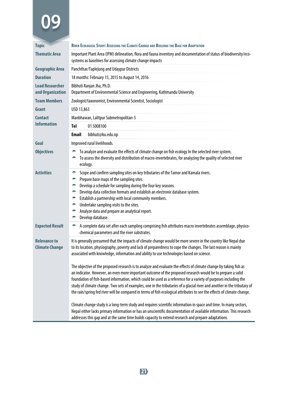| <b>Topic</b>                                 | RIVER ECOLOGICAL STUDY: ASSESSING THE CLIMATE CHANGE AND BUILDING THE BASE FOR ADAPTATION                                                                                                                                                                                                                                                                                                                                                                                                                                                                                                                  |
|----------------------------------------------|------------------------------------------------------------------------------------------------------------------------------------------------------------------------------------------------------------------------------------------------------------------------------------------------------------------------------------------------------------------------------------------------------------------------------------------------------------------------------------------------------------------------------------------------------------------------------------------------------------|
| <b>Thematic Area</b>                         | Important Plant Area (IPM) delineation, flora and fauna inventory and documentation of status of biodiversity/eco-<br>systems as baselines for assessing climate change impacts                                                                                                                                                                                                                                                                                                                                                                                                                            |
| Geographic Area                              | Panchthar/Taplejung and Udaypur Districts                                                                                                                                                                                                                                                                                                                                                                                                                                                                                                                                                                  |
| <b>Duration</b>                              | 18 months: February 15, 2015 to August 14, 2016                                                                                                                                                                                                                                                                                                                                                                                                                                                                                                                                                            |
| <b>Lead Researcher</b><br>and Organization   | Bibhuti Ranjan Jha, Ph.D.<br>Department of Environmental Science and Engineering, Kathmandu University                                                                                                                                                                                                                                                                                                                                                                                                                                                                                                     |
| <b>Team Members</b>                          | Zoologist/taxonomist, Environmental Scientist, Sociologist                                                                                                                                                                                                                                                                                                                                                                                                                                                                                                                                                 |
| Grant                                        | USD 13,863                                                                                                                                                                                                                                                                                                                                                                                                                                                                                                                                                                                                 |
| <b>Contact</b>                               | Manbhawan, Lalitpur Submetropolitan-5                                                                                                                                                                                                                                                                                                                                                                                                                                                                                                                                                                      |
| <b>Information</b>                           | <b>Tel</b><br>015008100                                                                                                                                                                                                                                                                                                                                                                                                                                                                                                                                                                                    |
|                                              | <b>Email</b><br>bibhuti@ku.edu.np                                                                                                                                                                                                                                                                                                                                                                                                                                                                                                                                                                          |
| Goal                                         | Improved rural livelihoods.                                                                                                                                                                                                                                                                                                                                                                                                                                                                                                                                                                                |
| <b>Objectives</b>                            | To analyze and evaluate the effects of climate change on fish ecology In the selected river system.<br>۰<br>To assess the diversity and distribution of macro-invertebrates, for analyzing the quality of selected river<br>۰<br>ecology.                                                                                                                                                                                                                                                                                                                                                                  |
| <b>Activities</b>                            | Scope and confirm sampling sites on key tributaries of the Tamor and Kamala rivers.<br>۰<br>۰<br>Prepare base maps of the sampling sites.<br>۰<br>Develop a schedule for sampling during the four key seasons.<br>Develop data collection formats and establish an electronic database system.<br>۰<br>Establish a partnership with local community members.<br>۰<br>Undertake sampling visits to the sites.<br>۰<br>Analyze data and prepare an analytical report.<br>۰<br>Develop database.<br>۰                                                                                                         |
| <b>Expected Result</b>                       | A complete data set after each sampling comprising fish attributes macro invertebrates assemblage, physico-<br>۰<br>chemical parameters and the river substrates.                                                                                                                                                                                                                                                                                                                                                                                                                                          |
| <b>Relevance to</b><br><b>Climate Change</b> | It is generally presumed that the impacts of climate change would be more severe in the country like Nepal due<br>to its location, physiography, poverty and lack of preparedness to cope the changes. The last reason is mainly<br>associated with knowledge, information and ability to use technologies based on science.                                                                                                                                                                                                                                                                               |
|                                              | The objective of the proposed research is to analyze and evaluate the effects of climate change by taking fish as<br>an indicator. However, an even more important outcome of the proposed research would be to prepare a solid<br>foundation of fish-based information, which could be used as a reference for a variety of purposes including the<br>study of climate change. Two sets of examples, one in the tributaries of a glacial river and another in the tributary of<br>the rain/spring fed river will be compared in terms of fish ecological attributes to see the effects of climate change. |
|                                              | Climate change study is a long-term study and requires scientific information in space and time. In many sectors,<br>Nepal either lacks primary information or has an unscientific documentation of available information. This research<br>addresses this gap and at the same time builds capacity to extend research and prepare adaptations.                                                                                                                                                                                                                                                            |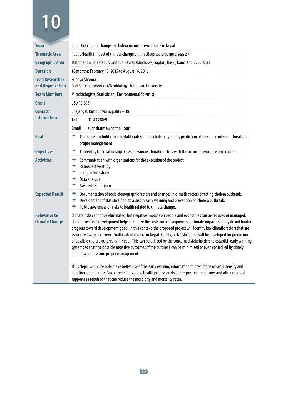| Public Health (Impact of climate change on infectious waterborne diseases)<br>Kathmandu, Bhaktapur, Lalitpur, Kavrepalanchowk, Saptari, Kaski, Kanchanpur, Surkhet<br>18 months: February 15, 2015 to August 14, 2016<br>Supriya Sharma<br>Central Department of Microbiology, Tribhuvan University<br>Microbiologists, Statistician, Environmental Scientist,<br>USD 10,695                                                                                                                                                                                                                                                                                                                                                                                                                                                                                                                                                                                                                            |
|---------------------------------------------------------------------------------------------------------------------------------------------------------------------------------------------------------------------------------------------------------------------------------------------------------------------------------------------------------------------------------------------------------------------------------------------------------------------------------------------------------------------------------------------------------------------------------------------------------------------------------------------------------------------------------------------------------------------------------------------------------------------------------------------------------------------------------------------------------------------------------------------------------------------------------------------------------------------------------------------------------|
|                                                                                                                                                                                                                                                                                                                                                                                                                                                                                                                                                                                                                                                                                                                                                                                                                                                                                                                                                                                                         |
|                                                                                                                                                                                                                                                                                                                                                                                                                                                                                                                                                                                                                                                                                                                                                                                                                                                                                                                                                                                                         |
|                                                                                                                                                                                                                                                                                                                                                                                                                                                                                                                                                                                                                                                                                                                                                                                                                                                                                                                                                                                                         |
|                                                                                                                                                                                                                                                                                                                                                                                                                                                                                                                                                                                                                                                                                                                                                                                                                                                                                                                                                                                                         |
|                                                                                                                                                                                                                                                                                                                                                                                                                                                                                                                                                                                                                                                                                                                                                                                                                                                                                                                                                                                                         |
|                                                                                                                                                                                                                                                                                                                                                                                                                                                                                                                                                                                                                                                                                                                                                                                                                                                                                                                                                                                                         |
| Bhajangal, Kirtipur Municipality - 18                                                                                                                                                                                                                                                                                                                                                                                                                                                                                                                                                                                                                                                                                                                                                                                                                                                                                                                                                                   |
| Tel<br>01-4331869                                                                                                                                                                                                                                                                                                                                                                                                                                                                                                                                                                                                                                                                                                                                                                                                                                                                                                                                                                                       |
| <b>Email</b><br>suprisharma@hotmail.com                                                                                                                                                                                                                                                                                                                                                                                                                                                                                                                                                                                                                                                                                                                                                                                                                                                                                                                                                                 |
| To reduce morbidity and mortality rates due to cholera by timely prediction of possible cholera outbreak and<br>۰<br>proper management                                                                                                                                                                                                                                                                                                                                                                                                                                                                                                                                                                                                                                                                                                                                                                                                                                                                  |
| To identify the relationship between various climatic factors with the occurrence/outbreak of cholera.<br>٠                                                                                                                                                                                                                                                                                                                                                                                                                                                                                                                                                                                                                                                                                                                                                                                                                                                                                             |
| Communication with organizations for the execution of the project<br>÷<br>Retrospective study<br>÷<br>Longitudinal study<br>÷<br>Data analysis<br>۰<br>Awareness program<br>۰                                                                                                                                                                                                                                                                                                                                                                                                                                                                                                                                                                                                                                                                                                                                                                                                                           |
| Documentation of socio-demographic factors and changes in climatic factors affecting cholera outbreak.<br>۰<br>Development of statistical tool to assist in early warning and prevention on cholera outbreak.<br>÷<br>Public awareness on risks to health related to climate change.<br>۰                                                                                                                                                                                                                                                                                                                                                                                                                                                                                                                                                                                                                                                                                                               |
| Climate risks cannot be eliminated, but negative impacts on people and economies can be reduced or managed.<br>Climate-resilient development helps minimize the costs and consequences of climate impacts so they do not hinder<br>progress toward development goals. In this context, the proposed project will identify key climatic factors that are<br>associated with occurrence/outbreak of cholera in Nepal. Finally, a statistical tool will be developed for prediction<br>of possible cholera outbreaks in Nepal. This can be utilized by the concerned stakeholders to establish early warning<br>systems so that the possible negative outcomes of the outbreak can be minimized or even controlled by timely<br>public awareness and proper management.<br>Thus Nepal would be able make better use of the early warning information to predict the onset, intensity and<br>duration of epidemics. Such predictions allow health professionals to pre-position medicines and other medical |
| supports as required that can reduce the morbidity and mortality rates.                                                                                                                                                                                                                                                                                                                                                                                                                                                                                                                                                                                                                                                                                                                                                                                                                                                                                                                                 |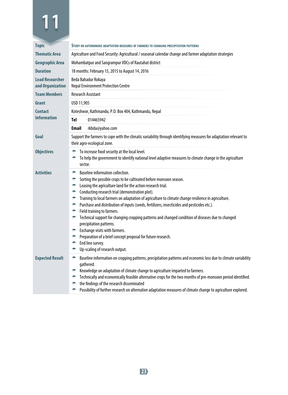| <b>Topic</b>                               | STUDY ON AUTONOMOUS ADAPTATION MEASURES OF FARMERS TO CHANGING PRECIPITATION PATTERNS                                                                                                                                                                                                                                                                                                                                                                                                                                                                                                                                                                                                                                                                                                                            |
|--------------------------------------------|------------------------------------------------------------------------------------------------------------------------------------------------------------------------------------------------------------------------------------------------------------------------------------------------------------------------------------------------------------------------------------------------------------------------------------------------------------------------------------------------------------------------------------------------------------------------------------------------------------------------------------------------------------------------------------------------------------------------------------------------------------------------------------------------------------------|
| <b>Thematic Area</b>                       | Agriculture and Food Security: Agricultural / seasonal calendar change and farmer adaptation strategies                                                                                                                                                                                                                                                                                                                                                                                                                                                                                                                                                                                                                                                                                                          |
| <b>Geographic Area</b>                     | Mohambatpur and Sangrampur VDCs of Rautahat district                                                                                                                                                                                                                                                                                                                                                                                                                                                                                                                                                                                                                                                                                                                                                             |
| <b>Duration</b>                            | 18 months: February 15, 2015 to August 14, 2016                                                                                                                                                                                                                                                                                                                                                                                                                                                                                                                                                                                                                                                                                                                                                                  |
| <b>Lead Researcher</b><br>and Organization | Beda Bahadur Rokaya<br><b>Nepal Environment Protection Centre</b>                                                                                                                                                                                                                                                                                                                                                                                                                                                                                                                                                                                                                                                                                                                                                |
| <b>Team Members</b>                        | <b>Research Assistant</b>                                                                                                                                                                                                                                                                                                                                                                                                                                                                                                                                                                                                                                                                                                                                                                                        |
| Grant                                      | USD 11,905                                                                                                                                                                                                                                                                                                                                                                                                                                                                                                                                                                                                                                                                                                                                                                                                       |
| <b>Contact</b>                             | Koteshwor, Kathmandu, P.O. Box 404, Kathmandu, Nepal                                                                                                                                                                                                                                                                                                                                                                                                                                                                                                                                                                                                                                                                                                                                                             |
| <b>Information</b>                         | Tel<br>014465942                                                                                                                                                                                                                                                                                                                                                                                                                                                                                                                                                                                                                                                                                                                                                                                                 |
|                                            | Email<br>rkbda@yahoo.com                                                                                                                                                                                                                                                                                                                                                                                                                                                                                                                                                                                                                                                                                                                                                                                         |
| Goal                                       | Support the farmers to cope with the climatic variability through identifying measures for adaptation relevant to<br>their agro-ecological zone.                                                                                                                                                                                                                                                                                                                                                                                                                                                                                                                                                                                                                                                                 |
| <b>Objectives</b>                          | To increase food security at the local level.<br>÷<br>To help the government to identify national level adaptive measures to climate change in the agriculture<br>sector.                                                                                                                                                                                                                                                                                                                                                                                                                                                                                                                                                                                                                                        |
| <b>Activities</b>                          | Baseline information collection.<br>۰<br>Sorting the possible crops to be cultivated before monsoon season.<br>÷<br>Leasing the agriculture land for the action research trial.<br>۰<br>Conducting research trial (demonstration plot).<br>۰<br>Training to local farmers on adaptation of agriculture to climate change resilience in agriculture.<br>÷<br>Purchase and distribution of inputs (seeds, fertilizers, insecticides and pesticides etc.).<br>÷<br>Field training to farmers.<br>÷<br>Technical support for changing cropping patterns and changed condition of diseases due to changed<br>۰<br>precipitation patterns.<br>Exchange visits with farmers.<br>÷.<br>Preparation of a brief concept proposal for future research.<br>۰<br>End line survey.<br>۰<br>Up-scaling of research output.<br>۰ |
| <b>Expected Result</b>                     | Baseline information on cropping patterns, precipitation patterns and economic loss due to climate variability<br>÷<br>gathered.<br>Knowledge on adaptation of climate change to agriculture imparted to farmers.<br>÷.<br>Technically and economically feasible alternative crops for the two months of pre-monsoon period identified.<br>÷<br>the findings of the research disseminated<br>Possibility of further research on alternative adaptation measures of climate change to agriculture explored.<br>۰                                                                                                                                                                                                                                                                                                  |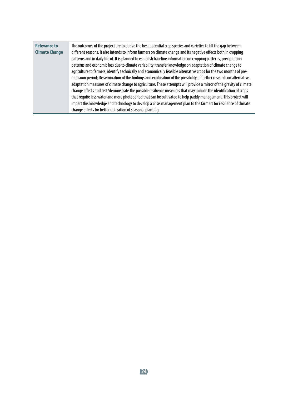| <b>Relevance to</b><br><b>Climate Change</b> | The outcomes of the project are to derive the best potential crop species and varieties to fill the gap between<br>different seasons. It also intends to inform farmers on climate change and its negative effects both in cropping<br>patterns and in daily life of. It is planned to establish baseline information on cropping patterns, precipitation<br>patterns and economic loss due to climate variability; transfer knowledge on adaptation of climate change to<br>agriculture to farmers; identify technically and economically feasible alternative crops for the two months of pre-<br>monsoon period; Dissemination of the findings and exploration of the possibility of further research on alternative<br>adaptation measures of climate change to agriculture. These attempts will provide a mirror of the gravity of climate<br>change effects and test/demonstrate the possible resilience measures that may include the identification of crops<br>that require less water and more photoperiod that can be cultivated to help paddy management. This project will<br>impart this knowledge and technology to develop a crisis management plan to the farmers for resilience of climate |
|----------------------------------------------|--------------------------------------------------------------------------------------------------------------------------------------------------------------------------------------------------------------------------------------------------------------------------------------------------------------------------------------------------------------------------------------------------------------------------------------------------------------------------------------------------------------------------------------------------------------------------------------------------------------------------------------------------------------------------------------------------------------------------------------------------------------------------------------------------------------------------------------------------------------------------------------------------------------------------------------------------------------------------------------------------------------------------------------------------------------------------------------------------------------------------------------------------------------------------------------------------------------|
|                                              | change effects for better utilization of seasonal planting.                                                                                                                                                                                                                                                                                                                                                                                                                                                                                                                                                                                                                                                                                                                                                                                                                                                                                                                                                                                                                                                                                                                                                  |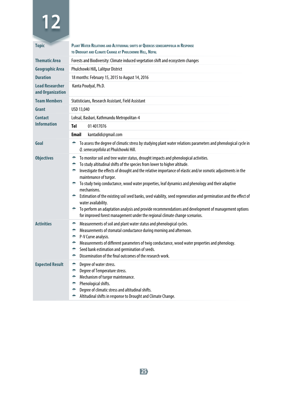| <b>Topic</b>                               | PLANT WATER RELATIONS AND ALTITUDINAL SHIFTS OF QUERCUS SEMECARPIFOLIA IN RESPONSE<br>TO DROUGHT AND CLIMATE CHANGE AT PHULCHOWKI HILL, NEPAL                                                                                                                                                                                                                                                                                                                                                                                                                                                                                                                                                                                                                                                       |
|--------------------------------------------|-----------------------------------------------------------------------------------------------------------------------------------------------------------------------------------------------------------------------------------------------------------------------------------------------------------------------------------------------------------------------------------------------------------------------------------------------------------------------------------------------------------------------------------------------------------------------------------------------------------------------------------------------------------------------------------------------------------------------------------------------------------------------------------------------------|
| Thematic Area                              | Forests and Biodiversity: Climate induced vegetation shift and ecosystem changes                                                                                                                                                                                                                                                                                                                                                                                                                                                                                                                                                                                                                                                                                                                    |
| <b>Geographic Area</b>                     | Phulchowki Hill, Lalitpur District                                                                                                                                                                                                                                                                                                                                                                                                                                                                                                                                                                                                                                                                                                                                                                  |
| <b>Duration</b>                            | 18 months: February 15, 2015 to August 14, 2016                                                                                                                                                                                                                                                                                                                                                                                                                                                                                                                                                                                                                                                                                                                                                     |
| <b>Lead Researcher</b><br>and Organization | Kanta Poudyal, Ph.D.                                                                                                                                                                                                                                                                                                                                                                                                                                                                                                                                                                                                                                                                                                                                                                                |
| <b>Team Members</b>                        | Statisticians, Research Assistant, Field Assistant                                                                                                                                                                                                                                                                                                                                                                                                                                                                                                                                                                                                                                                                                                                                                  |
| Grant                                      | USD 13,040                                                                                                                                                                                                                                                                                                                                                                                                                                                                                                                                                                                                                                                                                                                                                                                          |
| <b>Contact</b>                             | Lohsal, Basbari, Kathmandu Metropolitan-4                                                                                                                                                                                                                                                                                                                                                                                                                                                                                                                                                                                                                                                                                                                                                           |
| <b>Information</b>                         | Tel<br>01 4017076                                                                                                                                                                                                                                                                                                                                                                                                                                                                                                                                                                                                                                                                                                                                                                                   |
|                                            | Email<br>kantadidi@gmail.com                                                                                                                                                                                                                                                                                                                                                                                                                                                                                                                                                                                                                                                                                                                                                                        |
| Goal                                       | To assess the degree of climatic stress by studying plant water relations parameters and phenological cycle in<br>۰<br>Q. semecarpifolia at Phulchowki Hill.                                                                                                                                                                                                                                                                                                                                                                                                                                                                                                                                                                                                                                        |
| <b>Objectives</b>                          | To monitor soil and tree water status, drought impacts and phenological activities.<br>۰<br>To study altitudinal shifts of the species from lower to higher altitude.<br>۰<br>Investigate the effects of drought and the relative importance of elastic and/or osmotic adjustments in the<br>÷<br>maintenance of turgor.<br>To study twig conductance, wood water properties, leaf dynamics and phenology and their adaptive<br>۰<br>mechanisms.<br>Estimation of the existing soil seed banks, seed viability, seed regeneration and germination and the effect of<br>$\bullet$<br>water availability.<br>To perform an adaptation analysis and provide recommendations and development of management options<br>₩.<br>for improved forest management under the regional climate change scenarios. |
| <b>Activities</b>                          | Measurements of soil and plant water status and phenological cycles.<br>÷<br>Measurements of stomatal conductance during morning and afternoon.<br>۰<br>P-V Curve analysis.<br>÷.<br>Measurements of different parameters of twig conductance, wood water properties and phenology.<br>÷.<br>Seed bank estimation and germination of seeds.<br>۰<br>Dissemination of the final outcomes of the research work.<br>÷                                                                                                                                                                                                                                                                                                                                                                                  |
| <b>Expected Result</b>                     | Degree of water stress.<br>۰<br>Degree of Temperature stress.<br>÷.<br>Mechanism of turgor maintenance.<br>÷<br>Phenological shifts.<br>÷.<br>Degree of climatic stress and altitudinal shifts.<br>÷.<br>Altitudinal shifts in response to Drought and Climate Change.<br>۰                                                                                                                                                                                                                                                                                                                                                                                                                                                                                                                         |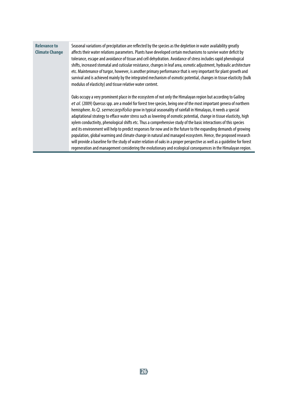| <b>Relevance to</b><br><b>Climate Change</b> | Seasonal variations of precipitation are reflected by the species as the depletion in water availability greatly<br>affects their water relations parameters. Plants have developed certain mechanisms to survive water deficit by<br>tolerance, escape and avoidance of tissue and cell dehydration. Avoidance of stress includes rapid phenological<br>shifts, increased stomatal and cuticular resistance, changes in leaf area, osmotic adjustment, hydraulic architecture<br>etc. Maintenance of turgor, however, is another primary performance that is very important for plant growth and<br>survival and is achieved mainly by the integrated mechanism of osmotic potential, changes in tissue elasticity (bulk<br>modulus of elasticity) and tissue relative water content.                                                                                                                                                                                                                                                                                           |
|----------------------------------------------|----------------------------------------------------------------------------------------------------------------------------------------------------------------------------------------------------------------------------------------------------------------------------------------------------------------------------------------------------------------------------------------------------------------------------------------------------------------------------------------------------------------------------------------------------------------------------------------------------------------------------------------------------------------------------------------------------------------------------------------------------------------------------------------------------------------------------------------------------------------------------------------------------------------------------------------------------------------------------------------------------------------------------------------------------------------------------------|
|                                              | Oaks occupy a very prominent place in the ecosystem of not only the Himalayan region but according to Gailing<br>et al. (2009) Quercus spp. are a model for forest tree species, being one of the most important genera of northern<br>hemisphere. As Q. semecarpifolia grow in typical seasonality of rainfall in Himalayas, it needs a special<br>adaptational strategy to efface water stress such as lowering of osmotic potential, change in tissue elasticity, high<br>xylem conductivity, phenological shifts etc. Thus a comprehensive study of the basic interactions of this species<br>and its environment will help to predict responses for now and in the future to the expanding demands of growing<br>population, global warming and climate change in natural and managed ecosystem. Hence, the proposed research<br>will provide a baseline for the study of water relation of oaks in a proper perspective as well as a quideline for forest<br>regeneration and management considering the evolutionary and ecological conseguences in the Himalayan region. |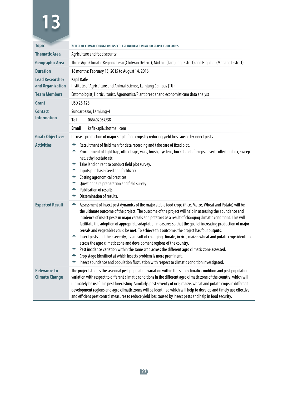| <b>Topic</b>                                 | <b>EFFECT OF CLIMATE CHANGE ON INSECT PEST INCIDENCE IN MAJOR STAPLE FOOD CROPS</b>                                                                                                                                                                                                                                                                                                                                                                                                                                                                                                                                                                                                                                                                                                                                                                                                                                                                                                                                                                      |  |
|----------------------------------------------|----------------------------------------------------------------------------------------------------------------------------------------------------------------------------------------------------------------------------------------------------------------------------------------------------------------------------------------------------------------------------------------------------------------------------------------------------------------------------------------------------------------------------------------------------------------------------------------------------------------------------------------------------------------------------------------------------------------------------------------------------------------------------------------------------------------------------------------------------------------------------------------------------------------------------------------------------------------------------------------------------------------------------------------------------------|--|
| <b>Thematic Area</b>                         | Agriculture and food security                                                                                                                                                                                                                                                                                                                                                                                                                                                                                                                                                                                                                                                                                                                                                                                                                                                                                                                                                                                                                            |  |
| <b>Geographic Area</b>                       | Three Agro Climatic Regions Terai (Chitwan District), Mid hill (Lamjung District) and High hill (Manang District)                                                                                                                                                                                                                                                                                                                                                                                                                                                                                                                                                                                                                                                                                                                                                                                                                                                                                                                                        |  |
| <b>Duration</b>                              | 18 months: February 15, 2015 to August 14, 2016                                                                                                                                                                                                                                                                                                                                                                                                                                                                                                                                                                                                                                                                                                                                                                                                                                                                                                                                                                                                          |  |
| <b>Lead Researcher</b><br>and Organization   | Kapil Kafle<br>Institute of Agriculture and Animal Science, Lamjung Campus (TU)                                                                                                                                                                                                                                                                                                                                                                                                                                                                                                                                                                                                                                                                                                                                                                                                                                                                                                                                                                          |  |
| <b>Team Members</b>                          | Entomologist, Horticulturist, Agronomist/Plant breeder and economist cum data analyst                                                                                                                                                                                                                                                                                                                                                                                                                                                                                                                                                                                                                                                                                                                                                                                                                                                                                                                                                                    |  |
| Grant                                        | USD 26,128                                                                                                                                                                                                                                                                                                                                                                                                                                                                                                                                                                                                                                                                                                                                                                                                                                                                                                                                                                                                                                               |  |
| <b>Contact</b>                               | Sundarbazar, Lamjung-4                                                                                                                                                                                                                                                                                                                                                                                                                                                                                                                                                                                                                                                                                                                                                                                                                                                                                                                                                                                                                                   |  |
| <b>Information</b>                           | Tel<br>066402037/38                                                                                                                                                                                                                                                                                                                                                                                                                                                                                                                                                                                                                                                                                                                                                                                                                                                                                                                                                                                                                                      |  |
|                                              | <b>Email</b><br>kaflekapil@hotmail.com                                                                                                                                                                                                                                                                                                                                                                                                                                                                                                                                                                                                                                                                                                                                                                                                                                                                                                                                                                                                                   |  |
| <b>Goal / Objectives</b>                     | Increase production of major staple food crops by reducing yield loss caused by insect pests.                                                                                                                                                                                                                                                                                                                                                                                                                                                                                                                                                                                                                                                                                                                                                                                                                                                                                                                                                            |  |
| <b>Activities</b>                            | Recruitment of field man for data recording and take care of fixed plot.<br>÷<br>Procurement of light trap, other traps, vials, brush, eye lens, bucket, net, forceps, insect collection box, sweep<br>۰<br>net, ethyl acetate etc.<br>Take land on rent to conduct field plot survey.<br>۰<br>Inputs purchase (seed and fertilizer).<br>۰<br>Costing agronomical practices<br>÷<br>Questionnaire preparation and field survey<br>۰<br>Publication of results.<br>۰<br>Dissemination of results.<br>÷                                                                                                                                                                                                                                                                                                                                                                                                                                                                                                                                                    |  |
| <b>Expected Result</b>                       | Assessment of insect pest dynamics of the major stable food crops (Rice, Maize, Wheat and Potato) will be<br>۰<br>the ultimate outcome of the project. The outcome of the project will help in assessing the abundance and<br>incidence of insect pests in major cereals and potatoes as a result of changing climatic conditions. This will<br>facilitate the adoption of appropriate adaptation measures so that the goal of increasing production of major<br>cereals and vegetables could be met. To achieve this outcome, the project has four outputs:<br>Insect pests and their severity, as a result of changing climate, in rice, maize, wheat and potato crops identified<br>÷<br>across the agro climatic zone and development regions of the country.<br>Pest incidence variation within the same crop across the different agro climatic zone assessed.<br>÷<br>Crop stage identified at which insects problem is more prominent.<br>÷<br>Insect abundance and population fluctuation with respect to climatic condition investigated.<br>÷ |  |
| <b>Relevance to</b><br><b>Climate Change</b> | The project studies the seasonal pest population variation within the same climatic condition and pest population<br>variation with respect to different climatic conditions in the different agro climatic zone of the country, which will<br>ultimately be useful in pest forecasting. Similarly, pest severity of rice, maize, wheat and potato crops in different<br>development regions and agro climatic zones will be identified which will help to develop and timely use effective<br>and efficient pest control measures to reduce yield loss caused by insect pests and help in food security.                                                                                                                                                                                                                                                                                                                                                                                                                                                |  |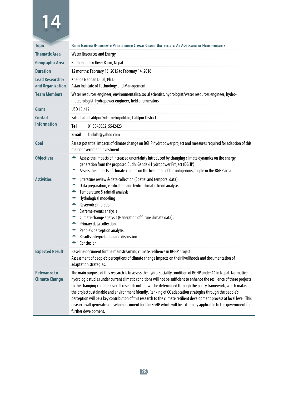| <b>Topic</b>                                 | BUDHI GANDAKI HYDROPOWER PROJECT UNDER CLIMATE CHANGE UNCERTAINTY: AN ASSESSMENT OF HYDRO-SOCIALITY                                                                                                                                                                                                                                                                                                                                                                                                                                                                                                                                                                                                                                                 |  |
|----------------------------------------------|-----------------------------------------------------------------------------------------------------------------------------------------------------------------------------------------------------------------------------------------------------------------------------------------------------------------------------------------------------------------------------------------------------------------------------------------------------------------------------------------------------------------------------------------------------------------------------------------------------------------------------------------------------------------------------------------------------------------------------------------------------|--|
| <b>Thematic Area</b>                         | <b>Water Resources and Energy</b>                                                                                                                                                                                                                                                                                                                                                                                                                                                                                                                                                                                                                                                                                                                   |  |
| <b>Geographic Area</b>                       | Budhi Gandaki River Basin, Nepal                                                                                                                                                                                                                                                                                                                                                                                                                                                                                                                                                                                                                                                                                                                    |  |
| <b>Duration</b>                              | 12 months: February 15, 2015 to February 14, 2016                                                                                                                                                                                                                                                                                                                                                                                                                                                                                                                                                                                                                                                                                                   |  |
| <b>Lead Researcher</b><br>and Organization   | Khadga Nandan Dulal, Ph.D.<br>Asian Institute of Technology and Management                                                                                                                                                                                                                                                                                                                                                                                                                                                                                                                                                                                                                                                                          |  |
| <b>Team Members</b>                          | Water resources engineer, environmentalist/social scientist, hydrologist/water resources engineer, hydro-<br>meteorologist, hydropower engineer, field enumerators                                                                                                                                                                                                                                                                                                                                                                                                                                                                                                                                                                                  |  |
| Grant                                        | USD 13,412                                                                                                                                                                                                                                                                                                                                                                                                                                                                                                                                                                                                                                                                                                                                          |  |
| <b>Contact</b>                               | Satdobato, Lalitpur Sub-metropolitan, Lalitpur District                                                                                                                                                                                                                                                                                                                                                                                                                                                                                                                                                                                                                                                                                             |  |
| <b>Information</b>                           | Tel<br>01 5545052, 5542423                                                                                                                                                                                                                                                                                                                                                                                                                                                                                                                                                                                                                                                                                                                          |  |
|                                              | <b>Email</b><br>kndulal@yahoo.com                                                                                                                                                                                                                                                                                                                                                                                                                                                                                                                                                                                                                                                                                                                   |  |
| Goal                                         | Assess potential impacts of climate change on BGHP hydropower project and measures required for adaption of this<br>major government investment.                                                                                                                                                                                                                                                                                                                                                                                                                                                                                                                                                                                                    |  |
| <b>Objectives</b>                            | Assess the impacts of increased uncertainty introduced by changing climate dynamics on the energy<br>۰<br>generation from the proposed Budhi Gandaki Hydropower Project (BGHP)<br>Assess the impacts of climate change on the livelihood of the indigenous people in the BGHP area.<br>۰                                                                                                                                                                                                                                                                                                                                                                                                                                                            |  |
| <b>Activities</b>                            | Literature review & data collection (Spatial and temporal data).<br>÷<br>۰<br>Data preparation, verification and hydro-climatic trend analysis.<br>Temperature & rainfall analysis.<br>۰<br>Hydrological modeling<br>۰<br>Reservoir simulation.<br>÷.<br>÷.<br>Extreme events analysis<br><sup>2</sup> Climate change analysis (Generation of future climate data).<br>Primary data collection.<br>۰<br>People's perception analysis.<br>Results interpretation and discussion.<br>÷<br>Conclusion.<br>۰                                                                                                                                                                                                                                            |  |
| <b>Expected Result</b>                       | Baseline document for the mainstreaming climate resilience in BGHP project.<br>Assessment of people's perceptions of climate change impacts on their livelihoods and documentation of<br>adaptation strategies.                                                                                                                                                                                                                                                                                                                                                                                                                                                                                                                                     |  |
| <b>Relevance to</b><br><b>Climate Change</b> | The main purpose of this research is to assess the hydro-sociality condition of BGHP under CC in Nepal. Normative<br>hydrologic studies under current climatic conditions will not be sufficient to enhance the resilience of these projects<br>to the changing climate. Overall research output will be determined through the policy framework, which makes<br>the project sustainable and environment friendly. Ranking of CC adaptation strategies through the people's<br>perception will be a key contribution of this research to the climate resilient development process at local level. This<br>research will generate a baseline document for the BGHP which will be extremely applicable to the government for<br>further development. |  |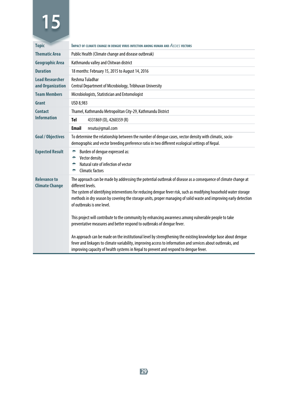| <b>Topic</b>                                 | IMPACT OF CLIMATE CHANGE IN DENGUE VIRUS INFECTION AMONG HUMAN AND AEDES VECTORS                                                                                                                                                                                                                                                                                                                                                                                                                                    |  |
|----------------------------------------------|---------------------------------------------------------------------------------------------------------------------------------------------------------------------------------------------------------------------------------------------------------------------------------------------------------------------------------------------------------------------------------------------------------------------------------------------------------------------------------------------------------------------|--|
| <b>Thematic Area</b>                         | Public Health (Climate change and disease outbreak)                                                                                                                                                                                                                                                                                                                                                                                                                                                                 |  |
| Geographic Area                              | Kathmandu valley and Chitwan district                                                                                                                                                                                                                                                                                                                                                                                                                                                                               |  |
| <b>Duration</b>                              | 18 months: February 15, 2015 to August 14, 2016                                                                                                                                                                                                                                                                                                                                                                                                                                                                     |  |
| <b>Lead Researcher</b><br>and Organization   | Reshma Tuladhar<br>Central Department of Microbiology, Tribhuvan University                                                                                                                                                                                                                                                                                                                                                                                                                                         |  |
| <b>Team Members</b>                          | Microbiologists, Statistician and Entomologist                                                                                                                                                                                                                                                                                                                                                                                                                                                                      |  |
| Grant                                        | USD 8.983                                                                                                                                                                                                                                                                                                                                                                                                                                                                                                           |  |
| <b>Contact</b>                               | Thamel, Kathmandu Metropolitan City-29, Kathmandu District                                                                                                                                                                                                                                                                                                                                                                                                                                                          |  |
| <b>Information</b>                           | Tel<br>4331869 (0), 4260359 (R)                                                                                                                                                                                                                                                                                                                                                                                                                                                                                     |  |
|                                              | <b>Email</b><br>resutu@qmail.com                                                                                                                                                                                                                                                                                                                                                                                                                                                                                    |  |
| <b>Goal / Objectives</b>                     | To determine the relationship between the number of dengue cases, vector density with climatic, socio-<br>demographic and vector breeding preference ratio in two different ecological settings of Nepal.                                                                                                                                                                                                                                                                                                           |  |
| <b>Expected Result</b>                       | Burden of dengue expressed as:<br>÷<br>Vector density<br>÷<br>Natural rate of infection of vector<br>÷<br><b>Climatic factors</b><br>÷                                                                                                                                                                                                                                                                                                                                                                              |  |
| <b>Relevance to</b><br><b>Climate Change</b> | The approach can be made by addressing the potential outbreak of disease as a consequence of climate change at<br>different levels.<br>The system of identifying interventions for reducing dengue fever risk, such as modifying household water storage<br>methods in dry season by covering the storage units, proper managing of solid waste and improving early detection<br>of outbreaks is one level.<br>This project will contribute to the community by enhancing awareness among vulnerable people to take |  |
|                                              | preventative measures and better respond to outbreaks of dengue fever.                                                                                                                                                                                                                                                                                                                                                                                                                                              |  |
|                                              | An approach can be made on the institutional level by strengthening the existing knowledge base about dengue<br>fever and linkages to climate variability, improving access to information and services about outbreaks, and<br>improving capacity of health systems in Nepal to prevent and respond to dengue fever.                                                                                                                                                                                               |  |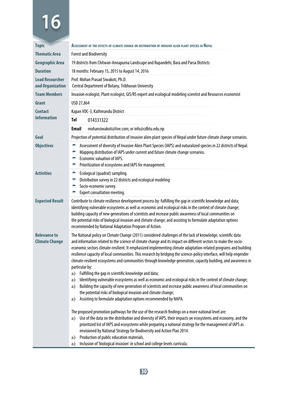| <b>Topic</b>                                 |                                                                                                                                                                                                                                                                                                                                                                                                                                                                                                                    | ASSESSMENT OF THE EFFECTS OF CLIMATE CHANGE ON DISTRIBUTION OF INVASIVE ALIEN PLANT SPECIES IN NEPAL                                                                                                                                                                                                                                                                                                                                                                                                                                                                                                                                                                                                                                                                                                                                                                                                                                                                                                                                                                                                                                                                                                                                                                                                                                                                                                                                |
|----------------------------------------------|--------------------------------------------------------------------------------------------------------------------------------------------------------------------------------------------------------------------------------------------------------------------------------------------------------------------------------------------------------------------------------------------------------------------------------------------------------------------------------------------------------------------|-------------------------------------------------------------------------------------------------------------------------------------------------------------------------------------------------------------------------------------------------------------------------------------------------------------------------------------------------------------------------------------------------------------------------------------------------------------------------------------------------------------------------------------------------------------------------------------------------------------------------------------------------------------------------------------------------------------------------------------------------------------------------------------------------------------------------------------------------------------------------------------------------------------------------------------------------------------------------------------------------------------------------------------------------------------------------------------------------------------------------------------------------------------------------------------------------------------------------------------------------------------------------------------------------------------------------------------------------------------------------------------------------------------------------------------|
| <b>Thematic Area</b>                         | <b>Forest and Biodiversity</b>                                                                                                                                                                                                                                                                                                                                                                                                                                                                                     |                                                                                                                                                                                                                                                                                                                                                                                                                                                                                                                                                                                                                                                                                                                                                                                                                                                                                                                                                                                                                                                                                                                                                                                                                                                                                                                                                                                                                                     |
| <b>Geographic Area</b>                       |                                                                                                                                                                                                                                                                                                                                                                                                                                                                                                                    | 19 districts from Chitwan-Annapurna Landscape and Rupandehi, Bara and Parsa Districts                                                                                                                                                                                                                                                                                                                                                                                                                                                                                                                                                                                                                                                                                                                                                                                                                                                                                                                                                                                                                                                                                                                                                                                                                                                                                                                                               |
| <b>Duration</b>                              |                                                                                                                                                                                                                                                                                                                                                                                                                                                                                                                    | 18 months: February 15, 2015 to August 14, 2016                                                                                                                                                                                                                                                                                                                                                                                                                                                                                                                                                                                                                                                                                                                                                                                                                                                                                                                                                                                                                                                                                                                                                                                                                                                                                                                                                                                     |
| <b>Lead Researcher</b><br>and Organization   |                                                                                                                                                                                                                                                                                                                                                                                                                                                                                                                    | Prof. Mohan Prasad Siwakoti, Ph.D.<br>Central Department of Botany, Tribhuvan University                                                                                                                                                                                                                                                                                                                                                                                                                                                                                                                                                                                                                                                                                                                                                                                                                                                                                                                                                                                                                                                                                                                                                                                                                                                                                                                                            |
| <b>Team Members</b>                          |                                                                                                                                                                                                                                                                                                                                                                                                                                                                                                                    | Invasion ecologist, Plant ecologist, GIS/RS expert and ecological modeling scientist and Resources economist                                                                                                                                                                                                                                                                                                                                                                                                                                                                                                                                                                                                                                                                                                                                                                                                                                                                                                                                                                                                                                                                                                                                                                                                                                                                                                                        |
| Grant                                        | USD 27,864                                                                                                                                                                                                                                                                                                                                                                                                                                                                                                         |                                                                                                                                                                                                                                                                                                                                                                                                                                                                                                                                                                                                                                                                                                                                                                                                                                                                                                                                                                                                                                                                                                                                                                                                                                                                                                                                                                                                                                     |
| <b>Contact</b>                               |                                                                                                                                                                                                                                                                                                                                                                                                                                                                                                                    | Kapan VDC-3, Kathmandu District                                                                                                                                                                                                                                                                                                                                                                                                                                                                                                                                                                                                                                                                                                                                                                                                                                                                                                                                                                                                                                                                                                                                                                                                                                                                                                                                                                                                     |
| <b>Information</b>                           | Tel                                                                                                                                                                                                                                                                                                                                                                                                                                                                                                                | 014331322                                                                                                                                                                                                                                                                                                                                                                                                                                                                                                                                                                                                                                                                                                                                                                                                                                                                                                                                                                                                                                                                                                                                                                                                                                                                                                                                                                                                                           |
|                                              | Email                                                                                                                                                                                                                                                                                                                                                                                                                                                                                                              | mohansiwakoti@live.com; or info@cdbtu.edu.np                                                                                                                                                                                                                                                                                                                                                                                                                                                                                                                                                                                                                                                                                                                                                                                                                                                                                                                                                                                                                                                                                                                                                                                                                                                                                                                                                                                        |
| Goal                                         |                                                                                                                                                                                                                                                                                                                                                                                                                                                                                                                    | Projection of potential distribution of invasive alien plant species of Nepal under future climate change scenarios.                                                                                                                                                                                                                                                                                                                                                                                                                                                                                                                                                                                                                                                                                                                                                                                                                                                                                                                                                                                                                                                                                                                                                                                                                                                                                                                |
| <b>Objectives</b>                            | ÷<br>÷<br>۰<br>÷                                                                                                                                                                                                                                                                                                                                                                                                                                                                                                   | Assessment of diversity of Invasive Alien Plant Species (IAPS) and naturalized species in 22 districts of Nepal.<br>Mapping distribution of IAPS under current and future climate change scenarios.<br><b>Economic valuation of IAPS.</b><br>Prioritization of ecosystems and IAPS for management.                                                                                                                                                                                                                                                                                                                                                                                                                                                                                                                                                                                                                                                                                                                                                                                                                                                                                                                                                                                                                                                                                                                                  |
| <b>Activities</b>                            | ÷<br>۰<br>÷<br>÷                                                                                                                                                                                                                                                                                                                                                                                                                                                                                                   | Ecological (quadrat) sampling.<br>Distribution survey in 22 districts and ecological modeling<br>Socio-economic survey.<br>Expert consultation meeting.                                                                                                                                                                                                                                                                                                                                                                                                                                                                                                                                                                                                                                                                                                                                                                                                                                                                                                                                                                                                                                                                                                                                                                                                                                                                             |
| <b>Expected Result</b>                       | Contribute to climate resilience development process by: fulfilling the gap in scientific knowledge and data;<br>identifying vulnerable ecosystems as well as economic and ecological risks in the context of climate change;<br>building capacity of new generations of scientists and increase public awareness of local communities on<br>the potential risks of biological invasion and climate change; and assisting to formulate adaptation options<br>recommended by National Adaptation Program of Action. |                                                                                                                                                                                                                                                                                                                                                                                                                                                                                                                                                                                                                                                                                                                                                                                                                                                                                                                                                                                                                                                                                                                                                                                                                                                                                                                                                                                                                                     |
| <b>Relevance to</b><br><b>Climate Change</b> | particular by:<br>a)<br>a)<br>a)<br>a)<br>a)                                                                                                                                                                                                                                                                                                                                                                                                                                                                       | The National policy on Climate Change (2011) considered challenges of the lack of knowledge, scientific data<br>and information related to the science of climate change and its impact on different sectors to make the socio-<br>economic sectors climate-resilient. It emphasized implementing climate adaptation-related programs and building<br>resilience capacity of local communities. This research by bridging the science-policy interface, will help engender<br>climate-resilient ecosystems and communities through knowledge generation, capacity building, and awareness in<br>Fulfilling the gap in scientific knowledge and data;<br>Identifying vulnerable ecosystems as well as economic and ecological risks in the context of climate change;<br>Building the capacity of new generation of scientists and increase public awareness of local communities on<br>the potential risks of biological invasion and climate change;<br>Assisting to formulate adaptation options recommended by NAPA.<br>The proposed promotion pathways for the use of the research findings on a more national level are:<br>Use of the data on the distribution and diversity of IAPS, their impacts on ecosystems and economy, and the<br>prioritized list of IAPS and ecosystems while preparing a national strategy for the management of IAPS as<br>envisioned by National Strategy for Biodiversity and Action Plan 2014. |
|                                              | a)<br>a)                                                                                                                                                                                                                                                                                                                                                                                                                                                                                                           | Production of public education materials.<br>Inclusion of 'biological invasion' in school and college levels curricula.                                                                                                                                                                                                                                                                                                                                                                                                                                                                                                                                                                                                                                                                                                                                                                                                                                                                                                                                                                                                                                                                                                                                                                                                                                                                                                             |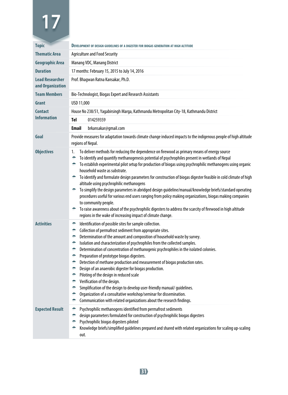| <b>Topic</b>                               | <b>DEVELOPMENT OF DESIGN GUIDELINES OF A DIGESTER FOR BIOGAS GENERATION AT HIGH ALTITUDE</b>                                                                                                                                                                                                                                                                                                                                                                                                                                                                                                                                                                                                                                                                                                                                                                                                                                                                           |  |
|--------------------------------------------|------------------------------------------------------------------------------------------------------------------------------------------------------------------------------------------------------------------------------------------------------------------------------------------------------------------------------------------------------------------------------------------------------------------------------------------------------------------------------------------------------------------------------------------------------------------------------------------------------------------------------------------------------------------------------------------------------------------------------------------------------------------------------------------------------------------------------------------------------------------------------------------------------------------------------------------------------------------------|--|
| <b>Thematic Area</b>                       | <b>Agriculture and Food Security</b>                                                                                                                                                                                                                                                                                                                                                                                                                                                                                                                                                                                                                                                                                                                                                                                                                                                                                                                                   |  |
| Geographic Area                            | Manang VDC, Manang District                                                                                                                                                                                                                                                                                                                                                                                                                                                                                                                                                                                                                                                                                                                                                                                                                                                                                                                                            |  |
| <b>Duration</b>                            | 17 months: February 15, 2015 to July 14, 2016                                                                                                                                                                                                                                                                                                                                                                                                                                                                                                                                                                                                                                                                                                                                                                                                                                                                                                                          |  |
| <b>Lead Researcher</b><br>and Organization | Prof. Bhagwan Ratna Kansakar, Ph.D.                                                                                                                                                                                                                                                                                                                                                                                                                                                                                                                                                                                                                                                                                                                                                                                                                                                                                                                                    |  |
| <b>Team Members</b>                        | Bio-Technologist, Biogas Expert and Research Assistants                                                                                                                                                                                                                                                                                                                                                                                                                                                                                                                                                                                                                                                                                                                                                                                                                                                                                                                |  |
| Grant                                      | USD 11,000                                                                                                                                                                                                                                                                                                                                                                                                                                                                                                                                                                                                                                                                                                                                                                                                                                                                                                                                                             |  |
| <b>Contact</b>                             | House No 238/51, Yagabirsingh Marga, Kathmandu Metropolitan City-18, Kathmandu District                                                                                                                                                                                                                                                                                                                                                                                                                                                                                                                                                                                                                                                                                                                                                                                                                                                                                |  |
| <b>Information</b>                         | Tel<br>014259359                                                                                                                                                                                                                                                                                                                                                                                                                                                                                                                                                                                                                                                                                                                                                                                                                                                                                                                                                       |  |
|                                            | <b>Email</b><br>brkansakar@gmail.com                                                                                                                                                                                                                                                                                                                                                                                                                                                                                                                                                                                                                                                                                                                                                                                                                                                                                                                                   |  |
| Goal                                       | Provide measures for adaptation towards climate change induced impacts to the indigenous people of high altitude<br>regions of Nepal.                                                                                                                                                                                                                                                                                                                                                                                                                                                                                                                                                                                                                                                                                                                                                                                                                                  |  |
| <b>Objectives</b>                          | To deliver methods for reducing the dependence on firewood as primary means of energy source<br>1.<br>۰<br>To identify and quantify methanogenesis potential of psychrophiles present in wetlands of Nepal<br>$\approx$ To establish experimental pilot setup for production of biogas using psychrophilic methanogens using organic<br>household waste as substrate.<br>to identify and formulate design parameters for construction of biogas digester feasible in cold climate of high<br>altitude using psychrophilic methanogens<br>to simplify the design parameters in abridged design guideline/manual/knowledge briefs/standard operating<br>procedures useful for various end users ranging from policy making organizations, biogas making companies<br>to community people.<br>To raise awareness about of the psychrophilic digesters to address the scarcity of firewood in high altitude<br>regions in the wake of increasing impact of climate change. |  |
| <b>Activities</b>                          | Identification of possible sites for sample collection.<br>÷.<br>÷.<br>Collection of permafrost sediment from appropriate sites.<br>Determination of the amount and composition of household waste by survey.<br>۰<br>۰<br>Isolation and characterization of psychrophiles from the collected samples.<br>÷<br>Determination of concentration of methanogenic psychrophiles in the isolated colonies.<br>۰<br>Preparation of prototype biogas digesters.<br>÷.<br>Detection of methane production and measurement of biogas production rates.<br>÷.<br>Design of an anaerobic digester for biogas production.<br>÷.<br>Piloting of the design in reduced scale<br>Verification of the design.<br>÷.<br>Simplification of the design to develop user-friendly manual/ guidelines.<br>۰<br>÷<br>Organization of a consultative workshop/seminar for dissemination.<br>۰<br>Communication with related organizations about the research findings.                         |  |
| <b>Expected Result</b>                     | ۰<br>Psychrophilic methanogens identified from permafrost sediments<br>design parameters formulated for construction of psychrophilic biogas digesters<br>۰<br>۰<br>Psychrophilic biogas digesters piloted<br>Knowledge briefs/simplified guidelines prepared and shared with related organizations for scaling up-scaling<br>out.                                                                                                                                                                                                                                                                                                                                                                                                                                                                                                                                                                                                                                     |  |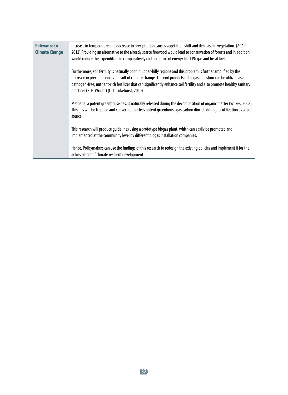| <b>Relevance to</b><br><b>Climate Change</b> | Increase in temperature and decrease in precipitation causes vegetation shift and decrease in vegetation. (ACAP,<br>2012) Providing an alternative to the already scarce firewood would lead to conservation of forests and in addition<br>would reduce the expenditure in comparatively costlier forms of energy like LPG gas and fossil fuels.                                                                        |
|----------------------------------------------|-------------------------------------------------------------------------------------------------------------------------------------------------------------------------------------------------------------------------------------------------------------------------------------------------------------------------------------------------------------------------------------------------------------------------|
|                                              | Furthermore, soil fertility is naturally poor in upper-hilly regions and this problem is further amplified by the<br>decrease in precipitation as a result of climate change. The end products of biogas digestion can be utilized as a<br>pathogen-free, nutrient-rich fertilizer that can significantly enhance soil fertility and also promote healthy sanitary<br>practices (P. E. Wright) (C. T. Lukehurst, 2010). |
|                                              | Methane, a potent greenhouse gas, is naturally released during the decomposition of organic matter (Wilkes, 2008).<br>This gas will be trapped and converted to a less potent greenhouse gas carbon dioxide during its utilization as a fuel<br>source.                                                                                                                                                                 |
|                                              | This research will produce quidelines using a prototype biogas plant, which can easily be promoted and<br>implemented at the community level by different biogas installation companies.                                                                                                                                                                                                                                |
|                                              | Hence, Policymakers can use the findings of this research to redesign the existing policies and implement it for the<br>achievement of climate resilient development.                                                                                                                                                                                                                                                   |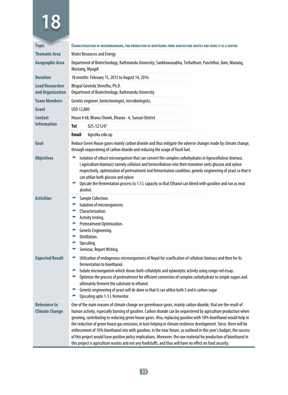| <b>Topic</b>                                 |                                                                                                                                                                                                                                                                                                                                                                                                                                                                                                                                                                                                                                                                                                                                                                                                                                       |  |
|----------------------------------------------|---------------------------------------------------------------------------------------------------------------------------------------------------------------------------------------------------------------------------------------------------------------------------------------------------------------------------------------------------------------------------------------------------------------------------------------------------------------------------------------------------------------------------------------------------------------------------------------------------------------------------------------------------------------------------------------------------------------------------------------------------------------------------------------------------------------------------------------|--|
| <b>Thematic Area</b>                         | CHARACTERIZATION OF MICROORGANISMS, FOR PRODUCTION OF BIOETHANOL FROM AGRICULTURE WASTES AND USING IT AS A BIOFUEL<br><b>Water Resources and Energy</b>                                                                                                                                                                                                                                                                                                                                                                                                                                                                                                                                                                                                                                                                               |  |
|                                              |                                                                                                                                                                                                                                                                                                                                                                                                                                                                                                                                                                                                                                                                                                                                                                                                                                       |  |
| <b>Geographic Area</b>                       | Department of Biotechnology, Kathmandu University; Sankhuwasabha, Terhathum; Panchthar, Ilam, Manang,<br>Mustang, Myagdi                                                                                                                                                                                                                                                                                                                                                                                                                                                                                                                                                                                                                                                                                                              |  |
| <b>Duration</b>                              | 18 months: February 15, 2015 to August 14, 2016                                                                                                                                                                                                                                                                                                                                                                                                                                                                                                                                                                                                                                                                                                                                                                                       |  |
| <b>Lead Researcher</b><br>and Organization   | Bhupal Govinda Shrestha, Ph.D.<br>Department of Biotechnology, Kathmandu University                                                                                                                                                                                                                                                                                                                                                                                                                                                                                                                                                                                                                                                                                                                                                   |  |
| <b>Team Members</b>                          | Genetic engineer, biotechnologist, microbiologists,                                                                                                                                                                                                                                                                                                                                                                                                                                                                                                                                                                                                                                                                                                                                                                                   |  |
| Grant                                        | USD 12,880                                                                                                                                                                                                                                                                                                                                                                                                                                                                                                                                                                                                                                                                                                                                                                                                                            |  |
| <b>Contact</b>                               | House # 68, Bhanu Chowk, Dharan - 6, Sunsari District                                                                                                                                                                                                                                                                                                                                                                                                                                                                                                                                                                                                                                                                                                                                                                                 |  |
| <b>Information</b>                           | Tel<br>025-521247                                                                                                                                                                                                                                                                                                                                                                                                                                                                                                                                                                                                                                                                                                                                                                                                                     |  |
|                                              | <b>Email</b><br>bqs@ku.edu.np                                                                                                                                                                                                                                                                                                                                                                                                                                                                                                                                                                                                                                                                                                                                                                                                         |  |
| Goal                                         | Reduce Green House gases mainly carbon dioxide and thus mitigate the adverse changes made by climate change,<br>through sequestering of carbon dioxide and reducing the usage of fossil fuel.                                                                                                                                                                                                                                                                                                                                                                                                                                                                                                                                                                                                                                         |  |
| <b>Objectives</b>                            | Isolation of robust microorganism that can convert the complex carbohydrates in lignocellulosic biomass<br>۰<br>(agriculture biomass) namely cellulose and hemicelluloses into their monomer units glucose and xylose<br>respectively, optimization of pretreatment and fermentation condition, genetic engineering of yeast so that it<br>can utilize both glucose and xylose<br><b>EXECUTE:</b> Upscale the fermentation process to 1.5 L capacity so that Ethanol can blend with gasoline and run as neat<br>alcohol.                                                                                                                                                                                                                                                                                                              |  |
| <b>Activities</b>                            | Sample Collection.<br>۰<br>Isolation of microorganisms<br>۰<br>Characterization.<br>۰<br>Activity testing.<br>۰<br>Pretreatment Optimization.<br>۰<br>Genetic Engineering.<br>۰<br>Distillation.<br>÷.<br>۰<br>Upscaling.<br>Seminar, Report Writing.<br>÷                                                                                                                                                                                                                                                                                                                                                                                                                                                                                                                                                                            |  |
| <b>Expected Result</b>                       | Utilization of endogenous microorganisms of Nepal for scarification of cellulosic biomass and then for its<br>÷.<br>fermentation to bioethanol.<br>Isolate microorganism which shows both cellulolytic and xylanolytic activity using congo red essay.<br>÷.<br>Optimize the process of pretreatment for efficient conversion of complex carbohydrate to simple sugars and<br>÷.<br>ultimately ferment the substrate to ethanol.<br>Genetic engineering of yeast will de done so that it can utilize both 5 and 6 carbon sugar<br>÷<br>Upscaling upto 1-5 L fermentor.<br>۰                                                                                                                                                                                                                                                           |  |
| <b>Relevance to</b><br><b>Climate Change</b> | One of the main reasons of climate change are greenhouse gases, mainly carbon dioxide, that are the result of<br>human activity, especially burning of gasoline. Carbon dioxide can be sequestered by agriculture production when<br>growing, contributing to reducing green house gases. Also, replacing gasoline with 10% bioethanol would help in<br>the reduction of green house gas emission, in turn helping in climate resilience development. Since, there will be<br>enforcement of 10% bioethanol mix with gasoline, in the near future, as outlined in this year's budget, the success<br>of this project would have positive policy implications. Moreover, the raw material for production of bioethanol in<br>this project is agriculture wastes and not any foodstuffs, and thus will have no effect on food security. |  |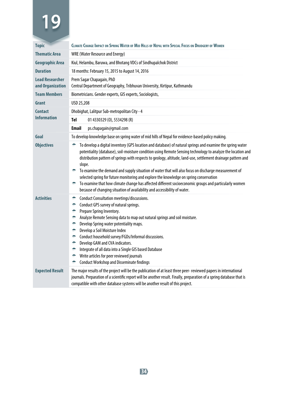| <b>Topic</b>                               | CLIMATE CHANGE IMPACT ON SPRING WATER OF MID HILLS OF NEPAL WITH SPECIAL FOCUS ON DRUDGERY OF WOMEN                                                                                                                                                                                                                                                                                                                                                                                                                                                                                                                                                                                                                                                 |  |
|--------------------------------------------|-----------------------------------------------------------------------------------------------------------------------------------------------------------------------------------------------------------------------------------------------------------------------------------------------------------------------------------------------------------------------------------------------------------------------------------------------------------------------------------------------------------------------------------------------------------------------------------------------------------------------------------------------------------------------------------------------------------------------------------------------------|--|
| <b>Thematic Area</b>                       | <b>WRE (Water Resource and Energy)</b>                                                                                                                                                                                                                                                                                                                                                                                                                                                                                                                                                                                                                                                                                                              |  |
| <b>Geographic Area</b>                     | Kiul, Helambu, Baruwa, and Bhotang VDCs of Sindhupalchok District                                                                                                                                                                                                                                                                                                                                                                                                                                                                                                                                                                                                                                                                                   |  |
| <b>Duration</b>                            | 18 months: February 15, 2015 to August 14, 2016                                                                                                                                                                                                                                                                                                                                                                                                                                                                                                                                                                                                                                                                                                     |  |
| <b>Lead Researcher</b><br>and Organization | Prem Sagar Chapagain, PhD<br>Central Department of Geography, Tribhuvan University, Kirtipur, Kathmandu                                                                                                                                                                                                                                                                                                                                                                                                                                                                                                                                                                                                                                             |  |
| <b>Team Members</b>                        | Biometricians. Gender experts, GIS experts, Sociologists,                                                                                                                                                                                                                                                                                                                                                                                                                                                                                                                                                                                                                                                                                           |  |
| Grant                                      | USD 25,208                                                                                                                                                                                                                                                                                                                                                                                                                                                                                                                                                                                                                                                                                                                                          |  |
| <b>Contact</b>                             | Dhobighat, Lalitpur Sub-metropolitan City - 4                                                                                                                                                                                                                                                                                                                                                                                                                                                                                                                                                                                                                                                                                                       |  |
| <b>Information</b>                         | <b>Tel</b><br>01 4330329 (0), 5534298 (R)                                                                                                                                                                                                                                                                                                                                                                                                                                                                                                                                                                                                                                                                                                           |  |
|                                            | <b>Email</b><br>ps.chapagain@gmail.com                                                                                                                                                                                                                                                                                                                                                                                                                                                                                                                                                                                                                                                                                                              |  |
| Goal                                       | To develop knowledge base on spring water of mid hills of Nepal for evidence-based policy making.                                                                                                                                                                                                                                                                                                                                                                                                                                                                                                                                                                                                                                                   |  |
| <b>Objectives</b>                          | To develop a digital inventory (GPS location and database) of natural springs and examine the spring water<br>potentiality (database), soil-moisture condition using Remote Sensing technology to analyze the location and<br>distribution pattern of springs with respects to geology, altitude, land-use, settlement drainage pattern and<br>slope.<br>To examine the demand and supply situation of water that will also focus on discharge measurement of<br>selected spring for future monitoring and explore the knowledge on spring conservation<br>To examine that how climate change has affected different socioeconomic groups and particularly women<br>÷.<br>because of changing situation of availability and accessibility of water. |  |
| <b>Activities</b>                          | Conduct Consultation meetings/discussions.<br>۰<br>Conduct GPS survey of natural springs.<br>۰<br>Prepare Spring Inventory.<br>۰<br>Analyze Remote Sensing data to map out natural springs and soil moisture.<br>۰<br>Develop Spring water potentiality maps.<br>۰<br>Develop a Soil Moisture Index<br>۰<br>Conduct household survey/FGDs/Informal discussions.<br>÷<br>Develop GAM and CVA indicators.<br>÷<br>Integrate of all data into a Single GIS based Database<br>۰<br>Write articles for peer reviewed journals<br>۰<br><b>Conduct Workshop and Disseminate findings</b><br>۰                                                                                                                                                              |  |
| <b>Expected Result</b>                     | The major results of the project will be the publication of at least three peer- reviewed papers in international<br>journals. Preparation of a scientific report will be another result. Finally, preparation of a spring database that is<br>compatible with other database systems will be another result of this project.                                                                                                                                                                                                                                                                                                                                                                                                                       |  |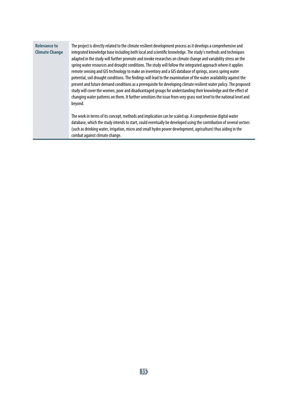| <b>Relevance to</b>   | The project is directly related to the climate resilient development process as it develops a comprehensive and       |
|-----------------------|-----------------------------------------------------------------------------------------------------------------------|
| <b>Climate Change</b> | integrated knowledge base including both local and scientific knowledge. The study's methods and techniques           |
|                       | adapted in the study will further promote and invoke researches on climate change and variability stress on the       |
|                       | spring water resources and drought conditions. The study will follow the integrated approach where it applies         |
|                       | remote sensing and GIS technology to make an inventory and a GIS database of springs, assess spring water             |
|                       | potential, soil drought conditions. The findings will lead to the examination of the water availability against the   |
|                       | present and future demand conditions as a prerequisite for developing climate resilient water policy. The proposed    |
|                       | study will cover the women, poor and disadvantaged groups for understanding their knowledge and the effect of         |
|                       | changing water patterns on them. It further sensitizes the issue from very grass root level to the national level and |
|                       | beyond.                                                                                                               |
|                       |                                                                                                                       |
|                       | The work in terms of its concept, methods and implication can be scaled up. A comprehensive digital water             |
|                       | database, which the study intends to start, could eventually be developed using the contribution of several sectors   |
|                       | (such as drinking water, irrigation, micro and small hydro power development, agriculture) thus aiding in the         |
|                       | combat against climate change.                                                                                        |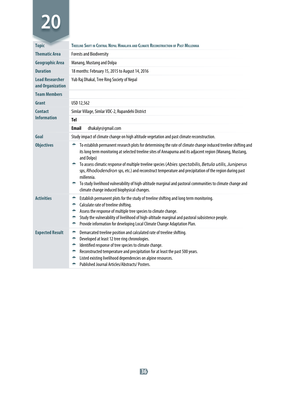| <b>Topic</b>                               | TREELINE SHIFT IN CENTRAL NEPAL HIMALAYA AND CLIMATE RECONSTRUCTION OF PAST MILLENNIA                                                                                                                                                                                                                                                                                                                                                                                                                                                                                                                                                                 |
|--------------------------------------------|-------------------------------------------------------------------------------------------------------------------------------------------------------------------------------------------------------------------------------------------------------------------------------------------------------------------------------------------------------------------------------------------------------------------------------------------------------------------------------------------------------------------------------------------------------------------------------------------------------------------------------------------------------|
| <b>Thematic Area</b>                       | <b>Forests and Biodiversity</b>                                                                                                                                                                                                                                                                                                                                                                                                                                                                                                                                                                                                                       |
| <b>Geographic Area</b>                     | Manang, Mustang and Dolpa                                                                                                                                                                                                                                                                                                                                                                                                                                                                                                                                                                                                                             |
| <b>Duration</b>                            | 18 months: February 15, 2015 to August 14, 2016                                                                                                                                                                                                                                                                                                                                                                                                                                                                                                                                                                                                       |
| <b>Lead Researcher</b><br>and Organization | Yub Raj Dhakal, Tree Ring Society of Nepal                                                                                                                                                                                                                                                                                                                                                                                                                                                                                                                                                                                                            |
| <b>Team Members</b>                        |                                                                                                                                                                                                                                                                                                                                                                                                                                                                                                                                                                                                                                                       |
| Grant                                      | USD 12.562                                                                                                                                                                                                                                                                                                                                                                                                                                                                                                                                                                                                                                            |
| <b>Contact</b>                             | Simlar Village, Simlar VDC-2, Rupandehi District                                                                                                                                                                                                                                                                                                                                                                                                                                                                                                                                                                                                      |
| <b>Information</b>                         | Tel                                                                                                                                                                                                                                                                                                                                                                                                                                                                                                                                                                                                                                                   |
|                                            | dhakalyr@gmail.com<br><b>Email</b>                                                                                                                                                                                                                                                                                                                                                                                                                                                                                                                                                                                                                    |
| Goal                                       | Study impact of climate change on high altitude vegetation and past climate reconstruction.                                                                                                                                                                                                                                                                                                                                                                                                                                                                                                                                                           |
| <b>Objectives</b>                          | To establish permanent research plots for determining the rate of climate change induced treeline shifting and<br>÷<br>its long term monitoring at selected treeline sites of Annapurna and its adjacent region (Manang, Mustang,<br>and Dolpo)<br>To assess climatic response of multiple treeline species (Abies spectabilis, Betula utilis, Juniperus<br>÷<br>sps, Rhododendron sps, etc.) and reconstruct temperature and precipitation of the region during past<br>millennia.<br>To study livelihood vulnerability of high-altitude marginal and pastoral communities to climate change and<br>÷<br>climate change induced biophysical changes. |
| <b>Activities</b>                          | Establish permanent plots for the study of treeline shifting and long term monitoring.<br>۰<br>Calculate rate of treeline shifting.<br>۰<br>Assess the response of multiple tree species to climate change.<br>÷<br>Study the vulnerability of livelihood of high-altitude marginal and pastoral subsistence people.<br>÷<br>Provide information for developing Local Climate Change Adaptation Plan.<br>۰                                                                                                                                                                                                                                            |
| <b>Expected Result</b>                     | Demarcated treeline position and calculated rate of treeline shifting.<br>۰<br>Developed at least 12 tree ring chronologies.<br>۰<br>Identified response of tree species to climate change.<br>۰<br>Reconstructed temperature and precipitation for at least the past 500 years.<br>۰<br>Listed existing livelihood dependencies on alpine resources.<br>۰<br>Published Journal Articles/Abstracts/Posters.<br>۰                                                                                                                                                                                                                                      |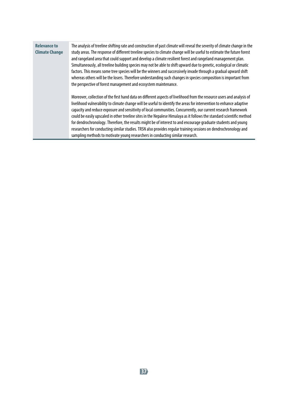| <b>Relevance to</b><br><b>Climate Change</b> | The analysis of treeline shifting rate and construction of past climate will reveal the severity of climate change in the<br>study areas. The response of different treeline species to climate change will be useful to estimate the future forest<br>and rangeland area that could support and develop a climate resilient forest and rangeland management plan.<br>Simultaneously, all treeline building species may not be able to shift upward due to genetic, ecological or climatic<br>factors. This means some tree species will be the winners and successively invade through a gradual upward shift<br>whereas others will be the losers. Therefore understanding such changes in species composition is important from<br>the perspective of forest management and ecosystem maintenance.               |
|----------------------------------------------|---------------------------------------------------------------------------------------------------------------------------------------------------------------------------------------------------------------------------------------------------------------------------------------------------------------------------------------------------------------------------------------------------------------------------------------------------------------------------------------------------------------------------------------------------------------------------------------------------------------------------------------------------------------------------------------------------------------------------------------------------------------------------------------------------------------------|
|                                              | Moreover, collection of the first hand data on different aspects of livelihood from the resource users and analysis of<br>livelihood vulnerability to climate change will be useful to identify the areas for intervention to enhance adaptive<br>capacity and reduce exposure and sensitivity of local communities. Concurrently, our current research framework<br>could be easily upscaled in other treeline sites in the Nepalese Himalaya as it follows the standard scientific method<br>for dendrochronology. Therefore, the results might be of interest to and encourage graduate students and young<br>researchers for conducting similar studies. TRSN also provides regular training sessions on dendrochronology and<br>sampling methods to motivate young researchers in conducting similar research. |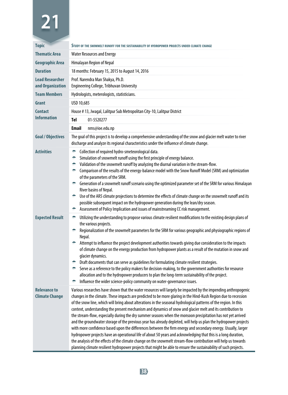| <b>Topic</b>                                 | STUDY OF THE SNOWMELT RUNOFF FOR THE SUSTAINABILITY OF HYDROPOWER PROJECTS UNDER CLIMATE CHANGE                                                                                                                                                                                                                                                                                                                                                                                                                                                                                                                                                                                                                                                                                                                                                                                                                                                                                                                                                                                                                                                                                    |  |  |
|----------------------------------------------|------------------------------------------------------------------------------------------------------------------------------------------------------------------------------------------------------------------------------------------------------------------------------------------------------------------------------------------------------------------------------------------------------------------------------------------------------------------------------------------------------------------------------------------------------------------------------------------------------------------------------------------------------------------------------------------------------------------------------------------------------------------------------------------------------------------------------------------------------------------------------------------------------------------------------------------------------------------------------------------------------------------------------------------------------------------------------------------------------------------------------------------------------------------------------------|--|--|
| <b>Thematic Area</b>                         | <b>Water Resources and Energy</b>                                                                                                                                                                                                                                                                                                                                                                                                                                                                                                                                                                                                                                                                                                                                                                                                                                                                                                                                                                                                                                                                                                                                                  |  |  |
| <b>Geographic Area</b>                       | Himalayan Region of Nepal                                                                                                                                                                                                                                                                                                                                                                                                                                                                                                                                                                                                                                                                                                                                                                                                                                                                                                                                                                                                                                                                                                                                                          |  |  |
| <b>Duration</b>                              | 18 months: February 15, 2015 to August 14, 2016                                                                                                                                                                                                                                                                                                                                                                                                                                                                                                                                                                                                                                                                                                                                                                                                                                                                                                                                                                                                                                                                                                                                    |  |  |
| <b>Lead Researcher</b><br>and Organization   | Prof. Narendra Man Shakya, Ph.D.<br><b>Engineering College, Tribhuvan University</b>                                                                                                                                                                                                                                                                                                                                                                                                                                                                                                                                                                                                                                                                                                                                                                                                                                                                                                                                                                                                                                                                                               |  |  |
| <b>Team Members</b>                          | Hydrologists, meterologists, statisticians.                                                                                                                                                                                                                                                                                                                                                                                                                                                                                                                                                                                                                                                                                                                                                                                                                                                                                                                                                                                                                                                                                                                                        |  |  |
| Grant                                        | USD 10,685                                                                                                                                                                                                                                                                                                                                                                                                                                                                                                                                                                                                                                                                                                                                                                                                                                                                                                                                                                                                                                                                                                                                                                         |  |  |
| <b>Contact</b>                               | House #13, Jwagal, Lalitpur Sub Metropolitan City-10, Lalitpur District                                                                                                                                                                                                                                                                                                                                                                                                                                                                                                                                                                                                                                                                                                                                                                                                                                                                                                                                                                                                                                                                                                            |  |  |
| <b>Information</b>                           | <b>Tel</b><br>01-5520277                                                                                                                                                                                                                                                                                                                                                                                                                                                                                                                                                                                                                                                                                                                                                                                                                                                                                                                                                                                                                                                                                                                                                           |  |  |
|                                              | <b>Email</b><br>nms@ioe.edu.np                                                                                                                                                                                                                                                                                                                                                                                                                                                                                                                                                                                                                                                                                                                                                                                                                                                                                                                                                                                                                                                                                                                                                     |  |  |
| <b>Goal / Objectives</b>                     | The goal of this project is to develop a comprehensive understanding of the snow and glacier melt water to river<br>discharge and analyze its regional characteristics under the influence of climate change.                                                                                                                                                                                                                                                                                                                                                                                                                                                                                                                                                                                                                                                                                                                                                                                                                                                                                                                                                                      |  |  |
| <b>Activities</b>                            | Collection of required hydro-smeteorological data.<br>۰<br>۰<br>Simulation of snowmelt runoff using the first principle of energy balance.<br>Validation of the snowmelt runoff by analyzing the diurnal variation in the stream-flow.<br>۰<br>Comparison of the results of the energy-balance model with the Snow Runoff Model (SRM) and optimization<br>۰<br>of the parameters of the SRM.<br>← Generation of a snowmelt runoff scenario using the optimized parameter set of the SRM for various Himalayan<br>River basins of Nepal.<br>Section 15 Use of the AR5 climate projections to determine the effects of climate change on the snowmelt runoff and its<br>possible subsequent impact on the hydropower generation during the lean/dry season.<br>Assessment of Policy Implication and issues of mainstreaming CC risk management.<br>÷                                                                                                                                                                                                                                                                                                                                 |  |  |
| <b>Expected Result</b>                       | Utilizing the understanding to propose various climate resilient modifications to the existing design plans of<br>÷<br>the various projects.<br>Regionalization of the snowmelt parameters for the SRM for various geographic and physiographic regions of<br>÷.<br>Nepal.<br>Attempt to influence the project development authorities towards giving due consideration to the impacts<br>of climate change on the energy production from hydropower plants as a result of the mutation in snow and<br>glacier dynamics.<br>→ Draft documents that can serve as guidelines for formulating climate resilient strategies.<br>Serve as a reference to the policy makers for decision-making, to the government authorities for resource<br>$\frac{1}{2}$<br>allocation and to the hydropower producers to plan the long-term sustainability of the project.<br>Influence the wider science-policy community on water-governance issues.<br>۰                                                                                                                                                                                                                                         |  |  |
| <b>Relevance to</b><br><b>Climate Change</b> | Various researches have shown that the water resources will largely be impacted by the impending anthropogenic<br>changes in the climate. These impacts are predicted to be more glaring in the Hind-Kush Region due to recession<br>of the snow line, which will bring about alterations in the seasonal hydrological patterns of the region. In this<br>context, understanding the present mechanism and dynamics of snow and glacier melt and its contribution to<br>the stream-flow, especially during the dry summer seasons when the monsoon precipitation has not yet arrived<br>and the groundwater storage of the previous year has already depleted, will help us plan the hydropower projects<br>with more confidence based upon the differences between the firm energy and secondary energy. Usually, larger<br>hydropower projects have an operational life of about 50 years and acknowledging that this is a long duration,<br>the analysis of the effects of the climate change on the snowmelt stream-flow contribution will help us towards<br>planning climate resilient hydropower projects that might be able to ensure the sustainability of such projects. |  |  |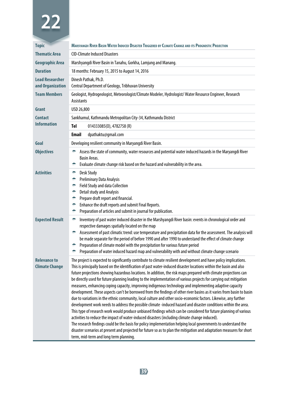| <b>Topic</b>                                 | MARSYANGDI RIVER BASIN WATER INDUCED DISASTER TRIGGERED BY CLIMATE CHANGE AND ITS PROGNOSTIC PROJECTION                                                                                                                                                                                                                                                                                                                                                                                                                                                                                                                                                                                                                                                                                                                                                                                                                                                                                                                                                                                                                                                                                                                                                                                                                                                                                                                                                                   |  |  |
|----------------------------------------------|---------------------------------------------------------------------------------------------------------------------------------------------------------------------------------------------------------------------------------------------------------------------------------------------------------------------------------------------------------------------------------------------------------------------------------------------------------------------------------------------------------------------------------------------------------------------------------------------------------------------------------------------------------------------------------------------------------------------------------------------------------------------------------------------------------------------------------------------------------------------------------------------------------------------------------------------------------------------------------------------------------------------------------------------------------------------------------------------------------------------------------------------------------------------------------------------------------------------------------------------------------------------------------------------------------------------------------------------------------------------------------------------------------------------------------------------------------------------------|--|--|
| <b>Thematic Area</b>                         | <b>CID-Climate Induced Disasters</b>                                                                                                                                                                                                                                                                                                                                                                                                                                                                                                                                                                                                                                                                                                                                                                                                                                                                                                                                                                                                                                                                                                                                                                                                                                                                                                                                                                                                                                      |  |  |
| <b>Geographic Area</b>                       | Marshyangdi River Basin in Tanahu, Gorkha, Lamjung and Manang.                                                                                                                                                                                                                                                                                                                                                                                                                                                                                                                                                                                                                                                                                                                                                                                                                                                                                                                                                                                                                                                                                                                                                                                                                                                                                                                                                                                                            |  |  |
| <b>Duration</b>                              | 18 months: February 15, 2015 to August 14, 2016                                                                                                                                                                                                                                                                                                                                                                                                                                                                                                                                                                                                                                                                                                                                                                                                                                                                                                                                                                                                                                                                                                                                                                                                                                                                                                                                                                                                                           |  |  |
| <b>Lead Researcher</b><br>and Organization   | Dinesh Pathak, Ph.D.<br>Central Department of Geology, Tribhuvan University                                                                                                                                                                                                                                                                                                                                                                                                                                                                                                                                                                                                                                                                                                                                                                                                                                                                                                                                                                                                                                                                                                                                                                                                                                                                                                                                                                                               |  |  |
| <b>Team Members</b>                          | Geologist, Hydrogeologist, Meteorologist/Climate Modeler, Hydrologist/ Water Resource Engineer, Research<br><b>Assistants</b>                                                                                                                                                                                                                                                                                                                                                                                                                                                                                                                                                                                                                                                                                                                                                                                                                                                                                                                                                                                                                                                                                                                                                                                                                                                                                                                                             |  |  |
| Grant                                        | USD 26,800                                                                                                                                                                                                                                                                                                                                                                                                                                                                                                                                                                                                                                                                                                                                                                                                                                                                                                                                                                                                                                                                                                                                                                                                                                                                                                                                                                                                                                                                |  |  |
| <b>Contact</b>                               | Sankhamul, Kathmandu Metropolitan City-34, Kathmandu District                                                                                                                                                                                                                                                                                                                                                                                                                                                                                                                                                                                                                                                                                                                                                                                                                                                                                                                                                                                                                                                                                                                                                                                                                                                                                                                                                                                                             |  |  |
| <b>Information</b>                           | Tel<br>014333085(0), 4782758 (R)                                                                                                                                                                                                                                                                                                                                                                                                                                                                                                                                                                                                                                                                                                                                                                                                                                                                                                                                                                                                                                                                                                                                                                                                                                                                                                                                                                                                                                          |  |  |
|                                              | <b>Email</b><br>dpathaktu@gmail.com                                                                                                                                                                                                                                                                                                                                                                                                                                                                                                                                                                                                                                                                                                                                                                                                                                                                                                                                                                                                                                                                                                                                                                                                                                                                                                                                                                                                                                       |  |  |
| Goal                                         | Developing resilient community in Maryangdi River Basin.                                                                                                                                                                                                                                                                                                                                                                                                                                                                                                                                                                                                                                                                                                                                                                                                                                                                                                                                                                                                                                                                                                                                                                                                                                                                                                                                                                                                                  |  |  |
| <b>Objectives</b>                            | Assess the state of community, water resources and potential water induced hazards in the Maryangdi River<br>÷<br>Basin Areas.<br>۰<br>Evaluate climate change risk based on the hazard and vulnerability in the area.                                                                                                                                                                                                                                                                                                                                                                                                                                                                                                                                                                                                                                                                                                                                                                                                                                                                                                                                                                                                                                                                                                                                                                                                                                                    |  |  |
| <b>Activities</b>                            | <b>Desk Study</b><br>۰<br>۰<br><b>Preliminary Data Analysis</b><br>÷<br>Field Study and data Collection<br>÷<br>Detail study and Analysis<br>۰<br>Prepare draft report and financial.<br>۰<br>Enhance the draft reports and submit Final Reports.<br>۰<br>Preparation of articles and submit in journal for publication.                                                                                                                                                                                                                                                                                                                                                                                                                                                                                                                                                                                                                                                                                                                                                                                                                                                                                                                                                                                                                                                                                                                                                  |  |  |
| <b>Expected Result</b>                       | Inventory of past water induced disaster in the Marshyangdi River basin: events in chronological order and<br>۰<br>respective damages spatially located on the map<br>Assessment of past climatic trend: use temperature and precipitation data for the assessment. The analysis will<br>÷<br>be made separate for the period of before 1990 and after 1990 to understand the effect of climate change<br>Preparation of climate model with the precipitation for various future period<br>۰<br>۰<br>Preparation of water induced hazard map and vulnerability with and without climate change scenario                                                                                                                                                                                                                                                                                                                                                                                                                                                                                                                                                                                                                                                                                                                                                                                                                                                                   |  |  |
| <b>Relevance to</b><br><b>Climate Change</b> | The project is expected to significantly contribute to climate resilient development and have policy implications.<br>This is principally based on the identification of past water-induced disaster locations within the basin and also<br>future projections showing hazardous locations. In addition, the risk maps prepared with climate projections can<br>be directly used for future planning leading to the implementation of various projects for carrying out mitigation<br>measures, enhancing coping capacity, improving indigenous technology and implementing adaptive capacity<br>development. These aspects can't be borrowed from the findings of other river basins as it varies from basin to basin<br>due to variations in the ethnic community, local culture and other socio-economic factors. Likewise, any further<br>development work needs to address the possible climate -induced hazard and disaster conditions within the area.<br>This type of research work would produce unbiased findings which can be considered for future planning of various<br>activities to reduce the impact of water-induced disasters (including climate change induced).<br>The research findings could be the basis for policy implementation helping local governments to understand the<br>disaster scenarios at present and projected for future so as to plan the mitigation and adaptation measures for short<br>term, mid-term and long term planning. |  |  |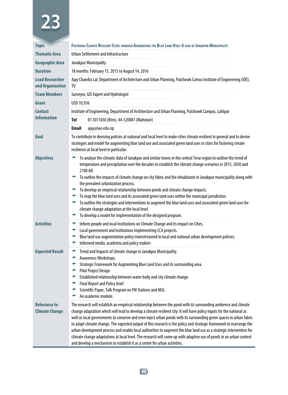| <b>Topic</b>                                 | FOSTERING CLIMATE RESILIENT CITIES THROUGH AUGMENTING THE BLUE LAND USES: A CASE OF JANAKPUR MUNICIPALITY                                                                                                                                                                                                                                                                                                                                                                                                                                                                                                                                                                                                                                                                                                                                                     |                                                                                                                                                                                                                                                                                                    |  |
|----------------------------------------------|---------------------------------------------------------------------------------------------------------------------------------------------------------------------------------------------------------------------------------------------------------------------------------------------------------------------------------------------------------------------------------------------------------------------------------------------------------------------------------------------------------------------------------------------------------------------------------------------------------------------------------------------------------------------------------------------------------------------------------------------------------------------------------------------------------------------------------------------------------------|----------------------------------------------------------------------------------------------------------------------------------------------------------------------------------------------------------------------------------------------------------------------------------------------------|--|
| <b>Thematic Area</b>                         | Urban Settlement and Infrastructure                                                                                                                                                                                                                                                                                                                                                                                                                                                                                                                                                                                                                                                                                                                                                                                                                           |                                                                                                                                                                                                                                                                                                    |  |
| <b>Geographic Area</b>                       | Janakpur Municipality                                                                                                                                                                                                                                                                                                                                                                                                                                                                                                                                                                                                                                                                                                                                                                                                                                         |                                                                                                                                                                                                                                                                                                    |  |
| <b>Duration</b>                              | 18 months: February 15, 2015 to August 14, 2016                                                                                                                                                                                                                                                                                                                                                                                                                                                                                                                                                                                                                                                                                                                                                                                                               |                                                                                                                                                                                                                                                                                                    |  |
| <b>Lead Researcher</b><br>and Organization   | Ajay Chandra Lal, Department of Architecture and Urban Planning, Pulchowk Camus Institute of Engineering (IOE),<br>TU                                                                                                                                                                                                                                                                                                                                                                                                                                                                                                                                                                                                                                                                                                                                         |                                                                                                                                                                                                                                                                                                    |  |
| <b>Team Members</b>                          |                                                                                                                                                                                                                                                                                                                                                                                                                                                                                                                                                                                                                                                                                                                                                                                                                                                               | Surveyor, GIS Expert and Hydrologist                                                                                                                                                                                                                                                               |  |
| Grant                                        | USD 10,936                                                                                                                                                                                                                                                                                                                                                                                                                                                                                                                                                                                                                                                                                                                                                                                                                                                    |                                                                                                                                                                                                                                                                                                    |  |
| <b>Contact</b>                               |                                                                                                                                                                                                                                                                                                                                                                                                                                                                                                                                                                                                                                                                                                                                                                                                                                                               | Institute of Engineering, Department of Architecture and Urban Planning, Pulchowk Campus, Lalitpur                                                                                                                                                                                                 |  |
| <b>Information</b>                           | Tel                                                                                                                                                                                                                                                                                                                                                                                                                                                                                                                                                                                                                                                                                                                                                                                                                                                           | 01 5011030 (Ktm), 44-520081 (Mahotari)                                                                                                                                                                                                                                                             |  |
|                                              | <b>Email</b>                                                                                                                                                                                                                                                                                                                                                                                                                                                                                                                                                                                                                                                                                                                                                                                                                                                  | ajay@ioe.edu.np                                                                                                                                                                                                                                                                                    |  |
| Goal                                         | To contribute in devising policies at national and local level to make cities climate resilient in general and to devise<br>strategies and model for augmenting blue land use and associated green land uses in cities for fostering cimate<br>resilience at local level in particular.                                                                                                                                                                                                                                                                                                                                                                                                                                                                                                                                                                       |                                                                                                                                                                                                                                                                                                    |  |
| <b>Objectives</b>                            | To analyze the climatic data of Janakpur and similar towns in the central Terai region to outline the trend of<br>÷<br>temperature and precipitation over the decades to establish the climate change scenarios in 2015, 2050 and<br>2100 AD.<br>To outline the impacts of climate change on city fabric and the inhabitants in Janakpur municipality along with<br>÷.<br>the prevalent urbanization process.<br>To develop an empirical relationship between ponds and climate change impacts.<br>To map the blue land uses and its associated green land uses within the municipal jurisdiction.<br>÷.<br>To outline the strategies and interventions to augment the blue land uses and associated green land uses for<br>$\bullet$<br>climate change adaptation at the local level.<br>To develop a model for implementation of the designed program.<br>۰ |                                                                                                                                                                                                                                                                                                    |  |
| <b>Activities</b>                            | ÷<br>۰<br>۰<br>÷                                                                                                                                                                                                                                                                                                                                                                                                                                                                                                                                                                                                                                                                                                                                                                                                                                              | Inform people and local institutions on Climate Change and its impact on Cities.<br>Local government and institutions implementing CCA projects.<br>Blue land use augmentation policy mainstreamed in local and national urban development policies.<br>Informed media, academia and policy makers |  |
| <b>Expected Result</b>                       | Trend and Impacts of climate change in Janakpur Municipality.<br>÷<br>Awareness Workshops.<br>۰<br>Strategic Framework for Augmenting Blue Land Uses and its surrounding area.<br>۰<br>Pilot Project Design<br>۰<br>Established relationship between water body and city climate change.<br>÷.<br>Final Report and Policy brief.<br>÷.<br>Scientific Paper, Talk Program on FM Stations and NEA.<br>۰<br>An academic module.<br>۰                                                                                                                                                                                                                                                                                                                                                                                                                             |                                                                                                                                                                                                                                                                                                    |  |
| <b>Relevance to</b><br><b>Climate Change</b> | The research will establish an empirical relationship between the pond with its surrounding ambience and climate<br>change adaptation which will lead to develop a climate resilient city. It will have policy inputs for the national as<br>well as local governments to conserve and even inject urban ponds with its surrounding green spaces in urban fabric<br>to adapt climate change. The expected output of this research is the policy and strategic framework to rearrange the<br>urban development process and enable local authorities to augment the blue land use as a strategic intervention for<br>climate change adaptations at local level. The research will come up with adaptive use of ponds in an urban context<br>and develop a mechanism to establish it as a center for urban activities.                                           |                                                                                                                                                                                                                                                                                                    |  |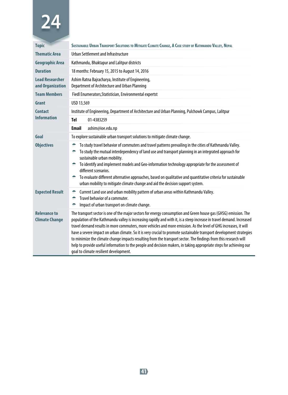| <b>Topic</b>                                 | SUSTAINABLE URBAN TRANSPORT SOLUTIONS TO MITIGATE CLIMATE CHANGE, A CASE STUDY OF KATHMANDU VALLEY, NEPAL                                                                                                                                                                                                                                                                                                                                                                                                                                                                                                                                                                                                                                                                  |  |  |
|----------------------------------------------|----------------------------------------------------------------------------------------------------------------------------------------------------------------------------------------------------------------------------------------------------------------------------------------------------------------------------------------------------------------------------------------------------------------------------------------------------------------------------------------------------------------------------------------------------------------------------------------------------------------------------------------------------------------------------------------------------------------------------------------------------------------------------|--|--|
| <b>Thematic Area</b>                         | Urban Settlement and Infrastructure                                                                                                                                                                                                                                                                                                                                                                                                                                                                                                                                                                                                                                                                                                                                        |  |  |
| <b>Geographic Area</b>                       | Kathmandu, Bhaktapur and Lalitpur districts                                                                                                                                                                                                                                                                                                                                                                                                                                                                                                                                                                                                                                                                                                                                |  |  |
| <b>Duration</b>                              | 18 months: February 15, 2015 to August 14, 2016                                                                                                                                                                                                                                                                                                                                                                                                                                                                                                                                                                                                                                                                                                                            |  |  |
| <b>Lead Researcher</b><br>and Organization   | Ashim Ratna Bajracharya, Institute of Engineering,<br>Department of Architecture and Urban Planning                                                                                                                                                                                                                                                                                                                                                                                                                                                                                                                                                                                                                                                                        |  |  |
| <b>Team Members</b>                          | Fiedl Enumerators, Statistician, Environmental expertst                                                                                                                                                                                                                                                                                                                                                                                                                                                                                                                                                                                                                                                                                                                    |  |  |
| Grant                                        | USD 13,569                                                                                                                                                                                                                                                                                                                                                                                                                                                                                                                                                                                                                                                                                                                                                                 |  |  |
| <b>Contact</b>                               | Institute of Engineering, Department of Architecture and Urban Planning, Pulchowk Campus, Lalitpur                                                                                                                                                                                                                                                                                                                                                                                                                                                                                                                                                                                                                                                                         |  |  |
| <b>Information</b>                           | <b>Tel</b><br>01-4383259                                                                                                                                                                                                                                                                                                                                                                                                                                                                                                                                                                                                                                                                                                                                                   |  |  |
|                                              | <b>Email</b><br>ashim@ioe.edu.np                                                                                                                                                                                                                                                                                                                                                                                                                                                                                                                                                                                                                                                                                                                                           |  |  |
| Goal                                         | To explore sustainable urban transport solutions to mitigate climate change.                                                                                                                                                                                                                                                                                                                                                                                                                                                                                                                                                                                                                                                                                               |  |  |
| <b>Objectives</b>                            | To study travel behavior of commuters and travel patterns prevailing in the cities of Kathmandu Valley.<br>÷<br>To study the mutual interdependency of land use and transport planning in an integrated approach for<br>÷<br>sustainable urban mobility.<br>To identify and implement models and Geo-information technology appropriate for the assessment of<br>÷<br>different scenarios.<br>To evaluate different alternative approaches, based on qualitative and quantitative criteria for sustainable<br>÷.<br>urban mobility to mitigate climate change and aid the decision support system.                                                                                                                                                                         |  |  |
| <b>Expected Result</b>                       | Current Land use and urban mobility pattern of urban areas within Kathmandu Valley.<br>÷<br>Travel behavior of a commuter.<br>۰<br>Impact of urban transport on climate change.                                                                                                                                                                                                                                                                                                                                                                                                                                                                                                                                                                                            |  |  |
| <b>Relevance to</b><br><b>Climate Change</b> | The transport sector is one of the major sectors for energy consumption and Green house gas (GHSG) emission. The<br>population of the Kathmandu valley is increasing rapidly and with it, is a steep increase in travel demand. Increased<br>travel demand results in more commuters, more vehicles and more emission. As the level of GHG increases, it will<br>have a severe impact on urban climate. So it is very crucial to promote sustainable transport development strategies<br>to minimize the climate change impacts resulting from the transport sector. The findings from this research will<br>help to provide useful information to the people and decision makers, in taking appropriate steps for achieving our<br>goal to climate resilient development. |  |  |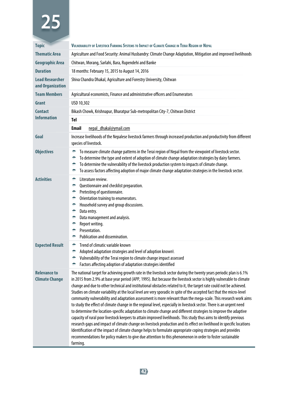| <b>Topic</b>                                 | VULNERABILITY OF LIVESTOCK FARMING SYSTEMS TO IMPACT OF CLIMATE CHANGE IN TERAI REGION OF NEPAL                                                                                                                                                                                                                                                                                                                                                                                                                                                                                                                                                                                                                                                                                                                                                                                                                                                                                                                                                                                                                                                                                                                                                                                                                                                    |  |  |
|----------------------------------------------|----------------------------------------------------------------------------------------------------------------------------------------------------------------------------------------------------------------------------------------------------------------------------------------------------------------------------------------------------------------------------------------------------------------------------------------------------------------------------------------------------------------------------------------------------------------------------------------------------------------------------------------------------------------------------------------------------------------------------------------------------------------------------------------------------------------------------------------------------------------------------------------------------------------------------------------------------------------------------------------------------------------------------------------------------------------------------------------------------------------------------------------------------------------------------------------------------------------------------------------------------------------------------------------------------------------------------------------------------|--|--|
| <b>Thematic Area</b>                         | Agriculture and Food Security: Animal Husbandry: Climate Change Adaptation, Mitigation and improved livelihoods                                                                                                                                                                                                                                                                                                                                                                                                                                                                                                                                                                                                                                                                                                                                                                                                                                                                                                                                                                                                                                                                                                                                                                                                                                    |  |  |
| <b>Geographic Area</b>                       | Chitwan, Morang, Sarlahi, Bara, Rupendehi and Banke                                                                                                                                                                                                                                                                                                                                                                                                                                                                                                                                                                                                                                                                                                                                                                                                                                                                                                                                                                                                                                                                                                                                                                                                                                                                                                |  |  |
| <b>Duration</b>                              | 18 months: February 15, 2015 to August 14, 2016                                                                                                                                                                                                                                                                                                                                                                                                                                                                                                                                                                                                                                                                                                                                                                                                                                                                                                                                                                                                                                                                                                                                                                                                                                                                                                    |  |  |
| <b>Lead Researcher</b><br>and Organization   | Shiva Chandra Dhakal, Agriculture and Forestry University, Chitwan                                                                                                                                                                                                                                                                                                                                                                                                                                                                                                                                                                                                                                                                                                                                                                                                                                                                                                                                                                                                                                                                                                                                                                                                                                                                                 |  |  |
| <b>Team Members</b>                          | Agricultural economists, Finance and administrative officers and Enumerators                                                                                                                                                                                                                                                                                                                                                                                                                                                                                                                                                                                                                                                                                                                                                                                                                                                                                                                                                                                                                                                                                                                                                                                                                                                                       |  |  |
| Grant                                        | USD 10,302                                                                                                                                                                                                                                                                                                                                                                                                                                                                                                                                                                                                                                                                                                                                                                                                                                                                                                                                                                                                                                                                                                                                                                                                                                                                                                                                         |  |  |
| <b>Contact</b>                               | Bikash Chowk, Krishnapur, Bharatpur Sub-metropolitan City-7, Chitwan District                                                                                                                                                                                                                                                                                                                                                                                                                                                                                                                                                                                                                                                                                                                                                                                                                                                                                                                                                                                                                                                                                                                                                                                                                                                                      |  |  |
| <b>Information</b>                           | Tel                                                                                                                                                                                                                                                                                                                                                                                                                                                                                                                                                                                                                                                                                                                                                                                                                                                                                                                                                                                                                                                                                                                                                                                                                                                                                                                                                |  |  |
|                                              | Email<br>nepal_dhakal@ymail.com                                                                                                                                                                                                                                                                                                                                                                                                                                                                                                                                                                                                                                                                                                                                                                                                                                                                                                                                                                                                                                                                                                                                                                                                                                                                                                                    |  |  |
| Goal                                         | Increase livelihoods of the Nepalese livestock farmers through increased production and productivity from different<br>species of livestock.                                                                                                                                                                                                                                                                                                                                                                                                                                                                                                                                                                                                                                                                                                                                                                                                                                                                                                                                                                                                                                                                                                                                                                                                       |  |  |
| <b>Objectives</b>                            | To measure climate change patterns in the Terai region of Nepal from the viewpoint of livestock sector.<br>۰<br>To determine the type and extent of adoption of climate change adaptation strategies by dairy farmers.<br>۰<br>To determine the vulnerability of the livestock production system to impacts of climate change.<br>÷<br>To assess factors affecting adoption of major climate change adaptation strategies in the livestock sector.<br>÷                                                                                                                                                                                                                                                                                                                                                                                                                                                                                                                                                                                                                                                                                                                                                                                                                                                                                            |  |  |
| <b>Activities</b>                            | Literature review.<br>۰<br>۰<br>Questionnaire and checklist preparation.<br>Pretesting of questionnaire.<br>۰<br>Orientation training to enumerators.<br>۰<br>۰<br>Household survey and group discussions.<br>۰<br>Data entry.<br>۰<br>Data management and analysis.<br>۰<br>Report writing.<br>Presentation.<br>۰<br>Publication and dissemination.<br>۰                                                                                                                                                                                                                                                                                                                                                                                                                                                                                                                                                                                                                                                                                                                                                                                                                                                                                                                                                                                          |  |  |
| <b>Expected Result</b>                       | Trend of climatic variable known<br>÷<br>۰<br>Adopted adaptation strategies and level of adoption known\<br>Vulnerability of the Terai region to climate change impact assessed<br>۰<br>Factors affecting adoption of adaptation strategies identified<br>÷                                                                                                                                                                                                                                                                                                                                                                                                                                                                                                                                                                                                                                                                                                                                                                                                                                                                                                                                                                                                                                                                                        |  |  |
| <b>Relevance to</b><br><b>Climate Change</b> | The national target for achieving growth rate in the livestock sector during the twenty years periodic plan is 6.1%<br>in 2015 from 2.9% at base year period (APP, 1995). But because the livestock sector is highly vulnerable to climate<br>change and due to other technical and institutional obstacles related to it, the target rate could not be achieved.<br>Studies on climate variability at the local level are very sporadic in spite of the accepted fact that the micro-level<br>community vulnerability and adaptation assessment is more relevant than the mega-scale. This research work aims<br>to study the effect of climate change in the regional level, especially in livestock sector. There is an urgent need<br>to determine the location-specific adaptation to climate change and different strategies to improve the adaptive<br>capacity of rural poor livestock keepers to attain improved livelihoods. This study thus aims to identify previous<br>research gaps and impact of climate change on livestock production and its effect on livelihood in specific locations<br>Identification of the impact of climate change helps to formulate appropriate coping strategies and provides<br>recommendations for policy makers to give due attention to this phenomenon in order to foster sustainable<br>farming. |  |  |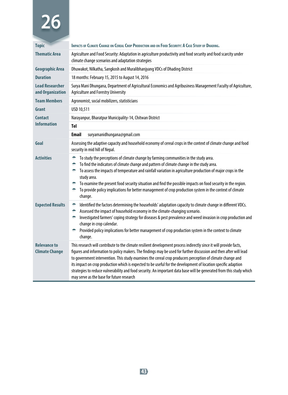| <b>Topic</b>                                 | <b>IMPACTS OF CLIMATE CHANGE ON CEREAL CROP PRODUCTION AND ON FOOD SECURITY: A CASE STUDY OF DHADING.</b>                                                                                                                                                                                                                                                                                                                                                                                                                                                                                                                                     |  |  |
|----------------------------------------------|-----------------------------------------------------------------------------------------------------------------------------------------------------------------------------------------------------------------------------------------------------------------------------------------------------------------------------------------------------------------------------------------------------------------------------------------------------------------------------------------------------------------------------------------------------------------------------------------------------------------------------------------------|--|--|
| <b>Thematic Area</b>                         | Agriculture and Food Security: Adaptation in agriculture productivity and food security and food scarcity under<br>climate change scenarios and adaptation strategies                                                                                                                                                                                                                                                                                                                                                                                                                                                                         |  |  |
| <b>Geographic Area</b>                       | Dhuwakot, Nilkatha, Sangkosh and Muralibhanjyang VDCs of Dhading District                                                                                                                                                                                                                                                                                                                                                                                                                                                                                                                                                                     |  |  |
| <b>Duration</b>                              | 18 months: February 15, 2015 to August 14, 2016                                                                                                                                                                                                                                                                                                                                                                                                                                                                                                                                                                                               |  |  |
| <b>Lead Researcher</b><br>and Organization   | Surya Mani Dhungana, Department of Agricultural Economics and Agribusiness Management Faculty of Agriculture,<br>Agriculture and Forestry University                                                                                                                                                                                                                                                                                                                                                                                                                                                                                          |  |  |
| <b>Team Members</b>                          | Agronomist, social mobilizers, statisticians                                                                                                                                                                                                                                                                                                                                                                                                                                                                                                                                                                                                  |  |  |
| Grant                                        | USD 10,511                                                                                                                                                                                                                                                                                                                                                                                                                                                                                                                                                                                                                                    |  |  |
| Contact                                      | Narayanpur, Bharatpur Municipality-14, Chitwan District                                                                                                                                                                                                                                                                                                                                                                                                                                                                                                                                                                                       |  |  |
| <b>Information</b>                           | <b>Tel</b>                                                                                                                                                                                                                                                                                                                                                                                                                                                                                                                                                                                                                                    |  |  |
|                                              | <b>Email</b><br>suryamanidhungana@qmail.com                                                                                                                                                                                                                                                                                                                                                                                                                                                                                                                                                                                                   |  |  |
| Goal                                         | Assessing the adaptive capacity and household economy of cereal crops in the context of climate change and food<br>security in mid hill of Nepal.                                                                                                                                                                                                                                                                                                                                                                                                                                                                                             |  |  |
| <b>Activities</b>                            | To study the perceptions of climate change by farming communities in the study area.<br>۰<br>To find the indicators of climate change and pattern of climate change in the study area.<br>۰<br>To assess the impacts of temperature and rainfall variation in agriculture production of major crops in the<br>۰<br>study area.<br>To examine the present food security situation and find the possible impacts on food security in the region.<br>÷.<br>To provide policy implications for better management of crop production system in the context of climate<br>÷.<br>change.                                                             |  |  |
| <b>Expected Results</b>                      | Identified the factors determining the households' adaptation capacity to climate change in different VDCs.<br>۰<br>Assessed the impact of household economy in the climate-changing scenario.<br>۰<br>Investigated farmers' coping strategy for diseases & pest prevalence and weed invasion in crop production and<br>÷<br>change in crop calendar.<br>Provided policy implications for better management of crop production system in the context to climate<br>۰<br>change.                                                                                                                                                               |  |  |
| <b>Relevance to</b><br><b>Climate Change</b> | This research will contribute to the climate resilient development process indirectly since it will provide facts,<br>figures and information to policy makers. The findings may be used for further discussion and then after will lead<br>to government intervention. This study examines the cereal crop producers perception of climate change and<br>its impact on crop production which is expected to be useful for the development of location specific adaption<br>strategies to reduce vulnerability and food security. An important data base will be generated from this study which<br>may serve as the base for future research |  |  |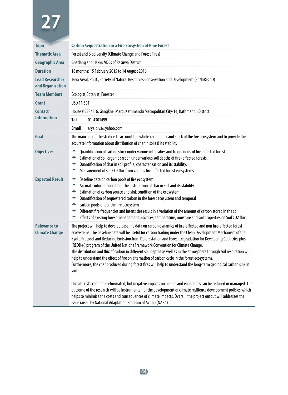| <b>Topic</b>                                 | <b>Carbon Sequestration in a Fire Ecosystem of Pine Forest</b>                                                                                                                                                                                                                                                                                                                                                                                                                                                                                                                                                                                                                                                                                                                                 |  |  |
|----------------------------------------------|------------------------------------------------------------------------------------------------------------------------------------------------------------------------------------------------------------------------------------------------------------------------------------------------------------------------------------------------------------------------------------------------------------------------------------------------------------------------------------------------------------------------------------------------------------------------------------------------------------------------------------------------------------------------------------------------------------------------------------------------------------------------------------------------|--|--|
| <b>Thematic Area</b>                         | Forest and Biodiversity (Climate Change and Forest Fires)                                                                                                                                                                                                                                                                                                                                                                                                                                                                                                                                                                                                                                                                                                                                      |  |  |
| <b>Geographic Area</b>                       | Ghatlang and Hakku VDCs of Rasuwa District                                                                                                                                                                                                                                                                                                                                                                                                                                                                                                                                                                                                                                                                                                                                                     |  |  |
| <b>Duration</b>                              | 18 months: 15 February 2015 to 14 August 2016                                                                                                                                                                                                                                                                                                                                                                                                                                                                                                                                                                                                                                                                                                                                                  |  |  |
| <b>Lead Researcher</b><br>and Organization   | Biva Aryal, Ph.D., Society of Natural Resources Conservation and Development (SoNaReCoD)                                                                                                                                                                                                                                                                                                                                                                                                                                                                                                                                                                                                                                                                                                       |  |  |
| <b>Team Members</b>                          | Ecologist, Botanist, Forester                                                                                                                                                                                                                                                                                                                                                                                                                                                                                                                                                                                                                                                                                                                                                                  |  |  |
| Grant                                        | USD 11,301                                                                                                                                                                                                                                                                                                                                                                                                                                                                                                                                                                                                                                                                                                                                                                                     |  |  |
| <b>Contact</b>                               | House # 228/116, Gangkhel Marg, Kathmandu Metropolitan City-14, Kathmandu District                                                                                                                                                                                                                                                                                                                                                                                                                                                                                                                                                                                                                                                                                                             |  |  |
| <b>Information</b>                           | Tel<br>01-4301499                                                                                                                                                                                                                                                                                                                                                                                                                                                                                                                                                                                                                                                                                                                                                                              |  |  |
|                                              | <b>Email</b><br>aryalbiva@yahoo.com                                                                                                                                                                                                                                                                                                                                                                                                                                                                                                                                                                                                                                                                                                                                                            |  |  |
| Goal                                         | The main aim of the study is to account the whole carbon flux and stock of the fire ecosystem and to provide the<br>accurate information about distribution of char in soils & its stability.                                                                                                                                                                                                                                                                                                                                                                                                                                                                                                                                                                                                  |  |  |
| <b>Objectives</b>                            | Quantification of carbon stock under various intensities and frequencies of fire-affected forest.<br>۰<br>Estimation of soil organic carbon under various soil depths of fire-affected forests.<br>۰<br>Quantification of char in soil profile, characterization and its stability.<br>۰<br>Measurement of soil CO2 flux from various fire-affected forest ecosystems.<br>۰                                                                                                                                                                                                                                                                                                                                                                                                                    |  |  |
| <b>Expected Result</b>                       | Baseline data on carbon pools of fire ecosystem.<br>÷<br>۰<br>Accurate information about the distribution of char in soil and its stability.<br>۰<br>Estimation of carbon source and sink condition of the ecosystem.<br>Quantification of sequestered carbon in the forest ecosystem and temporal<br>۰<br>carbon pools under the fire ecosystem<br>۰<br>Different fire frequencies and intensities result in a variation of the amount of carbon stored in the soil.<br>۰<br>Effects of existing forest management practices, temperature, moisture and soil properties on Soil CO2 flux.<br>۰                                                                                                                                                                                                |  |  |
| <b>Relevance to</b><br><b>Climate Change</b> | The project will help to develop baseline data on carbon dynamics of fire-affected and non fire-affected forest<br>ecosystems. The baseline data will be useful for carbon trading under the Clean Development Mechanism of the<br>Kyoto Protocol and Reducing Emission from Deforestation and Forest Degradation for Developing Countries plus<br>(REDD+) program of the United Nations Framework Convention for Climate Change.<br>The distribution and flux of carbon in different soil depths as well as in the atmosphere through soil respiration will<br>help to understand the effect of fire on alternation of carbon cycle in the forest ecosystems.<br>Furthermore, the char produced during forest fires will help to understand the long-term geological carbon sink in<br>soils. |  |  |
|                                              | Climate risks cannot be eliminated, but negative impacts on people and economies can be reduced or managed. The<br>outcome of the research will be instrumental for the development of climate resilience development policies which<br>helps to minimize the costs and consequences of climate impacts. Overall, the project output will addresses the<br>issue raised by National Adaptation Program of Action (NAPA).                                                                                                                                                                                                                                                                                                                                                                       |  |  |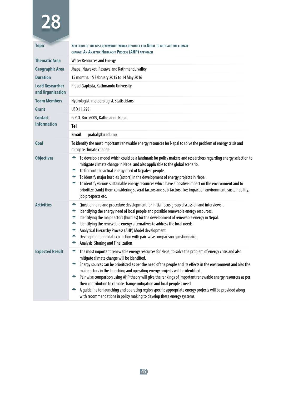| <b>Topic</b>                               | SELECTION OF THE BEST RENEWABLE ENERGY RESOURCE FOR NEPAL TO MITIGATE THE CLIMATE<br>CHANGE: AN ANALYTIC HIERARCHY PROCESS (AHP) APPROACH                                                                                                                                                                                                                                                                                                                                                                                                                                                                                                                                                                                                                      |  |  |
|--------------------------------------------|----------------------------------------------------------------------------------------------------------------------------------------------------------------------------------------------------------------------------------------------------------------------------------------------------------------------------------------------------------------------------------------------------------------------------------------------------------------------------------------------------------------------------------------------------------------------------------------------------------------------------------------------------------------------------------------------------------------------------------------------------------------|--|--|
| <b>Thematic Area</b>                       | <b>Water Resources and Energy</b>                                                                                                                                                                                                                                                                                                                                                                                                                                                                                                                                                                                                                                                                                                                              |  |  |
| <b>Geographic Area</b>                     | Jhapa, Nuwakot, Rasuwa and Kathmandu valley                                                                                                                                                                                                                                                                                                                                                                                                                                                                                                                                                                                                                                                                                                                    |  |  |
| <b>Duration</b>                            | 15 months: 15 February 2015 to 14 May 2016                                                                                                                                                                                                                                                                                                                                                                                                                                                                                                                                                                                                                                                                                                                     |  |  |
| <b>Lead Researcher</b><br>and Organization | Prabal Sapkota, Kathmandu University                                                                                                                                                                                                                                                                                                                                                                                                                                                                                                                                                                                                                                                                                                                           |  |  |
| <b>Team Members</b>                        | Hydrologist, meteorologist, statisticians                                                                                                                                                                                                                                                                                                                                                                                                                                                                                                                                                                                                                                                                                                                      |  |  |
| Grant                                      | USD 11,293                                                                                                                                                                                                                                                                                                                                                                                                                                                                                                                                                                                                                                                                                                                                                     |  |  |
| <b>Contact</b>                             | G.P.O. Box: 6009, Kathmandu Nepal                                                                                                                                                                                                                                                                                                                                                                                                                                                                                                                                                                                                                                                                                                                              |  |  |
| <b>Information</b>                         | Tel                                                                                                                                                                                                                                                                                                                                                                                                                                                                                                                                                                                                                                                                                                                                                            |  |  |
|                                            | <b>Email</b><br>prabal@ku.edu.np                                                                                                                                                                                                                                                                                                                                                                                                                                                                                                                                                                                                                                                                                                                               |  |  |
| Goal                                       | To identify the most important renewable energy resources for Nepal to solve the problem of energy crisis and<br>mitigate climate change                                                                                                                                                                                                                                                                                                                                                                                                                                                                                                                                                                                                                       |  |  |
| <b>Objectives</b>                          | To develop a model which could be a landmark for policy makers and researchers regarding energy selection to<br>÷<br>mitig; ate climate change in Nepal and also applicable to the global scenario.<br>To find out the actual energy need of Nepalese people.<br>÷<br>To identify major hurdles (actors) in the development of energy projects in Nepal.<br>۰<br>To identify various sustainable energy resources which have a positive impact on the environment and to<br>÷<br>prioritize (rank) them considering several factors and sub-factors like: impact on environment, sustainability,<br>job prospects etc.                                                                                                                                         |  |  |
| <b>Activities</b>                          | Questionnaire and procedure development for initial focus group discussion and interviews. .<br>÷<br>Identifying the energy need of local people and possible renewable energy resources.<br>۰<br>Identifying the major actors (hurdles) for the development of renewable energy in Nepal.<br>۰<br>Identifying the renewable energy alternatives to address the local needs.<br>۰<br>Analytical Hierarchy Process (AHP) Model development.<br>۰<br>Development and data collection with pair-wise comparison questionnaire.<br>۰<br>Analysis, Sharing and Finalization<br>÷                                                                                                                                                                                    |  |  |
| <b>Expected Result</b>                     | The most important renewable energy resources for Nepal to solve the problem of energy crisis and also<br>÷<br>mitigate climate change will be identified.<br>Energy sources can be prioritized as per the need of the people and its effects in the environment and also the<br>÷<br>major actors in the launching and operating energy projects will be identified.<br>Pair wise comparison using AHP theory will give the rankings of important renewable energy resources as per<br>÷.<br>their contribution to climate change mitigation and local people's need.<br>A guideline for launching and operating region specific appropriate energy projects will be provided along<br>with recommendations in policy making to develop these energy systems. |  |  |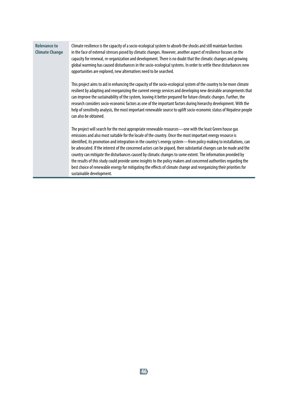#### **Relevance to Climate Change** Climate resilience is the capacity of a socio-ecological system to absorb the shocks and still maintain functions in the face of external stresses posed by climatic changes. However, another aspect of resilience focuses on the capacity for renewal, re-organization and development. There is no doubt that the climatic changes and growing global warming has caused disturbances in the socio-ecological systems. In order to settle these disturbances new opportunities are explored, new alternatives need to be searched.

This project aims to aid in enhancing the capacity of the socio-ecological system of the country to be more climate resilient by adapting and reorganizing the current energy services and developing new desirable arrangements that can improve the sustainability of the system, leaving it better prepared for future climatic changes. Further, the research considers socio-economic factors as one of the important factors during hierarchy development. With the help of sensitivity analysis, the most important renewable source to uplift socio-economic status of Nepalese people can also be obtained.

The project will search for the most appropriate renewable resources—one with the least Green house gas emissions and also most suitable for the locale of the country. Once the most important energy resource is identified, its promotion and integration in the country's energy system—from policy making to installations, can be advocated. If the interest of the concerned actors can be piqued, then substantial changes can be made and the country can mitigate the disturbances caused by climatic changes to some extent. The information provided by the results of this study could provide some insights to the policy makers and concerned authorities regarding the best choice of renewable energy for mitigating the effects of climate change and reorganizing their priorities for sustainable development.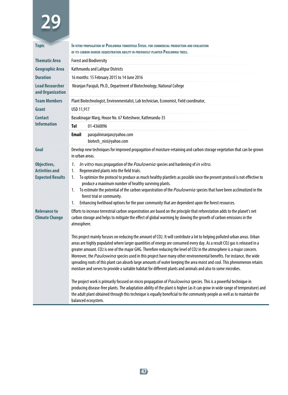| <b>Topic</b>                                                    | In vitro propagation of Paulownia tomentosa Steud. For commercial production and evaluation<br>OF ITS CARBON DIOXIDE SEQUESTRATION ABILITY IN PREVIOUSLY PLANTED PAULOWNIA TREES.                                                                                                                                                                                                                                                                                                                                                                                                                                                                                                                                                                                                                                                                                                                                                                                                                                                                                                                                                                                                                                                                                                                                                                                                                                                  |  |  |
|-----------------------------------------------------------------|------------------------------------------------------------------------------------------------------------------------------------------------------------------------------------------------------------------------------------------------------------------------------------------------------------------------------------------------------------------------------------------------------------------------------------------------------------------------------------------------------------------------------------------------------------------------------------------------------------------------------------------------------------------------------------------------------------------------------------------------------------------------------------------------------------------------------------------------------------------------------------------------------------------------------------------------------------------------------------------------------------------------------------------------------------------------------------------------------------------------------------------------------------------------------------------------------------------------------------------------------------------------------------------------------------------------------------------------------------------------------------------------------------------------------------|--|--|
| <b>Thematic Area</b>                                            | <b>Forest and Biodiversity</b>                                                                                                                                                                                                                                                                                                                                                                                                                                                                                                                                                                                                                                                                                                                                                                                                                                                                                                                                                                                                                                                                                                                                                                                                                                                                                                                                                                                                     |  |  |
| <b>Geographic Area</b>                                          | Kathmandu and Lalitpur Districts                                                                                                                                                                                                                                                                                                                                                                                                                                                                                                                                                                                                                                                                                                                                                                                                                                                                                                                                                                                                                                                                                                                                                                                                                                                                                                                                                                                                   |  |  |
| <b>Duration</b>                                                 | 16 months: 15 February 2015 to 14 June 2016                                                                                                                                                                                                                                                                                                                                                                                                                                                                                                                                                                                                                                                                                                                                                                                                                                                                                                                                                                                                                                                                                                                                                                                                                                                                                                                                                                                        |  |  |
| <b>Lead Researcher</b><br>and Organization                      | Niranjan Parajuli, Ph.D., Department of Biotechnology, National College                                                                                                                                                                                                                                                                                                                                                                                                                                                                                                                                                                                                                                                                                                                                                                                                                                                                                                                                                                                                                                                                                                                                                                                                                                                                                                                                                            |  |  |
| <b>Team Members</b>                                             | Plant Biotechnologist, Environmentalist, Lab technician, Economist, Field coordinator,                                                                                                                                                                                                                                                                                                                                                                                                                                                                                                                                                                                                                                                                                                                                                                                                                                                                                                                                                                                                                                                                                                                                                                                                                                                                                                                                             |  |  |
| Grant                                                           | USD 11,917                                                                                                                                                                                                                                                                                                                                                                                                                                                                                                                                                                                                                                                                                                                                                                                                                                                                                                                                                                                                                                                                                                                                                                                                                                                                                                                                                                                                                         |  |  |
| <b>Contact</b>                                                  | Basukinagar Marg, House No. 67 Koteshwor, Kathmandu-35                                                                                                                                                                                                                                                                                                                                                                                                                                                                                                                                                                                                                                                                                                                                                                                                                                                                                                                                                                                                                                                                                                                                                                                                                                                                                                                                                                             |  |  |
| <b>Information</b>                                              | <b>Tel</b><br>01-4360096                                                                                                                                                                                                                                                                                                                                                                                                                                                                                                                                                                                                                                                                                                                                                                                                                                                                                                                                                                                                                                                                                                                                                                                                                                                                                                                                                                                                           |  |  |
|                                                                 | <b>Email</b><br>parajuliniranjan@yahoo.com<br>biotech_nist@yahoo.com                                                                                                                                                                                                                                                                                                                                                                                                                                                                                                                                                                                                                                                                                                                                                                                                                                                                                                                                                                                                                                                                                                                                                                                                                                                                                                                                                               |  |  |
| Goal                                                            | Develop new techniques for improved propagation of moisture-retaining and carbon storage vegetation that can be grown<br>in urban areas.                                                                                                                                                                                                                                                                                                                                                                                                                                                                                                                                                                                                                                                                                                                                                                                                                                                                                                                                                                                                                                                                                                                                                                                                                                                                                           |  |  |
| Objectives,<br><b>Activities and</b><br><b>Expected Results</b> | In vitro mass propagation of the Paulownia species and hardening of in vitro.<br>1.<br>1.<br>Regenerated plants into the field trials.<br>To optimize the protocol to produce as much healthy plantlets as possible since the present protocol is not effective to<br>1.<br>produce a maximum number of healthy surviving plants.<br>To estimate the potential of the carbon sequestration of the Paulownia species that have been acclimatized in the<br>1.<br>forest trial or community.<br>Enhancing livelihood options for the poor community that are dependent upon the forest resources.<br>1.                                                                                                                                                                                                                                                                                                                                                                                                                                                                                                                                                                                                                                                                                                                                                                                                                              |  |  |
| <b>Relevance to</b><br><b>Climate Change</b>                    | Efforts to increase terrestrial carbon sequestration are based on the principle that reforestation adds to the planet's net<br>carbon storage and helps to mitigate the effect of global warming by slowing the growth of carbon emissions in the<br>atmosphere.<br>This project mainly focuses on reducing the amount of CO2. It will contribute a lot to helping polluted urban areas. Urban<br>areas are highly populated where larger quantities of energy are consumed every day. As a result CO2 gas is released in a<br>greater amount. CO2 is one of the major GHG. Therefore reducing the level of CO2 in the atmosphere is a major concern.<br>Moreover, the Paulowina species used in this project have many other environmental benefits. For instance, the wide<br>spreading roots of this plant can absorb large amounts of water keeping the area moist and cool. This phenomenon retains<br>moisture and serves to provide a suitable habitat for different plants and animals and also to some microbes.<br>The project work is primarily focused on micro propagation of Paulowina species. This is a powerful technique in<br>producing disease-free plants. The adaptation ability of the plant is higher (as it can grow in wide range of temperature) and<br>the adult plant obtained through this technique is equally beneficial to the community people as well as to maintain the<br>balanced ecosystem. |  |  |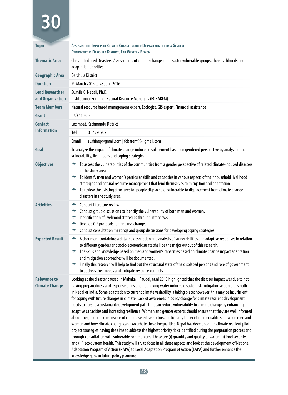| <b>Topic</b>                                 | ASSESSING THE IMPACTS OF CLIMATE CHANGE INDUCED DISPLACEMENT FROM A GENDERED<br>PERSPECTIVE IN DARCHULA DISTRICT, FAR WESTERN REGION                                                                                                                                                                                                                                                                                                                                                                                                                                                                                                                                                                                                                                                                                                                                                                                                                                                                                                                                                                                                                                                                                                                                                                                                                                                                                                                                                            |                                                                                                                                                                  |  |
|----------------------------------------------|-------------------------------------------------------------------------------------------------------------------------------------------------------------------------------------------------------------------------------------------------------------------------------------------------------------------------------------------------------------------------------------------------------------------------------------------------------------------------------------------------------------------------------------------------------------------------------------------------------------------------------------------------------------------------------------------------------------------------------------------------------------------------------------------------------------------------------------------------------------------------------------------------------------------------------------------------------------------------------------------------------------------------------------------------------------------------------------------------------------------------------------------------------------------------------------------------------------------------------------------------------------------------------------------------------------------------------------------------------------------------------------------------------------------------------------------------------------------------------------------------|------------------------------------------------------------------------------------------------------------------------------------------------------------------|--|
| <b>Thematic Area</b>                         | Climate Induced Disasters: Assessments of climate change and disaster vulnerable groups, their livelihoods and<br>adaptation priorities                                                                                                                                                                                                                                                                                                                                                                                                                                                                                                                                                                                                                                                                                                                                                                                                                                                                                                                                                                                                                                                                                                                                                                                                                                                                                                                                                         |                                                                                                                                                                  |  |
| <b>Geographic Area</b>                       | Darchula District                                                                                                                                                                                                                                                                                                                                                                                                                                                                                                                                                                                                                                                                                                                                                                                                                                                                                                                                                                                                                                                                                                                                                                                                                                                                                                                                                                                                                                                                               |                                                                                                                                                                  |  |
| <b>Duration</b>                              |                                                                                                                                                                                                                                                                                                                                                                                                                                                                                                                                                                                                                                                                                                                                                                                                                                                                                                                                                                                                                                                                                                                                                                                                                                                                                                                                                                                                                                                                                                 | 29 March 2015 to 28 June 2016                                                                                                                                    |  |
| <b>Lead Researcher</b><br>and Organization   | Sushila C. Nepali, Ph.D.<br>Institutional Forum of Natural Resource Managers (FONAREM)                                                                                                                                                                                                                                                                                                                                                                                                                                                                                                                                                                                                                                                                                                                                                                                                                                                                                                                                                                                                                                                                                                                                                                                                                                                                                                                                                                                                          |                                                                                                                                                                  |  |
| <b>Team Members</b>                          |                                                                                                                                                                                                                                                                                                                                                                                                                                                                                                                                                                                                                                                                                                                                                                                                                                                                                                                                                                                                                                                                                                                                                                                                                                                                                                                                                                                                                                                                                                 | Natural resource based management expert, Ecologist, GIS expert, Financial assistance                                                                            |  |
| Grant                                        | USD 11,990                                                                                                                                                                                                                                                                                                                                                                                                                                                                                                                                                                                                                                                                                                                                                                                                                                                                                                                                                                                                                                                                                                                                                                                                                                                                                                                                                                                                                                                                                      |                                                                                                                                                                  |  |
| Contact                                      |                                                                                                                                                                                                                                                                                                                                                                                                                                                                                                                                                                                                                                                                                                                                                                                                                                                                                                                                                                                                                                                                                                                                                                                                                                                                                                                                                                                                                                                                                                 | Lazimpat, Kathmandu District                                                                                                                                     |  |
| <b>Information</b>                           | Tel                                                                                                                                                                                                                                                                                                                                                                                                                                                                                                                                                                                                                                                                                                                                                                                                                                                                                                                                                                                                                                                                                                                                                                                                                                                                                                                                                                                                                                                                                             | 01 4270907                                                                                                                                                       |  |
|                                              | Email                                                                                                                                                                                                                                                                                                                                                                                                                                                                                                                                                                                                                                                                                                                                                                                                                                                                                                                                                                                                                                                                                                                                                                                                                                                                                                                                                                                                                                                                                           | sushinep@gmail.com   fobarem99@gmail.com                                                                                                                         |  |
| Goal                                         |                                                                                                                                                                                                                                                                                                                                                                                                                                                                                                                                                                                                                                                                                                                                                                                                                                                                                                                                                                                                                                                                                                                                                                                                                                                                                                                                                                                                                                                                                                 | To analyze the impact of climate change induced displacement based on gendered perspective by analyzing the<br>vulnerability, livelihoods and coping strategies. |  |
| <b>Objectives</b>                            | To assess the vulnerabilities of the communities from a gender perspective of related climate-induced disasters<br>in the study area.<br>To identify men and women's particular skills and capacities in various aspects of their household livelihood<br>÷<br>strategies and natural resource management that lend themselves to mitigation and adaptation.<br>To review the existing structures for people displaced or vulnerable to displacement from climate change<br>disasters in the study area.                                                                                                                                                                                                                                                                                                                                                                                                                                                                                                                                                                                                                                                                                                                                                                                                                                                                                                                                                                                        |                                                                                                                                                                  |  |
| <b>Activities</b>                            | Conduct literature review.<br>۰<br>۰<br>Conduct group discussions to identify the vulnerability of both men and women.<br>Identification of livelihood strategies through interviews.<br>۰<br>Develop GIS protocols for land use change.<br>÷<br>Conduct consultation meetings and group discussions for developing coping strategies.<br>÷                                                                                                                                                                                                                                                                                                                                                                                                                                                                                                                                                                                                                                                                                                                                                                                                                                                                                                                                                                                                                                                                                                                                                     |                                                                                                                                                                  |  |
| <b>Expected Result</b>                       | A document containing a detailed description and analysis of vulnerabilities and adaptive responses in relation<br>÷<br>to different genders and socio-economic strata shall be the major output of this research.<br>The skills and knowledge based on men and women's capacities based on climate change impact adaptation<br>and mitigation approaches will be documented.<br>Finally this research will help to find out the structural state of the displaced persons and role of government<br>$\frac{1}{2}$<br>to address their needs and mitigate resource conflicts.                                                                                                                                                                                                                                                                                                                                                                                                                                                                                                                                                                                                                                                                                                                                                                                                                                                                                                                   |                                                                                                                                                                  |  |
| <b>Relevance to</b><br><b>Climate Change</b> | Looking at the disaster caused in Mahakali, Paudel, et.al 2013 highlighted that the disaster impact was due to not<br>having preparedness and response plans and not having water induced disaster risk mitigation action plans both<br>in Nepal or India. Some adaptation to current climate variability is taking place; however, this may be insufficient<br>for coping with future changes in climate. Lack of awareness in policy change for climate resilient development<br>needs to pursue a sustainable development path that can reduce vulnerability to climate change by enhancing<br>adaptive capacities and increasing resilience. Women and gender experts should ensure that they are well informed<br>about the gendered dimensions of climate sensitive sectors, particularly the existing inequalities between men and<br>women and how climate change can exacerbate these inequalities. Nepal has developed the climate resilient pilot<br>project strategies having the aims to address the highest priority risks identified during the preparation process and<br>through consultation with vulnerable communities. These are (i) quantity and quality of water, (ii) food security,<br>and (iii) eco-system health. This study will try to focus in all these aspects and look at the development of National<br>Adaptation Program of Action (NAPA) to Local Adaptation Program of Action (LAPA) and further enhance the<br>knowledge gaps in future policy planning. |                                                                                                                                                                  |  |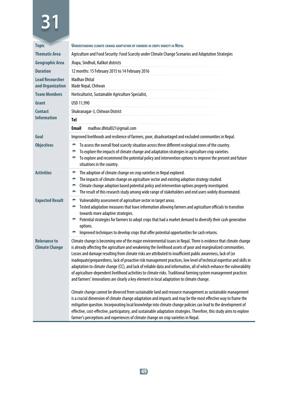| <b>Topic</b>                                 | UNDERSTANDING CLIMATE CHANGE ADAPTATION BY FARMERS IN CROPS VARIETY IN NEPAL                                                                                                                                                                                                                                                                                                                                                                                                                                                                                                                                                                                                                                                                                                                                                                                                                                                                                                                                                                                                                                                                                                                                                                                                                                                                                                        |  |  |
|----------------------------------------------|-------------------------------------------------------------------------------------------------------------------------------------------------------------------------------------------------------------------------------------------------------------------------------------------------------------------------------------------------------------------------------------------------------------------------------------------------------------------------------------------------------------------------------------------------------------------------------------------------------------------------------------------------------------------------------------------------------------------------------------------------------------------------------------------------------------------------------------------------------------------------------------------------------------------------------------------------------------------------------------------------------------------------------------------------------------------------------------------------------------------------------------------------------------------------------------------------------------------------------------------------------------------------------------------------------------------------------------------------------------------------------------|--|--|
| <b>Thematic Area</b>                         | Agriculture and Food Security: Food Scarcity under Climate Change Scenarios and Adaptation Strategies                                                                                                                                                                                                                                                                                                                                                                                                                                                                                                                                                                                                                                                                                                                                                                                                                                                                                                                                                                                                                                                                                                                                                                                                                                                                               |  |  |
| <b>Geographic Area</b>                       | Jhapa, Sindhuli, Kalikot districts                                                                                                                                                                                                                                                                                                                                                                                                                                                                                                                                                                                                                                                                                                                                                                                                                                                                                                                                                                                                                                                                                                                                                                                                                                                                                                                                                  |  |  |
| <b>Duration</b>                              | 12 months: 15 February 2015 to 14 February 2016                                                                                                                                                                                                                                                                                                                                                                                                                                                                                                                                                                                                                                                                                                                                                                                                                                                                                                                                                                                                                                                                                                                                                                                                                                                                                                                                     |  |  |
| <b>Lead Researcher</b><br>and Organization   | <b>Madhav Dhital</b><br>Made Nepal, Chitwan                                                                                                                                                                                                                                                                                                                                                                                                                                                                                                                                                                                                                                                                                                                                                                                                                                                                                                                                                                                                                                                                                                                                                                                                                                                                                                                                         |  |  |
| <b>Team Members</b>                          | Horticulturist, Sustainable Agriculture Specialist,                                                                                                                                                                                                                                                                                                                                                                                                                                                                                                                                                                                                                                                                                                                                                                                                                                                                                                                                                                                                                                                                                                                                                                                                                                                                                                                                 |  |  |
| Grant                                        | USD 11,990                                                                                                                                                                                                                                                                                                                                                                                                                                                                                                                                                                                                                                                                                                                                                                                                                                                                                                                                                                                                                                                                                                                                                                                                                                                                                                                                                                          |  |  |
| <b>Contact</b>                               | Shukranagar-3, Chitwan District                                                                                                                                                                                                                                                                                                                                                                                                                                                                                                                                                                                                                                                                                                                                                                                                                                                                                                                                                                                                                                                                                                                                                                                                                                                                                                                                                     |  |  |
| <b>Information</b>                           | Tel                                                                                                                                                                                                                                                                                                                                                                                                                                                                                                                                                                                                                                                                                                                                                                                                                                                                                                                                                                                                                                                                                                                                                                                                                                                                                                                                                                                 |  |  |
|                                              | <b>Email</b><br>madhav.dhital021@qmail.com                                                                                                                                                                                                                                                                                                                                                                                                                                                                                                                                                                                                                                                                                                                                                                                                                                                                                                                                                                                                                                                                                                                                                                                                                                                                                                                                          |  |  |
| Goal                                         | Improved livelihoods and resilience of farmers, poor, disadvantaged and excluded communities in Nepal.                                                                                                                                                                                                                                                                                                                                                                                                                                                                                                                                                                                                                                                                                                                                                                                                                                                                                                                                                                                                                                                                                                                                                                                                                                                                              |  |  |
| <b>Objectives</b>                            | To assess the overall food scarcity situation across three different ecological zones of the country.<br>۰<br>To explore the impacts of climate change and adaptation strategies in agriculture crop varieties.<br>÷<br>To explore and recommend the potential policy and intervention options to improve the present and future<br>÷<br>situations in the country.                                                                                                                                                                                                                                                                                                                                                                                                                                                                                                                                                                                                                                                                                                                                                                                                                                                                                                                                                                                                                 |  |  |
| <b>Activities</b>                            | The adoption of climate change on crop varieties in Nepal explored.<br>۰<br>The impacts of climate change on agriculture sector and existing adoption strategy studied.<br>۰<br>۰<br>Climate change adoption based potential policy and intervention options properly investigated.<br>The result of this research study among wide range of stakeholders and end users widely disseminated.<br>۰                                                                                                                                                                                                                                                                                                                                                                                                                                                                                                                                                                                                                                                                                                                                                                                                                                                                                                                                                                                   |  |  |
| <b>Expected Result</b>                       | ۰<br>Vulnerability assessment of agriculture sector in target areas.<br>Tested adaptation measures that have information allowing farmers and agriculture officials to transition<br>۰<br>towards more adaptive strategies.<br>Potential strategies for farmers to adopt crops that had a market demand to diversify their cash generation<br>۰<br>options.<br>Improved techniques to develop crops that offer potential opportunities for cash returns.                                                                                                                                                                                                                                                                                                                                                                                                                                                                                                                                                                                                                                                                                                                                                                                                                                                                                                                            |  |  |
| <b>Relevance to</b><br><b>Climate Change</b> | Climate change is becoming one of the major environmental issues in Nepal. There is evidence that climate change<br>is already affecting the agriculture and weakening the livelihood assets of poor and marginalized communities.<br>Losses and damage resulting from climate risks are attributed to insufficient public awareness, lack of (or<br>inadequate)preparedness, lack of proactive risk management practices, low level of technical expertise and skills in<br>adaptation to climate change (CC), and lack of reliable data and information, all of which enhance the vulnerability<br>of agriculture-dependent livelihood activities to climate risks. Traditional farming system management practices<br>and farmers' innovations are clearly a key element in local adaptation to climate change.<br>Climate change cannot be divorced from sustainable land and resource management as sustainable management<br>is a crucial dimension of climate change adaptation and impacts and may be the most effective way to frame the<br>mitigation question. Incorporating local knowledge into climate change policies can lead to the development of<br>effective, cost-effective, participatory, and sustainable adaptation strategies. Therefore, this study aims to explore<br>farmer's perceptions and experiences of climate change on crop varieties in Nepal. |  |  |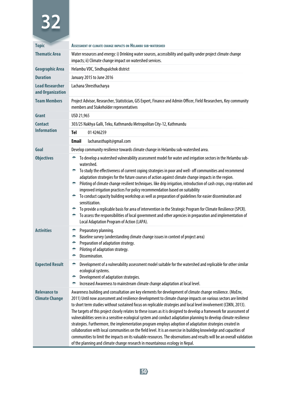| <b>Topic</b>                                 | ASSESSMENT OF CLIMATE CHANGE IMPACTS ON HELAMBU SUB-WATERSHED                                                                                                                                                                                                                                                                                                                                                                                                                                                                                                                                                                                                                                                                                                                                                                                                                                                                                                                                                                                 |                                                                                                                                                                                                                                                                                                                                                                                                                                                                                                                                                                                                                                                                           |  |
|----------------------------------------------|-----------------------------------------------------------------------------------------------------------------------------------------------------------------------------------------------------------------------------------------------------------------------------------------------------------------------------------------------------------------------------------------------------------------------------------------------------------------------------------------------------------------------------------------------------------------------------------------------------------------------------------------------------------------------------------------------------------------------------------------------------------------------------------------------------------------------------------------------------------------------------------------------------------------------------------------------------------------------------------------------------------------------------------------------|---------------------------------------------------------------------------------------------------------------------------------------------------------------------------------------------------------------------------------------------------------------------------------------------------------------------------------------------------------------------------------------------------------------------------------------------------------------------------------------------------------------------------------------------------------------------------------------------------------------------------------------------------------------------------|--|
| <b>Thematic Area</b>                         | Water resources and energy: i) Drinking water sources, accessibility and quality under project climate change<br>impacts; ii) Climate change impact on watershed services.                                                                                                                                                                                                                                                                                                                                                                                                                                                                                                                                                                                                                                                                                                                                                                                                                                                                    |                                                                                                                                                                                                                                                                                                                                                                                                                                                                                                                                                                                                                                                                           |  |
| Geographic Area                              | Helambu VDC, Sindhupalchok district                                                                                                                                                                                                                                                                                                                                                                                                                                                                                                                                                                                                                                                                                                                                                                                                                                                                                                                                                                                                           |                                                                                                                                                                                                                                                                                                                                                                                                                                                                                                                                                                                                                                                                           |  |
| <b>Duration</b>                              | January 2015 to June 2016                                                                                                                                                                                                                                                                                                                                                                                                                                                                                                                                                                                                                                                                                                                                                                                                                                                                                                                                                                                                                     |                                                                                                                                                                                                                                                                                                                                                                                                                                                                                                                                                                                                                                                                           |  |
| <b>Lead Researcher</b><br>and Organization   | Lachana Shresthacharya                                                                                                                                                                                                                                                                                                                                                                                                                                                                                                                                                                                                                                                                                                                                                                                                                                                                                                                                                                                                                        |                                                                                                                                                                                                                                                                                                                                                                                                                                                                                                                                                                                                                                                                           |  |
| <b>Team Members</b>                          | Project Advisor, Researcher, Statistician, GIS Expert, Finance and Admin Officer, Field Researchers, Key community<br>members and Stakeholder representatives                                                                                                                                                                                                                                                                                                                                                                                                                                                                                                                                                                                                                                                                                                                                                                                                                                                                                 |                                                                                                                                                                                                                                                                                                                                                                                                                                                                                                                                                                                                                                                                           |  |
| Grant                                        | USD 21,965                                                                                                                                                                                                                                                                                                                                                                                                                                                                                                                                                                                                                                                                                                                                                                                                                                                                                                                                                                                                                                    |                                                                                                                                                                                                                                                                                                                                                                                                                                                                                                                                                                                                                                                                           |  |
| <b>Contact</b>                               |                                                                                                                                                                                                                                                                                                                                                                                                                                                                                                                                                                                                                                                                                                                                                                                                                                                                                                                                                                                                                                               | 303/25 Nakhya Galli, Teku, Kathmandu Metropolitan City-12, Kathmandu                                                                                                                                                                                                                                                                                                                                                                                                                                                                                                                                                                                                      |  |
| <b>Information</b>                           | Tel                                                                                                                                                                                                                                                                                                                                                                                                                                                                                                                                                                                                                                                                                                                                                                                                                                                                                                                                                                                                                                           | 014246259                                                                                                                                                                                                                                                                                                                                                                                                                                                                                                                                                                                                                                                                 |  |
|                                              | Email                                                                                                                                                                                                                                                                                                                                                                                                                                                                                                                                                                                                                                                                                                                                                                                                                                                                                                                                                                                                                                         | lachanasthapit@gmail.com                                                                                                                                                                                                                                                                                                                                                                                                                                                                                                                                                                                                                                                  |  |
| Goal                                         |                                                                                                                                                                                                                                                                                                                                                                                                                                                                                                                                                                                                                                                                                                                                                                                                                                                                                                                                                                                                                                               | Develop community resilience towards climate change in Helambu sub-watershed area.                                                                                                                                                                                                                                                                                                                                                                                                                                                                                                                                                                                        |  |
| <b>Objectives</b>                            | ÷<br>۰                                                                                                                                                                                                                                                                                                                                                                                                                                                                                                                                                                                                                                                                                                                                                                                                                                                                                                                                                                                                                                        | To develop a watershed vulnerability assessment model for water and irrigation sectors in the Helambu sub-<br>watershed.<br>To study the effectiveness of current coping strategies in poor and well- off communities and recommend                                                                                                                                                                                                                                                                                                                                                                                                                                       |  |
|                                              | ÷.<br>÷.<br>$\bullet$ .                                                                                                                                                                                                                                                                                                                                                                                                                                                                                                                                                                                                                                                                                                                                                                                                                                                                                                                                                                                                                       | adaptation strategies for the future courses of action against climate change impacts in the region.<br>Piloting of climate change resilient techniques. like drip irrigation, introduction of cash crops, crop rotation and<br>improved irrigation practices For policy recommendation based on suitability<br>To conduct capacity building workshop as well as preparation of guidelines for easier dissemination and<br>sensitization.<br>To provide a replicable basis for area of intervention in the Strategic Program for Climate Resilience (SPCR).<br>To assess the responsibilities of local government and other agencies in preparation and implementation of |  |
| <b>Activities</b>                            | ۰<br>۰<br>÷<br>۰<br>۰                                                                                                                                                                                                                                                                                                                                                                                                                                                                                                                                                                                                                                                                                                                                                                                                                                                                                                                                                                                                                         | Local Adaptation Program of Action (LAPA).<br>Preparatory planning.<br>Baseline survey (understanding climate change issues in context of project area)<br>Preparation of adaptation strategy.<br>Piloting of adaptation strategy.<br>Dissemination.                                                                                                                                                                                                                                                                                                                                                                                                                      |  |
| <b>Expected Result</b>                       | Development of a vulnerability assessment model suitable for the watershed and replicable for other similar<br>۰<br>ecological systems.<br>Development of adaptation strategies.<br>Increased Awareness to mainstream climate change adaptation at local level.<br>÷                                                                                                                                                                                                                                                                                                                                                                                                                                                                                                                                                                                                                                                                                                                                                                          |                                                                                                                                                                                                                                                                                                                                                                                                                                                                                                                                                                                                                                                                           |  |
| <b>Relevance to</b><br><b>Climate Change</b> | Awareness building and consultation are key elements for development of climate change resilience. (MoEnv,<br>2011) Until now assessment and resilience development to climate change impacts on various sectors are limited<br>to short term studies without sustained focus on replicable strategies and local level involvement (CDKN, 2013).<br>The targets of this project closely relates to these issues as it is designed to develop a framework for assessment of<br>vulnerabilities seen in a sensitive ecological system and conduct adaptation planning to develop climate resilience<br>strategies. Furthermore, the implementation program employs adoption of adaptation strategies created in<br>collaboration with local communities on the field level. It is an exercise in building knowledge and capacities of<br>communities to limit the impacts on its valuable resources. The observations and results will be an overall validation<br>of the planning and climate change research in mountainous ecology in Nepal. |                                                                                                                                                                                                                                                                                                                                                                                                                                                                                                                                                                                                                                                                           |  |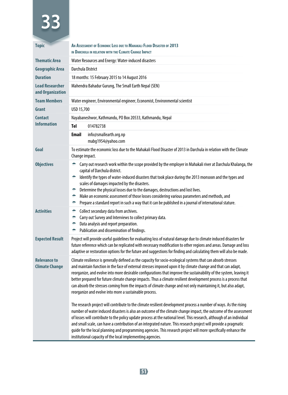| <b>Topic</b>                                 | AN ASSESSMENT OF ECONOMIC LOSS DUE TO MAHAKALI FLOOD DISASTER OF 2013<br>IN DARCHULA IN RELATION WITH THE CLIMATE CHANGE IMPACT                                                                                                                                                                                                                                                                                                                                                                                                                                                                                                                       |                                                                                                                                                                                                                                                                                                                                                                                                                                                                                                                                                                                                                                                                      |  |
|----------------------------------------------|-------------------------------------------------------------------------------------------------------------------------------------------------------------------------------------------------------------------------------------------------------------------------------------------------------------------------------------------------------------------------------------------------------------------------------------------------------------------------------------------------------------------------------------------------------------------------------------------------------------------------------------------------------|----------------------------------------------------------------------------------------------------------------------------------------------------------------------------------------------------------------------------------------------------------------------------------------------------------------------------------------------------------------------------------------------------------------------------------------------------------------------------------------------------------------------------------------------------------------------------------------------------------------------------------------------------------------------|--|
| <b>Thematic Area</b>                         | Water Resources and Energy: Water-induced disasters                                                                                                                                                                                                                                                                                                                                                                                                                                                                                                                                                                                                   |                                                                                                                                                                                                                                                                                                                                                                                                                                                                                                                                                                                                                                                                      |  |
| <b>Geographic Area</b>                       | Darchula District                                                                                                                                                                                                                                                                                                                                                                                                                                                                                                                                                                                                                                     |                                                                                                                                                                                                                                                                                                                                                                                                                                                                                                                                                                                                                                                                      |  |
| <b>Duration</b>                              | 18 months: 15 February 2015 to 14 August 2016                                                                                                                                                                                                                                                                                                                                                                                                                                                                                                                                                                                                         |                                                                                                                                                                                                                                                                                                                                                                                                                                                                                                                                                                                                                                                                      |  |
| <b>Lead Researcher</b><br>and Organization   | Mahendra Bahadur Gurung, The Small Earth Nepal (SEN)                                                                                                                                                                                                                                                                                                                                                                                                                                                                                                                                                                                                  |                                                                                                                                                                                                                                                                                                                                                                                                                                                                                                                                                                                                                                                                      |  |
| <b>Team Members</b>                          | Water engineer, Environmental engineer, Economist, Environmental scientist                                                                                                                                                                                                                                                                                                                                                                                                                                                                                                                                                                            |                                                                                                                                                                                                                                                                                                                                                                                                                                                                                                                                                                                                                                                                      |  |
| Grant                                        | USD 15,700                                                                                                                                                                                                                                                                                                                                                                                                                                                                                                                                                                                                                                            |                                                                                                                                                                                                                                                                                                                                                                                                                                                                                                                                                                                                                                                                      |  |
| <b>Contact</b>                               | Nayabaneshwor, Kathmandu, PO Box 20533, Kathmandu, Nepal                                                                                                                                                                                                                                                                                                                                                                                                                                                                                                                                                                                              |                                                                                                                                                                                                                                                                                                                                                                                                                                                                                                                                                                                                                                                                      |  |
| <b>Information</b>                           | <b>Tel</b>                                                                                                                                                                                                                                                                                                                                                                                                                                                                                                                                                                                                                                            | 014782738                                                                                                                                                                                                                                                                                                                                                                                                                                                                                                                                                                                                                                                            |  |
|                                              | <b>Email</b>                                                                                                                                                                                                                                                                                                                                                                                                                                                                                                                                                                                                                                          | info@smallearth.org.np<br>mabq1954@yahoo.com                                                                                                                                                                                                                                                                                                                                                                                                                                                                                                                                                                                                                         |  |
| Goal                                         | To estimate the economic loss due to the Mahakali Flood Disaster of 2013 in Darchula in relation with the Climate<br>Change impact.                                                                                                                                                                                                                                                                                                                                                                                                                                                                                                                   |                                                                                                                                                                                                                                                                                                                                                                                                                                                                                                                                                                                                                                                                      |  |
| <b>Objectives</b>                            | Carry out research work within the scope provided by the employer in Mahakali river at Darchula Khalanga, the<br>capital of Darchula district.<br>erage Identify the types of water-induced disasters that took place during the 2013 monsoon and the types and<br>scales of damages impacted by the disasters.<br>Determine the physical losses due to the damages, destructions and lost lives.<br>÷.<br>÷.<br>Make an economic assessment of those losses considering various parameters and methods, and<br>۰<br>Prepare a standard report in such a way that it can be published in a journal of international stature.                          |                                                                                                                                                                                                                                                                                                                                                                                                                                                                                                                                                                                                                                                                      |  |
| <b>Activities</b>                            | ÷.<br>۰<br>۰<br>۰                                                                                                                                                                                                                                                                                                                                                                                                                                                                                                                                                                                                                                     | Collect secondary data from archives.<br>Carry out Survey and Interviews to collect primary data.<br>Data analysis and report preparation.<br>Publication and dissemination of findings.                                                                                                                                                                                                                                                                                                                                                                                                                                                                             |  |
| <b>Expected Result</b>                       | Project will provide useful guidelines for evaluating loss of natural damage due to climate induced disasters for<br>future reference which can be replicated with necessary modification to other regions and areas. Damage and loss<br>adaptive or restoration options for the future and suggestions for finding and calculating them will also be made.                                                                                                                                                                                                                                                                                           |                                                                                                                                                                                                                                                                                                                                                                                                                                                                                                                                                                                                                                                                      |  |
| <b>Relevance to</b><br><b>Climate Change</b> | Climate resilience is generally defined as the capacity for socio-ecological systems that can absorb stresses<br>and maintain function in the face of external stresses imposed upon it by climate change and that can adapt,<br>reorganize, and evolve into more desirable configurations that improve the sustainability of the system, leaving it<br>better prepared for future climate change impacts. Thus a climate resilient development process is a process that<br>can absorb the stresses coming from the impacts of climate change and not only maintaining it, but also adapt,<br>reorganize and evolve into more a sustainable process. |                                                                                                                                                                                                                                                                                                                                                                                                                                                                                                                                                                                                                                                                      |  |
|                                              |                                                                                                                                                                                                                                                                                                                                                                                                                                                                                                                                                                                                                                                       | The research project will contribute to the climate resilient development process a number of ways. As the rising<br>number of water induced disasters is also an outcome of the climate change impact, the outcome of the assessment<br>of losses will contribute to the policy update process at the national level. This research, although of an individual<br>and small scale, can have a contribution of an integrated nature. This research project will provide a pragmatic<br>guide for the local planning and programming agencies. This research project will more specifically enhance the<br>institutional capacity of the local implementing agencies. |  |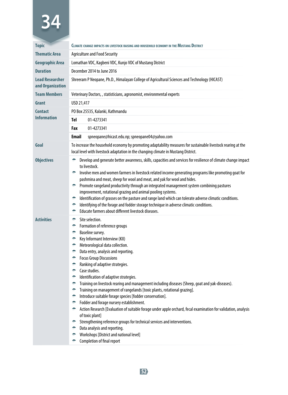| <b>Topic</b>                               | CLIMATE CHANGE IMPACTS ON LIVESTOCK RAISING AND HOUSEHOLD ECONOMY IN THE MUSTANG DISTRICT                                                                                                                                                                                                                                                                                                                                                                                                                                                                                                                                                                                                                                                                                      |                                                                                                                                                                                                                                                                                                                                                                                                                                                                                                                                                                                                                                                                                                                                                                                                                                                                                                                                  |  |  |
|--------------------------------------------|--------------------------------------------------------------------------------------------------------------------------------------------------------------------------------------------------------------------------------------------------------------------------------------------------------------------------------------------------------------------------------------------------------------------------------------------------------------------------------------------------------------------------------------------------------------------------------------------------------------------------------------------------------------------------------------------------------------------------------------------------------------------------------|----------------------------------------------------------------------------------------------------------------------------------------------------------------------------------------------------------------------------------------------------------------------------------------------------------------------------------------------------------------------------------------------------------------------------------------------------------------------------------------------------------------------------------------------------------------------------------------------------------------------------------------------------------------------------------------------------------------------------------------------------------------------------------------------------------------------------------------------------------------------------------------------------------------------------------|--|--|
| <b>Thematic Area</b>                       | <b>Agriculture and Food Security</b>                                                                                                                                                                                                                                                                                                                                                                                                                                                                                                                                                                                                                                                                                                                                           |                                                                                                                                                                                                                                                                                                                                                                                                                                                                                                                                                                                                                                                                                                                                                                                                                                                                                                                                  |  |  |
| <b>Geographic Area</b>                     | Lomathan VDC, Kagbeni VDC, Kunjo VDC of Mustang District                                                                                                                                                                                                                                                                                                                                                                                                                                                                                                                                                                                                                                                                                                                       |                                                                                                                                                                                                                                                                                                                                                                                                                                                                                                                                                                                                                                                                                                                                                                                                                                                                                                                                  |  |  |
| <b>Duration</b>                            |                                                                                                                                                                                                                                                                                                                                                                                                                                                                                                                                                                                                                                                                                                                                                                                | December 2014 to June 2016                                                                                                                                                                                                                                                                                                                                                                                                                                                                                                                                                                                                                                                                                                                                                                                                                                                                                                       |  |  |
| <b>Lead Researcher</b><br>and Organization | Shreeram P Neopane, Ph.D., Himalayan College of Agricultural Sciences and Technology (HICAST)                                                                                                                                                                                                                                                                                                                                                                                                                                                                                                                                                                                                                                                                                  |                                                                                                                                                                                                                                                                                                                                                                                                                                                                                                                                                                                                                                                                                                                                                                                                                                                                                                                                  |  |  |
| <b>Team Members</b>                        | Veterinary Doctors,, statisticians, agronomist, environmental experts                                                                                                                                                                                                                                                                                                                                                                                                                                                                                                                                                                                                                                                                                                          |                                                                                                                                                                                                                                                                                                                                                                                                                                                                                                                                                                                                                                                                                                                                                                                                                                                                                                                                  |  |  |
| Grant                                      | USD 21,417                                                                                                                                                                                                                                                                                                                                                                                                                                                                                                                                                                                                                                                                                                                                                                     |                                                                                                                                                                                                                                                                                                                                                                                                                                                                                                                                                                                                                                                                                                                                                                                                                                                                                                                                  |  |  |
| <b>Contact</b>                             | PO Box 25535, Kalanki, Kathmandu                                                                                                                                                                                                                                                                                                                                                                                                                                                                                                                                                                                                                                                                                                                                               |                                                                                                                                                                                                                                                                                                                                                                                                                                                                                                                                                                                                                                                                                                                                                                                                                                                                                                                                  |  |  |
| <b>Information</b>                         | Tel                                                                                                                                                                                                                                                                                                                                                                                                                                                                                                                                                                                                                                                                                                                                                                            | 01-4273341                                                                                                                                                                                                                                                                                                                                                                                                                                                                                                                                                                                                                                                                                                                                                                                                                                                                                                                       |  |  |
|                                            | Fax                                                                                                                                                                                                                                                                                                                                                                                                                                                                                                                                                                                                                                                                                                                                                                            | 01-4273341                                                                                                                                                                                                                                                                                                                                                                                                                                                                                                                                                                                                                                                                                                                                                                                                                                                                                                                       |  |  |
|                                            | <b>Email</b>                                                                                                                                                                                                                                                                                                                                                                                                                                                                                                                                                                                                                                                                                                                                                                   | spneopane@hicast.edu.np; spneopane04@yahoo.com                                                                                                                                                                                                                                                                                                                                                                                                                                                                                                                                                                                                                                                                                                                                                                                                                                                                                   |  |  |
| Goal                                       | To increase the household economy by promoting adaptability measures for sustainable livestock rearing at the<br>local level with livestock adaptation in the changing climate in Mustang District.                                                                                                                                                                                                                                                                                                                                                                                                                                                                                                                                                                            |                                                                                                                                                                                                                                                                                                                                                                                                                                                                                                                                                                                                                                                                                                                                                                                                                                                                                                                                  |  |  |
| <b>Objectives</b>                          | Develop and generate better awareness, skills, capacities and services for resilience of climate change impact<br>to livestock.<br>Involve men and women farmers in livestock related income generating programs like promoting goat for<br>÷.<br>pashmina and meat, sheep for wool and meat, and yak for wool and hides.<br>Promote rangeland productivity through an integrated management system combining pastures<br>÷.<br>improvement, rotational grazing and animal pooling systems.<br>Identification of grasses on the pasture and range land which can tolerate adverse climatic conditions.<br>÷<br>Identifying of the forage and fodder storage technique in adverse climatic conditions.<br>$\bullet$<br>Educate farmers about different livestock diseases.<br>۰ |                                                                                                                                                                                                                                                                                                                                                                                                                                                                                                                                                                                                                                                                                                                                                                                                                                                                                                                                  |  |  |
| <b>Activities</b>                          | ÷.<br>۰<br>۰<br>÷<br>÷.<br>÷.<br>₩.<br>÷.<br>÷.<br>÷.<br>÷.<br>÷.<br>$\bullet$<br>÷<br>۰<br>₩.<br>₩.<br>۰<br>÷                                                                                                                                                                                                                                                                                                                                                                                                                                                                                                                                                                                                                                                                 | Site selection.<br>Formation of reference groups<br>Baseline survey.<br>Key Informant Interview (KII)<br>Meteorological data collection.<br>Data entry, analysis and reporting.<br><b>Focus Group Discussions</b><br>Ranking of adaptive strategies.<br>Case studies.<br>Identification of adaptive strategies.<br>Training on livestock rearing and management including diseases (Sheep, goat and yak-diseases).<br>Training on management of rangelands [toxic plants, rotational grazing].<br>Introduce suitable forage species [fodder conservation].<br>Fodder and forage nursery establishment.<br>Action Research [Evaluation of suitable forage under apple orchard, fecal examination for validation, analysis<br>of toxic plant]<br>Strengthening reference groups for technical services and interventions.<br>Data analysis and reporting.<br>Workshops [District and national level]<br>Completion of final report |  |  |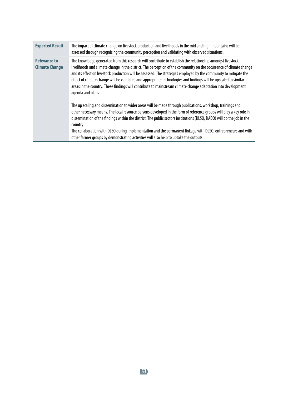| <b>Expected Result</b>                       | The impact of climate change on livestock production and livelihoods in the mid and high mountains will be<br>assessed through recognizing the community perception and validating with observed situations.                                                                                                                                                                                                                                                                                                                                                                                                      |
|----------------------------------------------|-------------------------------------------------------------------------------------------------------------------------------------------------------------------------------------------------------------------------------------------------------------------------------------------------------------------------------------------------------------------------------------------------------------------------------------------------------------------------------------------------------------------------------------------------------------------------------------------------------------------|
| <b>Relevance to</b><br><b>Climate Change</b> | The knowledge generated from this research will contribute to establish the relationship amongst livestock,<br>livelihoods and climate change in the district. The perception of the community on the occurrence of climate change<br>and its effect on livestock production will be assessed. The strategies employed by the community to mitigate the<br>effect of climate change will be validated and appropriate technologies and findings will be upscaled to similar<br>areas in the country. These findings will contribute to mainstream climate change adaptation into development<br>agenda and plans. |
|                                              | The up scaling and dissemination to wider areas will be made through publications, workshop, trainings and<br>other necessary means. The local resource persons developed in the form of reference groups will play a key role in<br>dissemination of the findings within the district. The public sectors institutions (DLSO, DADO) will do the job in the<br>country.<br>The collaboration with DLSO during implementation and the permanent linkage with DLSO, entrepreneurs and with<br>other farmer groups by demonstrating activities will also help to uptake the outputs.                                 |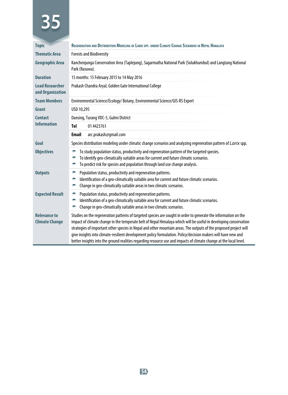| <b>Topic</b>                                 | REGENERATION AND DISTRIBUTION MODELING OF LARIX SPP, UNDER CLIMATE CHANGE SCENARIOS IN NEPAL HIMALAYA                                                                                                                                                                                                                                                                                                                                                                                                                                                                                           |  |  |
|----------------------------------------------|-------------------------------------------------------------------------------------------------------------------------------------------------------------------------------------------------------------------------------------------------------------------------------------------------------------------------------------------------------------------------------------------------------------------------------------------------------------------------------------------------------------------------------------------------------------------------------------------------|--|--|
| <b>Thematic Area</b>                         | <b>Forests and Biodiversity</b>                                                                                                                                                                                                                                                                                                                                                                                                                                                                                                                                                                 |  |  |
| <b>Geographic Area</b>                       | Kanchenjunga Conservation Area (Taplejung), Sagarmatha National Park (Solukhumbul) and Langtang National<br>Park (Rasuwa).                                                                                                                                                                                                                                                                                                                                                                                                                                                                      |  |  |
| <b>Duration</b>                              | 15 months: 15 February 2015 to 14 May 2016                                                                                                                                                                                                                                                                                                                                                                                                                                                                                                                                                      |  |  |
| <b>Lead Researcher</b><br>and Organization   | Prakash Chandra Aryal, Golden Gate International College                                                                                                                                                                                                                                                                                                                                                                                                                                                                                                                                        |  |  |
| <b>Team Members</b>                          | Environmental Science/Ecology/ Botany, Environmental Science/GIS-RS Expert                                                                                                                                                                                                                                                                                                                                                                                                                                                                                                                      |  |  |
| Grant                                        | USD 10,295                                                                                                                                                                                                                                                                                                                                                                                                                                                                                                                                                                                      |  |  |
| <b>Contact</b>                               | Dansing, Turang VDC-5, Gulmi District                                                                                                                                                                                                                                                                                                                                                                                                                                                                                                                                                           |  |  |
| <b>Information</b>                           | Tel<br>01 442 3761                                                                                                                                                                                                                                                                                                                                                                                                                                                                                                                                                                              |  |  |
|                                              | <b>Email</b><br>arc.prakash@qmail.com                                                                                                                                                                                                                                                                                                                                                                                                                                                                                                                                                           |  |  |
| Goal                                         | Species distribution modeling under climatic change scenarios and analyzing regeneration pattern of Larix spp.                                                                                                                                                                                                                                                                                                                                                                                                                                                                                  |  |  |
| <b>Objectives</b>                            | To study population status, productivity and regeneration pattern of the targeted species.<br>÷<br>To identify geo-climatically suitable areas for current and future climatic scenarios.<br>۰<br>To predict risk for species and population through land use change analysis.<br>÷                                                                                                                                                                                                                                                                                                             |  |  |
| <b>Outputs</b>                               | Population status, productivity and regeneration patterns.<br>۰<br>Identification of a geo-climatically suitable area for current and future climatic scenarios.<br>÷<br>Change in geo-climatically suitable areas in two climatic scenarios.<br>÷                                                                                                                                                                                                                                                                                                                                              |  |  |
| <b>Expected Result</b>                       | Population status, productivity and regeneration patterns.<br>÷<br>Identification of a geo-climatically suitable area for current and future climatic scenarios.<br>÷<br>Change in geo-climatically suitable areas in two climatic scenarios.<br>÷                                                                                                                                                                                                                                                                                                                                              |  |  |
| <b>Relevance to</b><br><b>Climate Change</b> | Studies on the regeneration patterns of targeted species are sought in order to generate the information on the<br>impact of climate change in the temperate belt of Nepal Himalaya which will be useful in developing conservation<br>strategies of important other species in Nepal and other mountain areas. The outputs of the proposed project will<br>give insights into climate-resilient development policy formulation. Policy/decision makers will have new and<br>better insights into the ground realities regarding resource use and impacts of climate change at the local level. |  |  |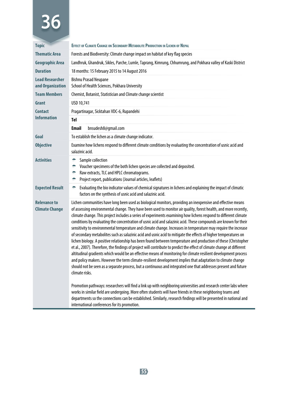| <b>Topic</b>                                 | <b>EFFECT OF CLIMATE CHANGE ON SECONDARY METABOLITE PRODUCTION IN LICHEN OF NEPAL</b>                                                                                                                                                                                                                                                                                                                                                                                                                                                                                                                                                                                                                                                                                                                                                                                                                                                                                                                                                                                                                                                                                                                                                                                                                                             |  |  |  |  |
|----------------------------------------------|-----------------------------------------------------------------------------------------------------------------------------------------------------------------------------------------------------------------------------------------------------------------------------------------------------------------------------------------------------------------------------------------------------------------------------------------------------------------------------------------------------------------------------------------------------------------------------------------------------------------------------------------------------------------------------------------------------------------------------------------------------------------------------------------------------------------------------------------------------------------------------------------------------------------------------------------------------------------------------------------------------------------------------------------------------------------------------------------------------------------------------------------------------------------------------------------------------------------------------------------------------------------------------------------------------------------------------------|--|--|--|--|
| <b>Thematic Area</b>                         | Forests and Biodiversity: Climate change impact on habitat of key flag species                                                                                                                                                                                                                                                                                                                                                                                                                                                                                                                                                                                                                                                                                                                                                                                                                                                                                                                                                                                                                                                                                                                                                                                                                                                    |  |  |  |  |
| <b>Geographic Area</b>                       | Landhruk, Ghandruk, Sikles, Parche, Lumle, Taprang, Kimrung, Chhumrung, and Pokhara valley of Kaski District                                                                                                                                                                                                                                                                                                                                                                                                                                                                                                                                                                                                                                                                                                                                                                                                                                                                                                                                                                                                                                                                                                                                                                                                                      |  |  |  |  |
| <b>Duration</b>                              | 18 months: 15 February 2015 to 14 August 2016                                                                                                                                                                                                                                                                                                                                                                                                                                                                                                                                                                                                                                                                                                                                                                                                                                                                                                                                                                                                                                                                                                                                                                                                                                                                                     |  |  |  |  |
| <b>Lead Researcher</b><br>and Organization   | <b>Bishnu Prasad Neupane</b><br>School of Health Sciences, Pokhara University                                                                                                                                                                                                                                                                                                                                                                                                                                                                                                                                                                                                                                                                                                                                                                                                                                                                                                                                                                                                                                                                                                                                                                                                                                                     |  |  |  |  |
| <b>Team Members</b>                          | Chemist, Botanist, Statistician and Climate change scientist                                                                                                                                                                                                                                                                                                                                                                                                                                                                                                                                                                                                                                                                                                                                                                                                                                                                                                                                                                                                                                                                                                                                                                                                                                                                      |  |  |  |  |
| Grant                                        | USD 10,741                                                                                                                                                                                                                                                                                                                                                                                                                                                                                                                                                                                                                                                                                                                                                                                                                                                                                                                                                                                                                                                                                                                                                                                                                                                                                                                        |  |  |  |  |
| <b>Contact</b>                               | Pragartinagar, Sicktahan VDC-6, Rupandehi                                                                                                                                                                                                                                                                                                                                                                                                                                                                                                                                                                                                                                                                                                                                                                                                                                                                                                                                                                                                                                                                                                                                                                                                                                                                                         |  |  |  |  |
| <b>Information</b>                           | Tel                                                                                                                                                                                                                                                                                                                                                                                                                                                                                                                                                                                                                                                                                                                                                                                                                                                                                                                                                                                                                                                                                                                                                                                                                                                                                                                               |  |  |  |  |
|                                              | <b>Email</b><br>bnsudesh8@gmail.com                                                                                                                                                                                                                                                                                                                                                                                                                                                                                                                                                                                                                                                                                                                                                                                                                                                                                                                                                                                                                                                                                                                                                                                                                                                                                               |  |  |  |  |
| Goal                                         | To establish the lichen as a climate change indicator.                                                                                                                                                                                                                                                                                                                                                                                                                                                                                                                                                                                                                                                                                                                                                                                                                                                                                                                                                                                                                                                                                                                                                                                                                                                                            |  |  |  |  |
| <b>Objective</b>                             | Examine how lichens respond to different climate conditions by evaluating the concentration of usnic acid and<br>salazinic acid.                                                                                                                                                                                                                                                                                                                                                                                                                                                                                                                                                                                                                                                                                                                                                                                                                                                                                                                                                                                                                                                                                                                                                                                                  |  |  |  |  |
| <b>Activities</b>                            | Sample collection<br>۰<br>Voucher specimens of the both lichen species are collected and deposited.<br>۰<br>Raw extracts, TLC and HPLC chromatograms.<br>۰<br>Project report, publications (Journal articles, leaflets)<br>۰                                                                                                                                                                                                                                                                                                                                                                                                                                                                                                                                                                                                                                                                                                                                                                                                                                                                                                                                                                                                                                                                                                      |  |  |  |  |
| <b>Expected Result</b>                       | Evaluating the bio indicator values of chemical signatures in lichens and explaining the impact of climatic<br>۰<br>factors on the synthesis of usnic acid and salazinic acid.                                                                                                                                                                                                                                                                                                                                                                                                                                                                                                                                                                                                                                                                                                                                                                                                                                                                                                                                                                                                                                                                                                                                                    |  |  |  |  |
| <b>Relevance to</b><br><b>Climate Change</b> | Lichen communities have long been used as biological monitors, providing an inexpensive and effective means<br>of assessing environmental change. They have been used to monitor air quality, forest health, and more recently,<br>climate change. This project includes a series of experiments examining how lichens respond to different climate<br>conditions by evaluating the concentration of usnic acid and salazinic acid. These compounds are known for their<br>sensitivity to environmental temperature and climate change. Increases in temperature may require the increase<br>of secondary metabolites such as salazinic acid and usnic acid to mitigate the effects of higher temperatures on<br>lichen biology. A positive relationship has been found between temperature and production of these (Christopher<br>et al., 2007). Therefore, the findings of project will contribute to predict the effect of climate change at different<br>altitudinal gradients which would be an effective means of monitoring for climate resilient development process<br>and policy makers. However the term climate-resilient development implies that adaptation to climate change<br>should not be seen as a separate process, but a continuous and integrated one that addresses present and future<br>climate risks. |  |  |  |  |
|                                              | Promotion pathways: researchers will find a link up with neighboring universities and research center labs where<br>works in similar field are undergoing. More often students will have friends in these neighboring teams and<br>departments so the connections can be established. Similarly, research findings will be presented in national and<br>international conferences for its promotion.                                                                                                                                                                                                                                                                                                                                                                                                                                                                                                                                                                                                                                                                                                                                                                                                                                                                                                                              |  |  |  |  |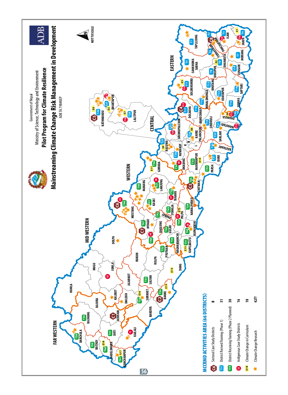